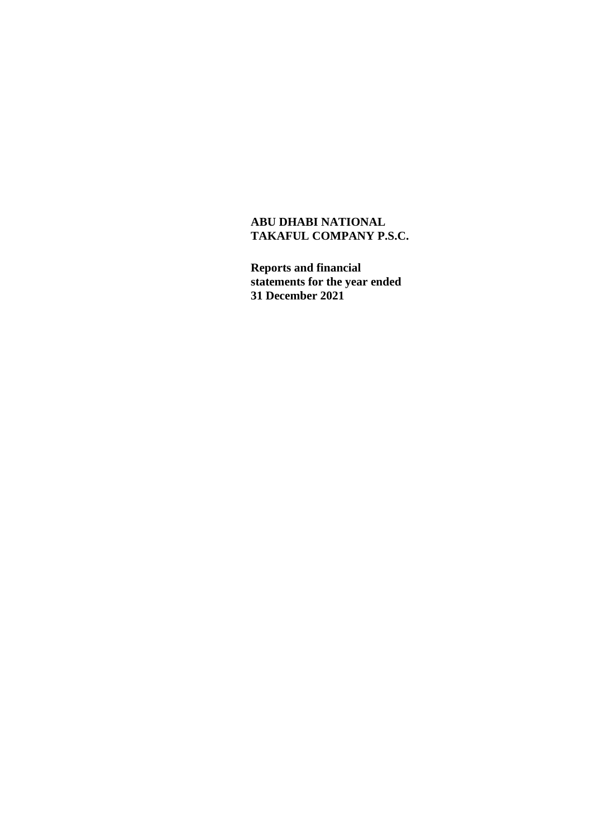**Reports and financial statements for the year ended 31 December 2021**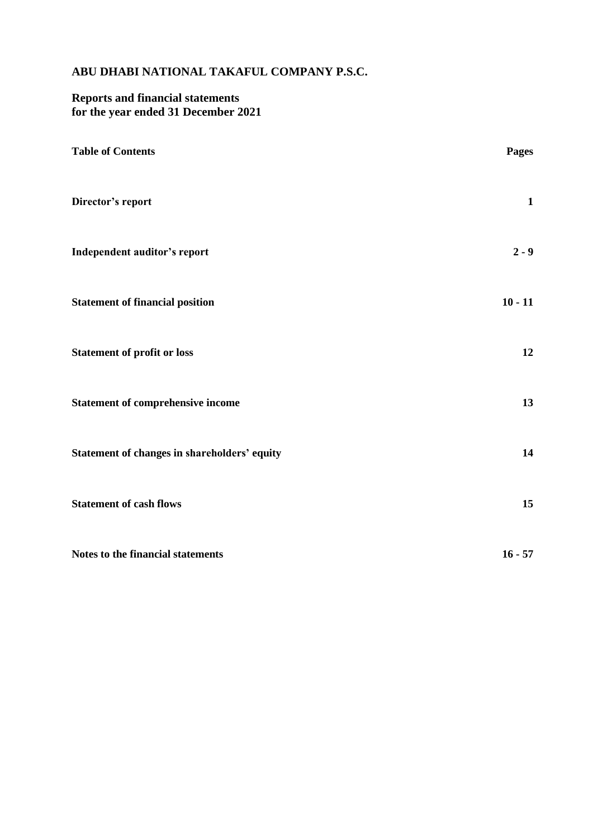## **Reports and financial statements for the year ended 31 December 2021**

| <b>Table of Contents</b>                            | <b>Pages</b> |
|-----------------------------------------------------|--------------|
| Director's report                                   | $\mathbf{1}$ |
| Independent auditor's report                        | $2 - 9$      |
| <b>Statement of financial position</b>              | $10 - 11$    |
| <b>Statement of profit or loss</b>                  | 12           |
| <b>Statement of comprehensive income</b>            | 13           |
| <b>Statement of changes in shareholders' equity</b> | 14           |
| <b>Statement of cash flows</b>                      | 15           |
| Notes to the financial statements                   | $16 - 57$    |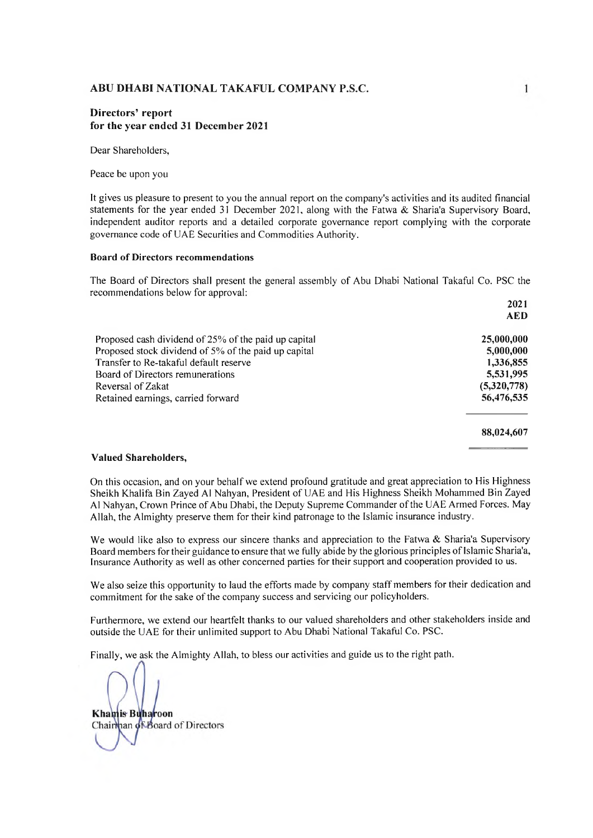#### Directors' report for the year ended 31 December 2021

Dear Shareholders.

Peace be upon you

It gives us pleasure to present to you the annual report on the company's activities and its audited financial statements for the year ended 31 December 2021, along with the Fatwa & Sharia'a Supervisory Board, independent auditor reports and a detailed corporate governance report complying with the corporate governance code of UAE Securities and Commodities Authority.

#### **Board of Directors recommendations**

The Board of Directors shall present the general assembly of Abu Dhabi National Takaful Co. PSC the recommendations below for approval:  $2021$ 

|                                                      | ----        |
|------------------------------------------------------|-------------|
|                                                      | <b>AED</b>  |
| Proposed cash dividend of 25% of the paid up capital | 25,000,000  |
| Proposed stock dividend of 5% of the paid up capital | 5,000,000   |
| Transfer to Re-takaful default reserve               | 1,336,855   |
| Board of Directors remunerations                     | 5,531,995   |
| Reversal of Zakat                                    | (5,320,778) |
| Retained earnings, carried forward                   | 56,476,535  |
|                                                      |             |

88,024,607

#### **Valued Shareholders,**

On this occasion, and on your behalf we extend profound gratitude and great appreciation to His Highness Sheikh Khalifa Bin Zayed Al Nahyan, President of UAE and His Highness Sheikh Mohammed Bin Zayed Al Nahyan, Crown Prince of Abu Dhabi, the Deputy Supreme Commander of the UAE Armed Forces. May Allah, the Almighty preserve them for their kind patronage to the Islamic insurance industry.

We would like also to express our sincere thanks and appreciation to the Fatwa & Sharia'a Supervisory Board members for their guidance to ensure that we fully abide by the glorious principles of Islamic Sharia'a, Insurance Authority as well as other concerned parties for their support and cooperation provided to us.

We also seize this opportunity to laud the efforts made by company staff members for their dedication and commitment for the sake of the company success and servicing our policyholders.

Furthermore, we extend our heartfelt thanks to our valued shareholders and other stakeholders inside and outside the UAE for their unlimited support to Abu Dhabi National Takaful Co. PSC.

Finally, we ask the Almighty Allah, to bless our activities and guide us to the right path.

Khamis Buharoon Chairman of Board of Directors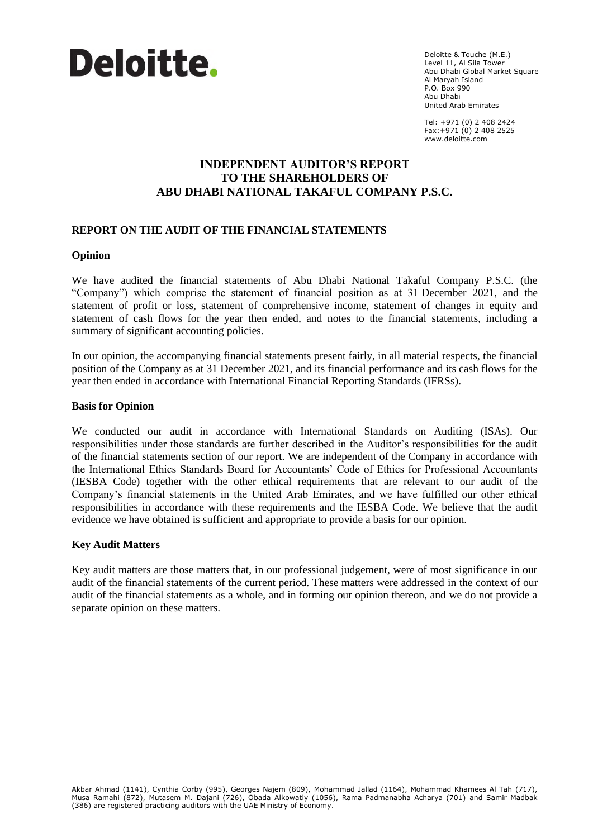

Deloitte & Touche (M.E.) Level 11, Al Sila Tower Abu Dhabi Global Market Square Al Maryah Island P.O. Box 990 Abu Dhabi United Arab Emirates

Tel: +971 (0) 2 408 2424 Fax:+971 (0) 2 408 2525 www.deloitte.com

# **INDEPENDENT AUDITOR'S REPORT TO THE SHAREHOLDERS OF ABU DHABI NATIONAL TAKAFUL COMPANY P.S.C.**

#### **REPORT ON THE AUDIT OF THE FINANCIAL STATEMENTS**

#### **Opinion**

We have audited the financial statements of Abu Dhabi National Takaful Company P.S.C. (the "Company") which comprise the statement of financial position as at 31 December 2021, and the statement of profit or loss, statement of comprehensive income, statement of changes in equity and statement of cash flows for the year then ended, and notes to the financial statements, including a summary of significant accounting policies.

In our opinion, the accompanying financial statements present fairly, in all material respects, the financial position of the Company as at 31 December 2021, and its financial performance and its cash flows for the year then ended in accordance with International Financial Reporting Standards (IFRSs).

#### **Basis for Opinion**

We conducted our audit in accordance with International Standards on Auditing (ISAs). Our responsibilities under those standards are further described in the Auditor's responsibilities for the audit of the financial statements section of our report. We are independent of the Company in accordance with the International Ethics Standards Board for Accountants' Code of Ethics for Professional Accountants (IESBA Code) together with the other ethical requirements that are relevant to our audit of the Company's financial statements in the United Arab Emirates, and we have fulfilled our other ethical responsibilities in accordance with these requirements and the IESBA Code. We believe that the audit evidence we have obtained is sufficient and appropriate to provide a basis for our opinion.

#### **Key Audit Matters**

Key audit matters are those matters that, in our professional judgement, were of most significance in our audit of the financial statements of the current period. These matters were addressed in the context of our audit of the financial statements as a whole, and in forming our opinion thereon, and we do not provide a separate opinion on these matters.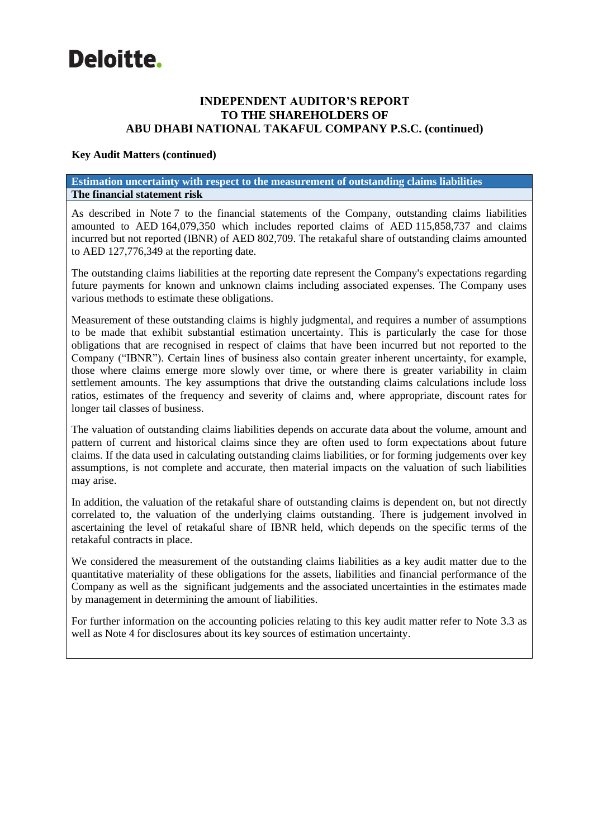

# **INDEPENDENT AUDITOR'S REPORT TO THE SHAREHOLDERS OF ABU DHABI NATIONAL TAKAFUL COMPANY P.S.C. (continued)**

## **Key Audit Matters (continued)**

**Estimation uncertainty with respect to the measurement of outstanding claims liabilities The financial statement risk**

As described in Note 7 to the financial statements of the Company, outstanding claims liabilities amounted to AED 164,079,350 which includes reported claims of AED 115,858,737 and claims incurred but not reported (IBNR) of AED 802,709. The retakaful share of outstanding claims amounted to AED 127,776,349 at the reporting date.

The outstanding claims liabilities at the reporting date represent the Company's expectations regarding future payments for known and unknown claims including associated expenses. The Company uses various methods to estimate these obligations.

Measurement of these outstanding claims is highly judgmental, and requires a number of assumptions to be made that exhibit substantial estimation uncertainty. This is particularly the case for those obligations that are recognised in respect of claims that have been incurred but not reported to the Company ("IBNR"). Certain lines of business also contain greater inherent uncertainty, for example, those where claims emerge more slowly over time, or where there is greater variability in claim settlement amounts. The key assumptions that drive the outstanding claims calculations include loss ratios, estimates of the frequency and severity of claims and, where appropriate, discount rates for longer tail classes of business.

The valuation of outstanding claims liabilities depends on accurate data about the volume, amount and pattern of current and historical claims since they are often used to form expectations about future claims. If the data used in calculating outstanding claims liabilities, or for forming judgements over key assumptions, is not complete and accurate, then material impacts on the valuation of such liabilities may arise.

In addition, the valuation of the retakaful share of outstanding claims is dependent on, but not directly correlated to, the valuation of the underlying claims outstanding. There is judgement involved in ascertaining the level of retakaful share of IBNR held, which depends on the specific terms of the retakaful contracts in place.

We considered the measurement of the outstanding claims liabilities as a key audit matter due to the quantitative materiality of these obligations for the assets, liabilities and financial performance of the Company as well as the significant judgements and the associated uncertainties in the estimates made by management in determining the amount of liabilities.

For further information on the accounting policies relating to this key audit matter refer to Note 3.3 as well as Note 4 for disclosures about its key sources of estimation uncertainty.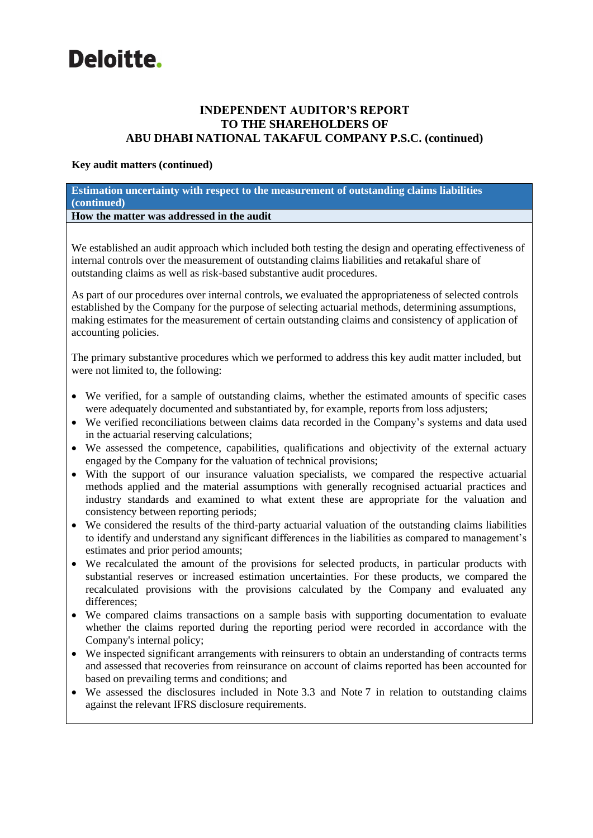# **INDEPENDENT AUDITOR'S REPORT TO THE SHAREHOLDERS OF ABU DHABI NATIONAL TAKAFUL COMPANY P.S.C. (continued)**

## **Key audit matters (continued)**

**Estimation uncertainty with respect to the measurement of outstanding claims liabilities (continued)**

#### **How the matter was addressed in the audit**

We established an audit approach which included both testing the design and operating effectiveness of internal controls over the measurement of outstanding claims liabilities and retakaful share of outstanding claims as well as risk-based substantive audit procedures.

As part of our procedures over internal controls, we evaluated the appropriateness of selected controls established by the Company for the purpose of selecting actuarial methods, determining assumptions, making estimates for the measurement of certain outstanding claims and consistency of application of accounting policies.

The primary substantive procedures which we performed to address this key audit matter included, but were not limited to, the following:

- We verified, for a sample of outstanding claims, whether the estimated amounts of specific cases were adequately documented and substantiated by, for example, reports from loss adjusters;
- We verified reconciliations between claims data recorded in the Company's systems and data used in the actuarial reserving calculations;
- We assessed the competence, capabilities, qualifications and objectivity of the external actuary engaged by the Company for the valuation of technical provisions;
- With the support of our insurance valuation specialists, we compared the respective actuarial methods applied and the material assumptions with generally recognised actuarial practices and industry standards and examined to what extent these are appropriate for the valuation and consistency between reporting periods;
- We considered the results of the third-party actuarial valuation of the outstanding claims liabilities to identify and understand any significant differences in the liabilities as compared to management's estimates and prior period amounts;
- We recalculated the amount of the provisions for selected products, in particular products with substantial reserves or increased estimation uncertainties. For these products, we compared the recalculated provisions with the provisions calculated by the Company and evaluated any differences:
- We compared claims transactions on a sample basis with supporting documentation to evaluate whether the claims reported during the reporting period were recorded in accordance with the Company's internal policy;
- We inspected significant arrangements with reinsurers to obtain an understanding of contracts terms and assessed that recoveries from reinsurance on account of claims reported has been accounted for based on prevailing terms and conditions; and
- We assessed the disclosures included in Note 3.3 and Note 7 in relation to outstanding claims against the relevant IFRS disclosure requirements.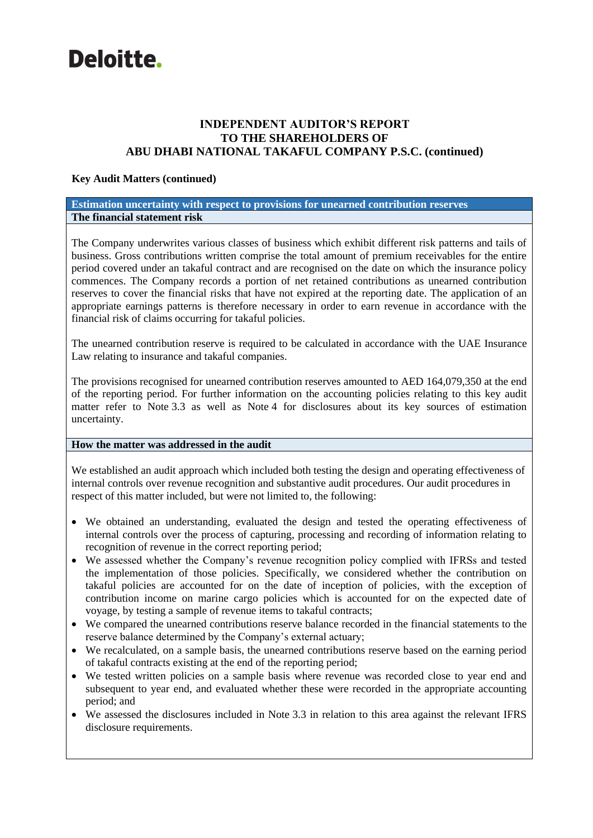# **INDEPENDENT AUDITOR'S REPORT TO THE SHAREHOLDERS OF ABU DHABI NATIONAL TAKAFUL COMPANY P.S.C. (continued)**

## **Key Audit Matters (continued)**

## **Estimation uncertainty with respect to provisions for unearned contribution reserves The financial statement risk**

The Company underwrites various classes of business which exhibit different risk patterns and tails of business. Gross contributions written comprise the total amount of premium receivables for the entire period covered under an takaful contract and are recognised on the date on which the insurance policy commences. The Company records a portion of net retained contributions as unearned contribution reserves to cover the financial risks that have not expired at the reporting date. The application of an appropriate earnings patterns is therefore necessary in order to earn revenue in accordance with the financial risk of claims occurring for takaful policies.

The unearned contribution reserve is required to be calculated in accordance with the UAE Insurance Law relating to insurance and takaful companies.

The provisions recognised for unearned contribution reserves amounted to AED 164,079,350 at the end of the reporting period. For further information on the accounting policies relating to this key audit matter refer to Note 3.3 as well as Note 4 for disclosures about its key sources of estimation uncertainty.

#### **How the matter was addressed in the audit**

We established an audit approach which included both testing the design and operating effectiveness of internal controls over revenue recognition and substantive audit procedures. Our audit procedures in respect of this matter included, but were not limited to, the following:

- We obtained an understanding, evaluated the design and tested the operating effectiveness of internal controls over the process of capturing, processing and recording of information relating to recognition of revenue in the correct reporting period;
- We assessed whether the Company's revenue recognition policy complied with IFRSs and tested the implementation of those policies. Specifically, we considered whether the contribution on takaful policies are accounted for on the date of inception of policies, with the exception of contribution income on marine cargo policies which is accounted for on the expected date of voyage, by testing a sample of revenue items to takaful contracts;
- We compared the unearned contributions reserve balance recorded in the financial statements to the reserve balance determined by the Company's external actuary;
- We recalculated, on a sample basis, the unearned contributions reserve based on the earning period of takaful contracts existing at the end of the reporting period;
- We tested written policies on a sample basis where revenue was recorded close to year end and subsequent to year end, and evaluated whether these were recorded in the appropriate accounting period; and
- We assessed the disclosures included in Note 3.3 in relation to this area against the relevant IFRS disclosure requirements.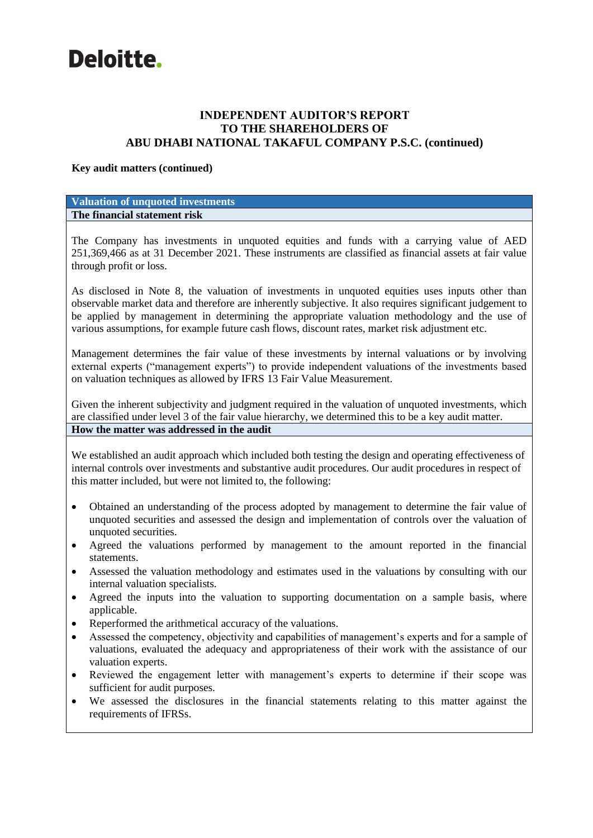

# **INDEPENDENT AUDITOR'S REPORT TO THE SHAREHOLDERS OF ABU DHABI NATIONAL TAKAFUL COMPANY P.S.C. (continued)**

#### **Key audit matters (continued)**

# **Valuation of unquoted investments**

**The financial statement risk**

The Company has investments in unquoted equities and funds with a carrying value of AED 251,369,466 as at 31 December 2021. These instruments are classified as financial assets at fair value through profit or loss.

As disclosed in Note 8, the valuation of investments in unquoted equities uses inputs other than observable market data and therefore are inherently subjective. It also requires significant judgement to be applied by management in determining the appropriate valuation methodology and the use of various assumptions, for example future cash flows, discount rates, market risk adjustment etc.

Management determines the fair value of these investments by internal valuations or by involving external experts ("management experts") to provide independent valuations of the investments based on valuation techniques as allowed by IFRS 13 Fair Value Measurement.

Given the inherent subjectivity and judgment required in the valuation of unquoted investments, which are classified under level 3 of the fair value hierarchy, we determined this to be a key audit matter. **How the matter was addressed in the audit**

We established an audit approach which included both testing the design and operating effectiveness of internal controls over investments and substantive audit procedures. Our audit procedures in respect of this matter included, but were not limited to, the following:

- Obtained an understanding of the process adopted by management to determine the fair value of unquoted securities and assessed the design and implementation of controls over the valuation of unquoted securities.
- Agreed the valuations performed by management to the amount reported in the financial statements.
- Assessed the valuation methodology and estimates used in the valuations by consulting with our internal valuation specialists.
- Agreed the inputs into the valuation to supporting documentation on a sample basis, where applicable.
- Reperformed the arithmetical accuracy of the valuations.
- Assessed the competency, objectivity and capabilities of management's experts and for a sample of valuations, evaluated the adequacy and appropriateness of their work with the assistance of our valuation experts.
- Reviewed the engagement letter with management's experts to determine if their scope was sufficient for audit purposes.
- We assessed the disclosures in the financial statements relating to this matter against the requirements of IFRSs.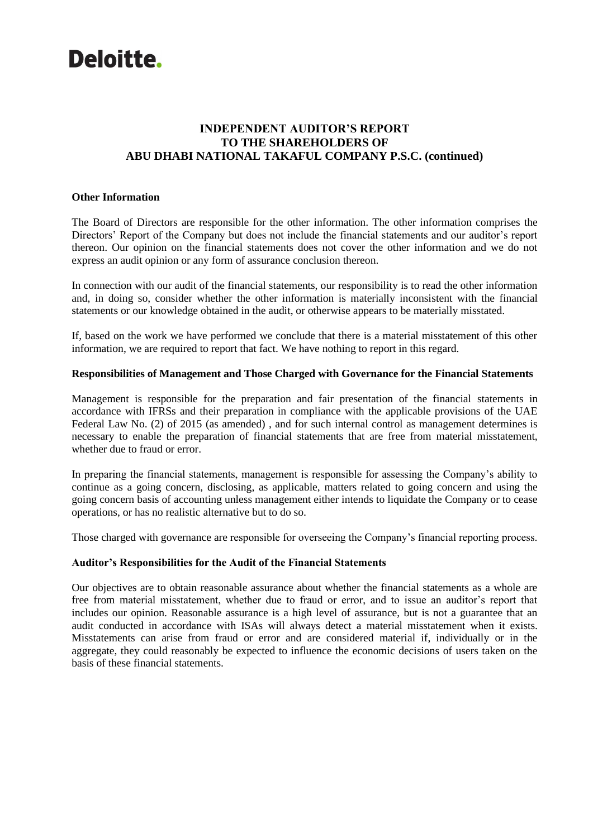# **INDEPENDENT AUDITOR'S REPORT TO THE SHAREHOLDERS OF ABU DHABI NATIONAL TAKAFUL COMPANY P.S.C. (continued)**

#### **Other Information**

The Board of Directors are responsible for the other information. The other information comprises the Directors' Report of the Company but does not include the financial statements and our auditor's report thereon. Our opinion on the financial statements does not cover the other information and we do not express an audit opinion or any form of assurance conclusion thereon.

In connection with our audit of the financial statements, our responsibility is to read the other information and, in doing so, consider whether the other information is materially inconsistent with the financial statements or our knowledge obtained in the audit, or otherwise appears to be materially misstated.

If, based on the work we have performed we conclude that there is a material misstatement of this other information, we are required to report that fact. We have nothing to report in this regard.

#### **Responsibilities of Management and Those Charged with Governance for the Financial Statements**

Management is responsible for the preparation and fair presentation of the financial statements in accordance with IFRSs and their preparation in compliance with the applicable provisions of the UAE Federal Law No. (2) of 2015 (as amended), and for such internal control as management determines is necessary to enable the preparation of financial statements that are free from material misstatement, whether due to fraud or error.

In preparing the financial statements, management is responsible for assessing the Company's ability to continue as a going concern, disclosing, as applicable, matters related to going concern and using the going concern basis of accounting unless management either intends to liquidate the Company or to cease operations, or has no realistic alternative but to do so.

Those charged with governance are responsible for overseeing the Company's financial reporting process.

#### **Auditor's Responsibilities for the Audit of the Financial Statements**

Our objectives are to obtain reasonable assurance about whether the financial statements as a whole are free from material misstatement, whether due to fraud or error, and to issue an auditor's report that includes our opinion. Reasonable assurance is a high level of assurance, but is not a guarantee that an audit conducted in accordance with ISAs will always detect a material misstatement when it exists. Misstatements can arise from fraud or error and are considered material if, individually or in the aggregate, they could reasonably be expected to influence the economic decisions of users taken on the basis of these financial statements.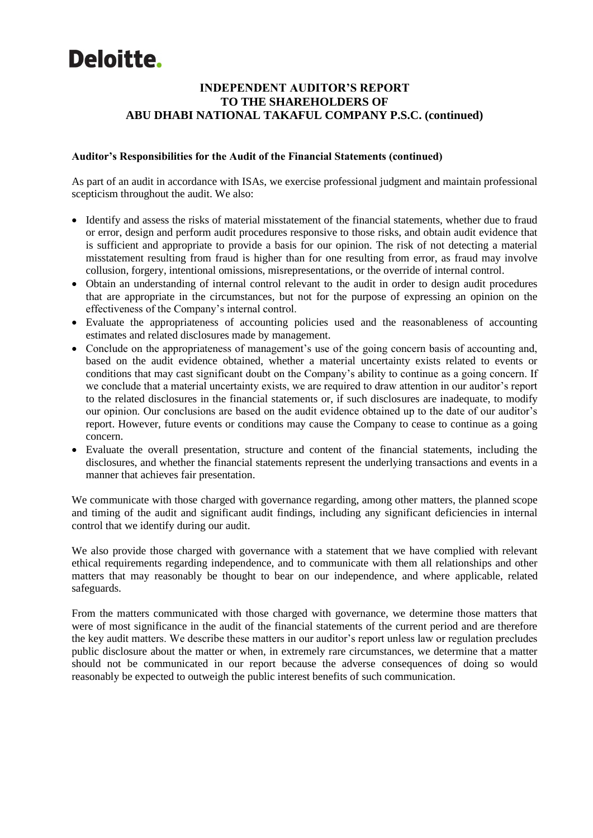# **INDEPENDENT AUDITOR'S REPORT TO THE SHAREHOLDERS OF ABU DHABI NATIONAL TAKAFUL COMPANY P.S.C. (continued)**

## **Auditor's Responsibilities for the Audit of the Financial Statements (continued)**

As part of an audit in accordance with ISAs, we exercise professional judgment and maintain professional scepticism throughout the audit. We also:

- Identify and assess the risks of material misstatement of the financial statements, whether due to fraud or error, design and perform audit procedures responsive to those risks, and obtain audit evidence that is sufficient and appropriate to provide a basis for our opinion. The risk of not detecting a material misstatement resulting from fraud is higher than for one resulting from error, as fraud may involve collusion, forgery, intentional omissions, misrepresentations, or the override of internal control.
- Obtain an understanding of internal control relevant to the audit in order to design audit procedures that are appropriate in the circumstances, but not for the purpose of expressing an opinion on the effectiveness of the Company's internal control.
- Evaluate the appropriateness of accounting policies used and the reasonableness of accounting estimates and related disclosures made by management.
- Conclude on the appropriateness of management's use of the going concern basis of accounting and, based on the audit evidence obtained, whether a material uncertainty exists related to events or conditions that may cast significant doubt on the Company's ability to continue as a going concern. If we conclude that a material uncertainty exists, we are required to draw attention in our auditor's report to the related disclosures in the financial statements or, if such disclosures are inadequate, to modify our opinion. Our conclusions are based on the audit evidence obtained up to the date of our auditor's report. However, future events or conditions may cause the Company to cease to continue as a going concern.
- Evaluate the overall presentation, structure and content of the financial statements, including the disclosures, and whether the financial statements represent the underlying transactions and events in a manner that achieves fair presentation.

We communicate with those charged with governance regarding, among other matters, the planned scope and timing of the audit and significant audit findings, including any significant deficiencies in internal control that we identify during our audit.

We also provide those charged with governance with a statement that we have complied with relevant ethical requirements regarding independence, and to communicate with them all relationships and other matters that may reasonably be thought to bear on our independence, and where applicable, related safeguards.

From the matters communicated with those charged with governance, we determine those matters that were of most significance in the audit of the financial statements of the current period and are therefore the key audit matters. We describe these matters in our auditor's report unless law or regulation precludes public disclosure about the matter or when, in extremely rare circumstances, we determine that a matter should not be communicated in our report because the adverse consequences of doing so would reasonably be expected to outweigh the public interest benefits of such communication.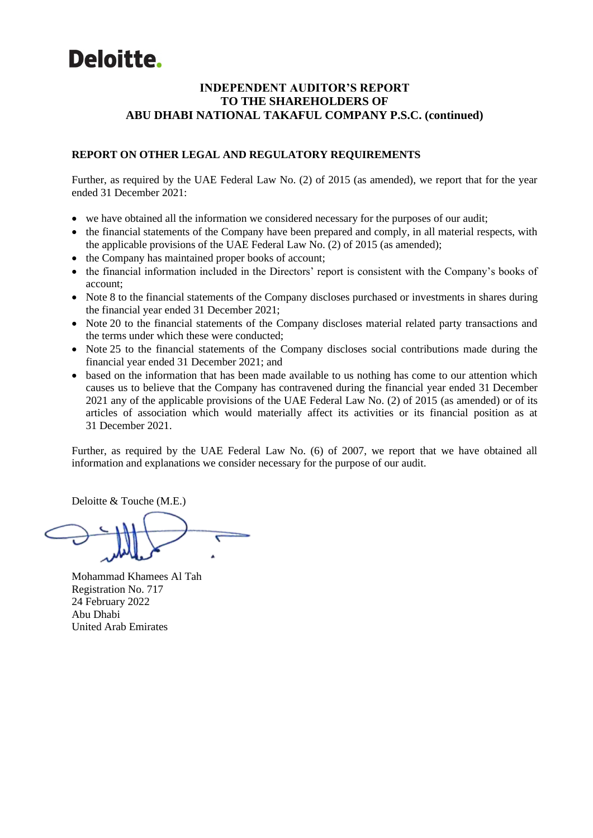# **INDEPENDENT AUDITOR'S REPORT TO THE SHAREHOLDERS OF ABU DHABI NATIONAL TAKAFUL COMPANY P.S.C. (continued)**

## **REPORT ON OTHER LEGAL AND REGULATORY REQUIREMENTS**

Further, as required by the UAE Federal Law No. (2) of 2015 (as amended), we report that for the year ended 31 December 2021:

- we have obtained all the information we considered necessary for the purposes of our audit;
- the financial statements of the Company have been prepared and comply, in all material respects, with the applicable provisions of the UAE Federal Law No. (2) of 2015 (as amended);
- the Company has maintained proper books of account;
- the financial information included in the Directors' report is consistent with the Company's books of account;
- Note 8 to the financial statements of the Company discloses purchased or investments in shares during the financial year ended 31 December 2021;
- Note 20 to the financial statements of the Company discloses material related party transactions and the terms under which these were conducted;
- Note 25 to the financial statements of the Company discloses social contributions made during the financial year ended 31 December 2021; and
- based on the information that has been made available to us nothing has come to our attention which causes us to believe that the Company has contravened during the financial year ended 31 December 2021 any of the applicable provisions of the UAE Federal Law No. (2) of 2015 (as amended) or of its articles of association which would materially affect its activities or its financial position as at 31 December 2021.

Further, as required by the UAE Federal Law No. (6) of 2007, we report that we have obtained all information and explanations we consider necessary for the purpose of our audit.

Deloitte & Touche (M.E.)

۲

Mohammad Khamees Al Tah Registration No. 717 24 February 2022 Abu Dhabi United Arab Emirates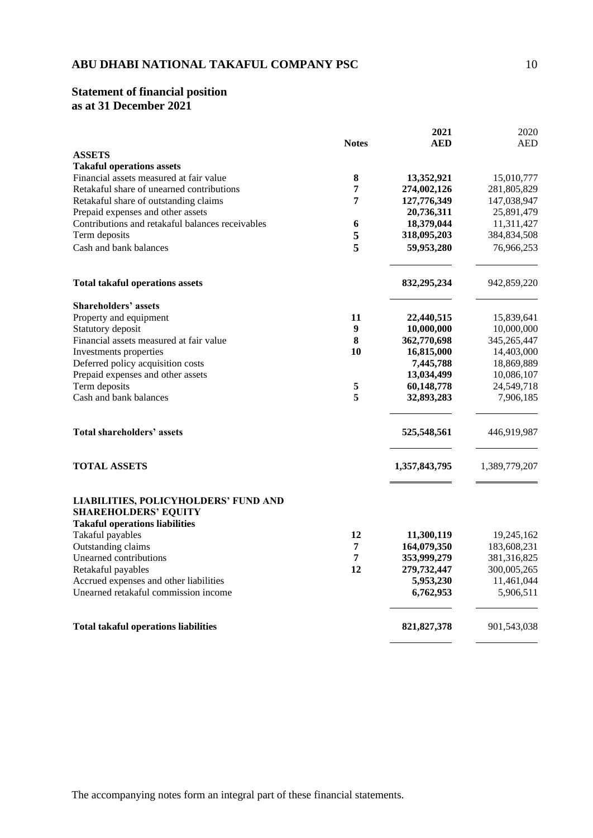## **Statement of financial position as at 31 December 2021**

|                                                                                                                     |                  | 2021          | 2020          |
|---------------------------------------------------------------------------------------------------------------------|------------------|---------------|---------------|
|                                                                                                                     | <b>Notes</b>     | <b>AED</b>    | <b>AED</b>    |
| <b>ASSETS</b>                                                                                                       |                  |               |               |
| <b>Takaful operations assets</b>                                                                                    |                  |               |               |
| Financial assets measured at fair value                                                                             | 8                | 13,352,921    | 15,010,777    |
| Retakaful share of unearned contributions                                                                           | 7                | 274,002,126   | 281,805,829   |
| Retakaful share of outstanding claims                                                                               | 7                | 127,776,349   | 147,038,947   |
| Prepaid expenses and other assets                                                                                   |                  | 20,736,311    | 25,891,479    |
| Contributions and retakaful balances receivables                                                                    | 6                | 18,379,044    | 11,311,427    |
| Term deposits                                                                                                       | 5                | 318,095,203   | 384,834,508   |
| Cash and bank balances                                                                                              | 5                | 59,953,280    | 76,966,253    |
| <b>Total takaful operations assets</b>                                                                              |                  | 832,295,234   | 942,859,220   |
| <b>Shareholders' assets</b>                                                                                         |                  |               |               |
| Property and equipment                                                                                              | 11               | 22,440,515    | 15,839,641    |
| Statutory deposit                                                                                                   | $\boldsymbol{9}$ | 10,000,000    | 10,000,000    |
| Financial assets measured at fair value                                                                             | 8                | 362,770,698   | 345,265,447   |
| Investments properties                                                                                              | 10               | 16,815,000    | 14,403,000    |
| Deferred policy acquisition costs                                                                                   |                  | 7,445,788     | 18,869,889    |
| Prepaid expenses and other assets                                                                                   |                  | 13,034,499    | 10,086,107    |
| Term deposits<br>Cash and bank balances                                                                             | 5<br>5           | 60,148,778    | 24,549,718    |
|                                                                                                                     |                  | 32,893,283    | 7,906,185     |
| <b>Total shareholders' assets</b>                                                                                   |                  | 525,548,561   | 446,919,987   |
| <b>TOTAL ASSETS</b>                                                                                                 |                  | 1,357,843,795 | 1,389,779,207 |
| <b>LIABILITIES, POLICYHOLDERS' FUND AND</b><br><b>SHAREHOLDERS' EQUITY</b><br><b>Takaful operations liabilities</b> |                  |               |               |
| Takaful payables                                                                                                    | 12               | 11,300,119    | 19,245,162    |
| Outstanding claims                                                                                                  | 7                | 164,079,350   | 183,608,231   |
| Unearned contributions                                                                                              | 7                | 353,999,279   | 381,316,825   |
| Retakaful payables                                                                                                  | 12               | 279,732,447   | 300,005,265   |
| Accrued expenses and other liabilities                                                                              |                  | 5,953,230     | 11,461,044    |
| Unearned retakaful commission income                                                                                |                  | 6,762,953     | 5,906,511     |
| <b>Total takaful operations liabilities</b>                                                                         |                  | 821, 827, 378 | 901,543,038   |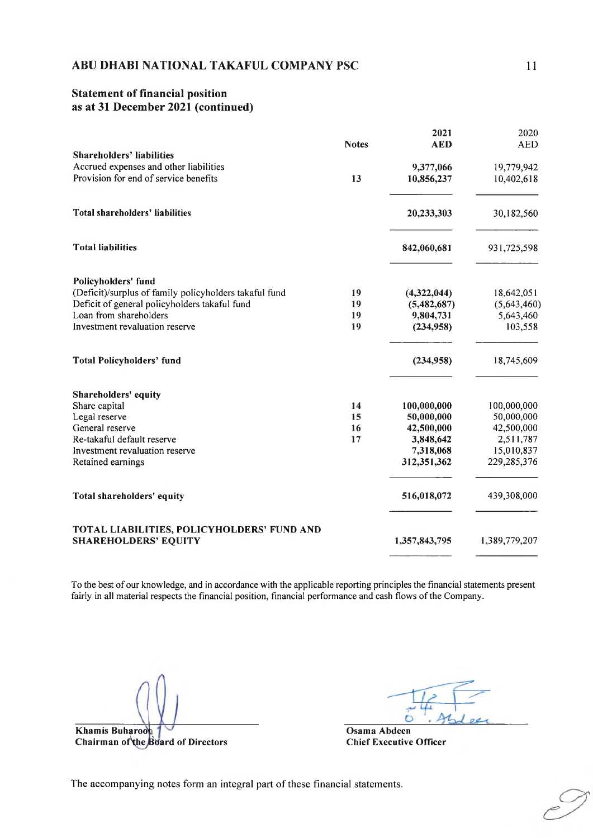## **Statement of financial position** as at 31 December 2021 (continued)

|                                                                           |              | 2021          | 2020          |
|---------------------------------------------------------------------------|--------------|---------------|---------------|
|                                                                           | <b>Notes</b> | <b>AED</b>    | <b>AED</b>    |
| Shareholders' liabilities                                                 |              |               |               |
| Accrued expenses and other liabilities                                    |              | 9,377,066     | 19,779,942    |
| Provision for end of service benefits                                     | 13           | 10,856,237    | 10,402,618    |
| Total shareholders' liabilities                                           |              | 20,233,303    | 30,182,560    |
| <b>Total liabilities</b>                                                  |              | 842,060,681   | 931,725,598   |
| Policyholders' fund                                                       |              |               |               |
| (Deficit)/surplus of family policyholders takaful fund                    | 19           | (4,322,044)   | 18,642,051    |
| Deficit of general policyholders takaful fund                             | 19           | (5,482,687)   | (5,643,460)   |
| Loan from shareholders                                                    | 19           | 9,804,731     | 5,643,460     |
| Investment revaluation reserve                                            | 19           | (234,958)     | 103,558       |
| <b>Total Policyholders' fund</b>                                          |              | (234,958)     | 18,745,609    |
| Shareholders' equity                                                      |              |               |               |
| Share capital                                                             | 14           | 100,000,000   | 100,000,000   |
| Legal reserve                                                             | 15           | 50,000,000    | 50,000,000    |
| General reserve                                                           | 16           | 42,500,000    | 42,500,000    |
| Re-takaful default reserve                                                | 17           | 3,848,642     | 2,511,787     |
| Investment revaluation reserve                                            |              | 7,318,068     | 15,010,837    |
| Retained earnings                                                         |              | 312,351,362   | 229,285,376   |
| Total shareholders' equity                                                |              | 516,018,072   | 439,308,000   |
| TOTAL LIABILITIES, POLICYHOLDERS' FUND AND<br><b>SHAREHOLDERS' EQUITY</b> |              | 1,357,843,795 | 1,389,779,207 |

To the best of our knowledge, and in accordance with the applicable reporting principles the financial statements present fairly in all material respects the financial position, financial performance and cash flows of the Company.

**Khamis Buharoop** Chairman of the Board of Directors

Osama Abdeen **Chief Executive Officer** 

The accompanying notes form an integral part of these financial statements.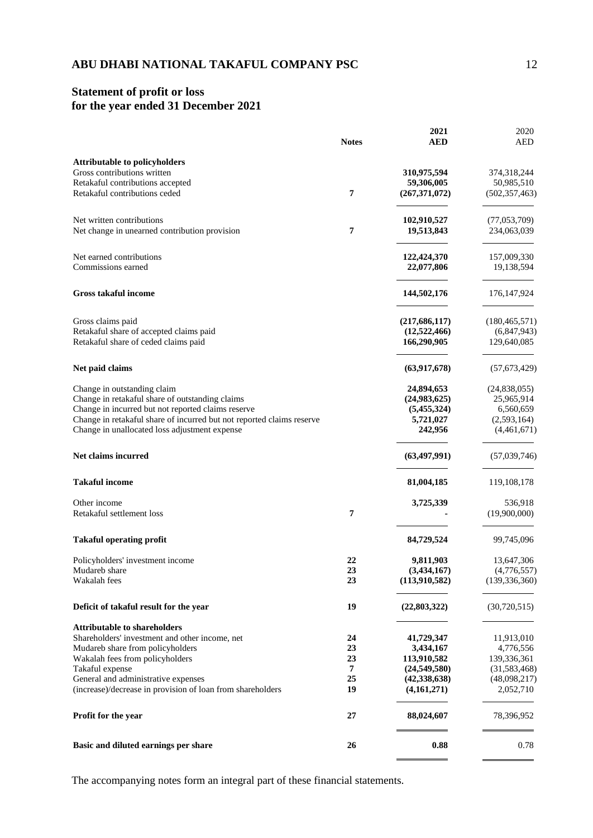## **Statement of profit or loss for the year ended 31 December 2021**

|                                                                                                   | <b>Notes</b> | 2021<br><b>AED</b>            | 2020<br><b>AED</b>        |
|---------------------------------------------------------------------------------------------------|--------------|-------------------------------|---------------------------|
| <b>Attributable to policyholders</b>                                                              |              |                               |                           |
| Gross contributions written                                                                       |              | 310,975,594                   | 374,318,244               |
| Retakaful contributions accepted                                                                  |              | 59,306,005                    | 50,985,510                |
| Retakaful contributions ceded                                                                     | 7            | (267,371,072)                 | (502, 357, 463)           |
| Net written contributions                                                                         |              | 102,910,527                   | (77,053,709)              |
| Net change in unearned contribution provision                                                     | 7            | 19,513,843                    | 234,063,039               |
| Net earned contributions                                                                          |              | 122,424,370                   | 157,009,330               |
| Commissions earned                                                                                |              | 22,077,806                    | 19,138,594                |
| Gross takaful income                                                                              |              | 144,502,176                   | 176, 147, 924             |
| Gross claims paid                                                                                 |              | (217, 686, 117)               | (180, 465, 571)           |
| Retakaful share of accepted claims paid                                                           |              | (12,522,466)                  | (6,847,943)               |
| Retakaful share of ceded claims paid                                                              |              | 166,290,905                   | 129,640,085               |
| Net paid claims                                                                                   |              | (63,917,678)                  | (57, 673, 429)            |
| Change in outstanding claim                                                                       |              | 24,894,653                    | (24,838,055)              |
| Change in retakaful share of outstanding claims                                                   |              | (24,983,625)                  | 25,965,914                |
| Change in incurred but not reported claims reserve                                                |              | (5,455,324)                   | 6,560,659                 |
| Change in retakaful share of incurred but not reported claims reserve                             |              | 5,721,027                     | (2,593,164)               |
| Change in unallocated loss adjustment expense                                                     |              | 242,956                       | (4,461,671)               |
| Net claims incurred                                                                               |              | (63, 497, 991)                | (57,039,746)              |
| <b>Takaful income</b>                                                                             |              | 81,004,185                    | 119,108,178               |
| Other income                                                                                      |              | 3,725,339                     | 536,918                   |
| Retakaful settlement loss                                                                         | 7            |                               | (19,900,000)              |
| <b>Takaful operating profit</b>                                                                   |              | 84,729,524                    | 99,745,096                |
| Policyholders' investment income                                                                  | 22           | 9,811,903                     | 13,647,306                |
| Mudareb share                                                                                     | 23           | (3, 434, 167)                 | (4,776,557)               |
| Wakalah fees                                                                                      | 23           | (113, 910, 582)               | (139, 336, 360)           |
| Deficit of takaful result for the year                                                            | 19           | (22,803,322)                  | (30,720,515)              |
| <b>Attributable to shareholders</b>                                                               |              |                               |                           |
| Shareholders' investment and other income, net                                                    | 24           | 41,729,347                    | 11,913,010                |
| Mudareb share from policyholders                                                                  | 23           | 3,434,167                     | 4,776,556                 |
| Wakalah fees from policyholders                                                                   | 23           | 113,910,582                   | 139,336,361               |
| Takaful expense                                                                                   | 7            | (24,549,580)                  | (31, 583, 468)            |
| General and administrative expenses<br>(increase)/decrease in provision of loan from shareholders | 25<br>19     | (42, 338, 638)<br>(4,161,271) | (48,098,217)<br>2,052,710 |
| Profit for the year                                                                               | 27           | 88,024,607                    | 78,396,952                |
|                                                                                                   |              |                               |                           |
| Basic and diluted earnings per share                                                              | 26           | 0.88                          | 0.78                      |

The accompanying notes form an integral part of these financial statements.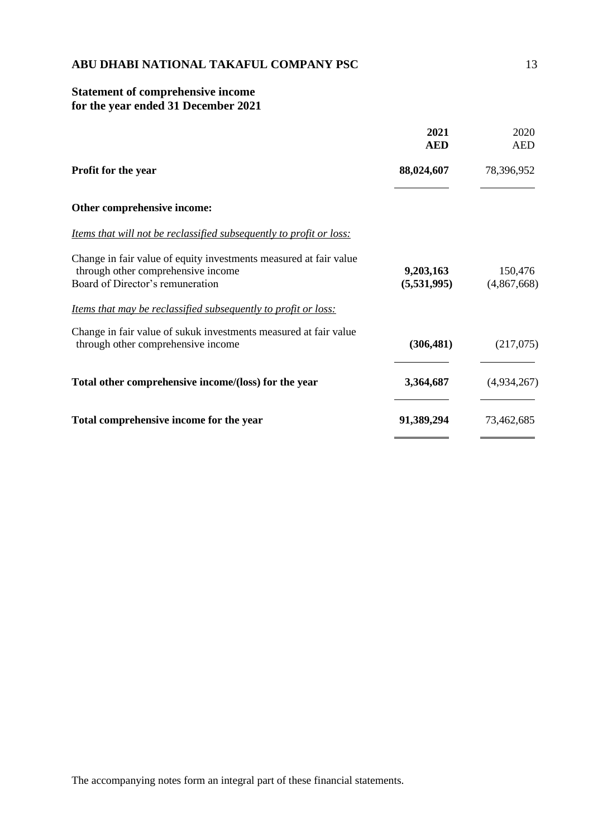## **Statement of comprehensive income for the year ended 31 December 2021**

|                                                                                                                                             | 2021<br><b>AED</b>       | 2020<br><b>AED</b>     |
|---------------------------------------------------------------------------------------------------------------------------------------------|--------------------------|------------------------|
| Profit for the year                                                                                                                         | 88,024,607               | 78,396,952             |
| Other comprehensive income:                                                                                                                 |                          |                        |
| <u>Items that will not be reclassified subsequently to profit or loss:</u>                                                                  |                          |                        |
| Change in fair value of equity investments measured at fair value<br>through other comprehensive income<br>Board of Director's remuneration | 9,203,163<br>(5,531,995) | 150,476<br>(4,867,668) |
| Items that may be reclassified subsequently to profit or loss:                                                                              |                          |                        |
| Change in fair value of sukuk investments measured at fair value<br>through other comprehensive income                                      | (306, 481)               | (217,075)              |
| Total other comprehensive income/(loss) for the year                                                                                        | 3,364,687                | (4,934,267)            |
| Total comprehensive income for the year                                                                                                     | 91,389,294               | 73,462,685             |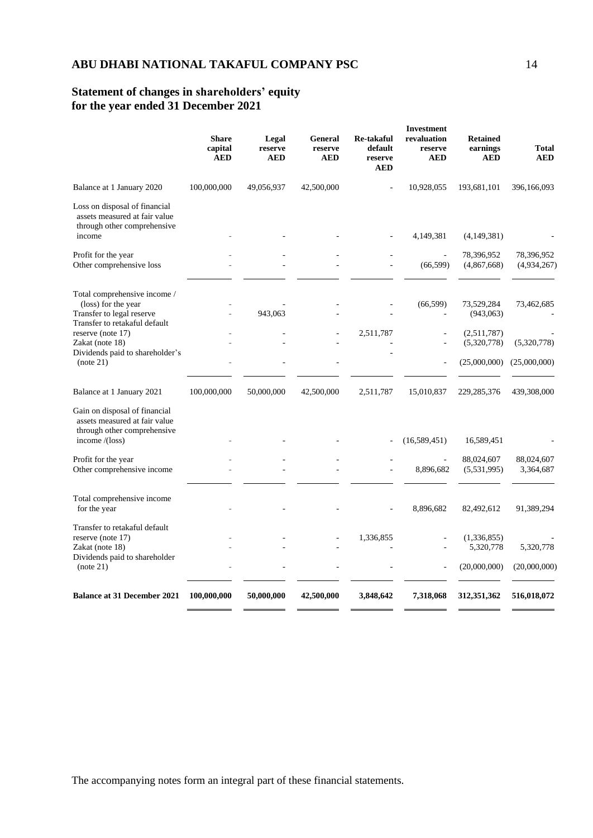## **Statement of changes in shareholders' equity for the year ended 31 December 2021**

|                                                                                                         | <b>Share</b><br>capital | Legal<br>reserve | General<br>reserve | Re-takaful<br>default | <b>Investment</b><br>revaluation<br>reserve | <b>Retained</b><br>earnings | Total                     |
|---------------------------------------------------------------------------------------------------------|-------------------------|------------------|--------------------|-----------------------|---------------------------------------------|-----------------------------|---------------------------|
|                                                                                                         | <b>AED</b>              | <b>AED</b>       | <b>AED</b>         | reserve<br><b>AED</b> | <b>AED</b>                                  | <b>AED</b>                  | <b>AED</b>                |
| Balance at 1 January 2020                                                                               | 100,000,000             | 49,056,937       | 42,500,000         |                       | 10,928,055                                  | 193,681,101                 | 396,166,093               |
| Loss on disposal of financial<br>assets measured at fair value<br>through other comprehensive<br>income |                         |                  |                    |                       | 4,149,381                                   | (4,149,381)                 |                           |
|                                                                                                         |                         |                  |                    |                       |                                             |                             |                           |
| Profit for the year<br>Other comprehensive loss                                                         |                         |                  |                    | L.                    | (66, 599)                                   | 78,396,952<br>(4,867,668)   | 78,396,952<br>(4,934,267) |
| Total comprehensive income /                                                                            |                         |                  |                    |                       |                                             |                             |                           |
| (loss) for the year                                                                                     |                         |                  |                    |                       | (66, 599)                                   | 73,529,284                  | 73,462,685                |
| Transfer to legal reserve                                                                               |                         | 943,063          |                    |                       |                                             | (943,063)                   |                           |
| Transfer to retakaful default<br>reserve (note 17)                                                      |                         |                  |                    | 2,511,787             |                                             | (2,511,787)                 |                           |
| Zakat (note 18)                                                                                         |                         |                  |                    |                       |                                             | (5,320,778)                 | (5,320,778)               |
| Dividends paid to shareholder's                                                                         |                         |                  |                    |                       |                                             |                             |                           |
| (note 21)                                                                                               |                         |                  |                    |                       |                                             | (25,000,000)                | (25,000,000)              |
| Balance at 1 January 2021                                                                               | 100,000,000             | 50,000,000       | 42,500,000         | 2,511,787             | 15,010,837                                  | 229, 285, 376               | 439,308,000               |
| Gain on disposal of financial<br>assets measured at fair value<br>through other comprehensive           |                         |                  |                    |                       |                                             |                             |                           |
| income /(loss)                                                                                          |                         |                  |                    |                       | (16,589,451)                                | 16,589,451                  |                           |
| Profit for the year<br>Other comprehensive income                                                       |                         |                  |                    |                       | 8,896,682                                   | 88,024,607<br>(5,531,995)   | 88,024,607<br>3,364,687   |
|                                                                                                         |                         |                  |                    |                       |                                             |                             |                           |
| Total comprehensive income<br>for the year                                                              |                         |                  |                    |                       | 8,896,682                                   | 82,492,612                  | 91,389,294                |
| Transfer to retakaful default                                                                           |                         |                  |                    |                       |                                             |                             |                           |
| reserve (note 17)                                                                                       |                         |                  |                    | 1,336,855             |                                             | (1,336,855)                 |                           |
| Zakat (note 18)                                                                                         |                         |                  |                    |                       |                                             | 5,320,778                   | 5,320,778                 |
| Dividends paid to shareholder<br>(note 21)                                                              |                         |                  |                    |                       |                                             | (20,000,000)                | (20,000,000)              |
| <b>Balance at 31 December 2021</b>                                                                      | 100,000,000             | 50,000,000       | 42,500,000         | 3,848,642             | 7,318,068                                   | 312,351,362                 | 516,018,072               |
|                                                                                                         |                         |                  |                    |                       |                                             |                             |                           |

The accompanying notes form an integral part of these financial statements.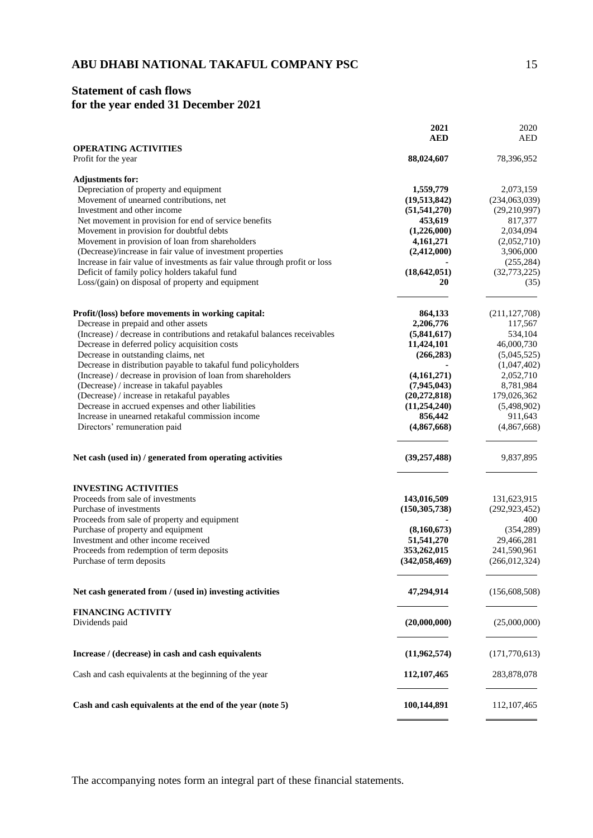# **Statement of cash flows for the year ended 31 December 2021**

| <b>OPERATING ACTIVITIES</b>                                                | <b>AED</b>                     | <b>AED</b>               |
|----------------------------------------------------------------------------|--------------------------------|--------------------------|
|                                                                            |                                |                          |
|                                                                            |                                |                          |
| Profit for the year                                                        | 88,024,607                     | 78,396,952               |
| <b>Adjustments for:</b>                                                    |                                |                          |
| Depreciation of property and equipment                                     | 1,559,779                      | 2,073,159                |
| Movement of unearned contributions, net                                    | (19,513,842)                   | (234,063,039)            |
| Investment and other income                                                | (51, 541, 270)                 | (29,210,997)             |
| Net movement in provision for end of service benefits                      | 453,619                        | 817,377                  |
| Movement in provision for doubtful debts                                   | (1,226,000)                    | 2,034,094                |
| Movement in provision of loan from shareholders                            | 4,161,271                      | (2,052,710)              |
| (Decrease)/increase in fair value of investment properties                 | (2,412,000)                    | 3,906,000                |
| Increase in fair value of investments as fair value through profit or loss |                                | (255, 284)               |
| Deficit of family policy holders takaful fund                              | (18, 642, 051)                 | (32,773,225)             |
| Loss/(gain) on disposal of property and equipment                          | 20                             | (35)                     |
|                                                                            |                                |                          |
| Profit/(loss) before movements in working capital:                         | 864,133                        | (211, 127, 708)          |
| Decrease in prepaid and other assets                                       | 2,206,776                      | 117,567                  |
| (Increase) / decrease in contributions and retakaful balances receivables  | (5,841,617)                    | 534,104                  |
| Decrease in deferred policy acquisition costs                              | 11,424,101                     | 46,000,730               |
| Decrease in outstanding claims, net                                        | (266, 283)                     | (5,045,525)              |
| Decrease in distribution payable to takaful fund policyholders             |                                | (1,047,402)              |
| (Increase) / decrease in provision of loan from shareholders               | (4,161,271)                    | 2,052,710                |
| (Decrease) / increase in takaful payables                                  | (7, 945, 043)                  | 8,781,984                |
| (Decrease) / increase in retakaful payables                                | (20, 272, 818)                 | 179,026,362              |
| Decrease in accrued expenses and other liabilities                         | (11, 254, 240)                 | (5,498,902)              |
| Increase in unearned retakaful commission income                           | 856,442                        | 911,643                  |
| Directors' remuneration paid                                               | (4,867,668)                    | (4,867,668)              |
| Net cash (used in) / generated from operating activities                   | (39, 257, 488)                 | 9,837,895                |
| <b>INVESTING ACTIVITIES</b>                                                |                                |                          |
| Proceeds from sale of investments                                          |                                |                          |
| Purchase of investments                                                    | 143,016,509<br>(150, 305, 738) | 131,623,915              |
|                                                                            |                                | (292, 923, 452)<br>400   |
| Proceeds from sale of property and equipment                               |                                |                          |
| Purchase of property and equipment<br>Investment and other income received | (8,160,673)<br>51,541,270      | (354, 289)<br>29,466,281 |
| Proceeds from redemption of term deposits                                  | 353,262,015                    | 241,590,961              |
| Purchase of term deposits                                                  | (342, 058, 469)                | (266, 012, 324)          |
|                                                                            |                                |                          |
| Net cash generated from / (used in) investing activities                   | 47,294,914                     | (156, 608, 508)          |
| <b>FINANCING ACTIVITY</b>                                                  |                                |                          |
| Dividends paid                                                             | (20,000,000)                   | (25,000,000)             |
| Increase / (decrease) in cash and cash equivalents                         | (11,962,574)                   | (171, 770, 613)          |
|                                                                            |                                |                          |
| Cash and cash equivalents at the beginning of the year                     | 112,107,465                    | 283,878,078              |
| Cash and cash equivalents at the end of the year (note 5)                  | 100,144,891                    | 112, 107, 465            |

The accompanying notes form an integral part of these financial statements.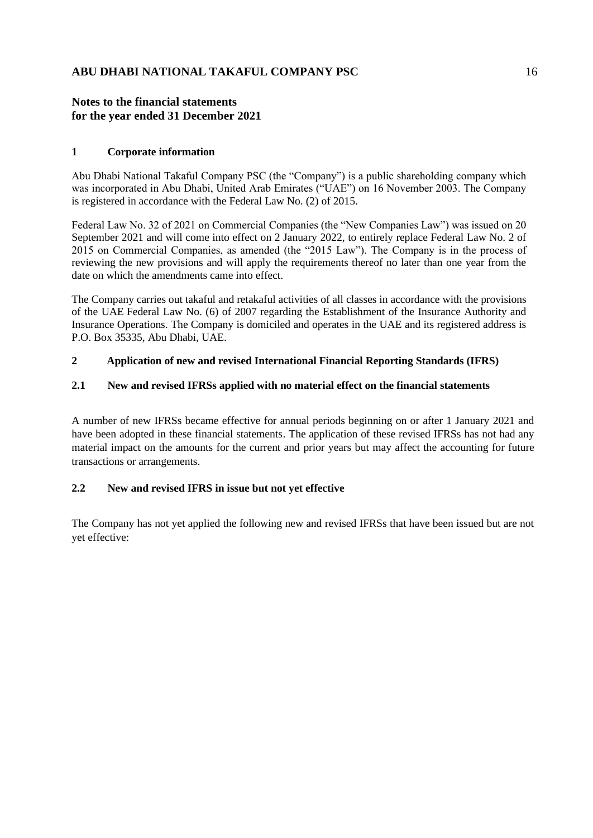## **Notes to the financial statements for the year ended 31 December 2021**

#### **1 Corporate information**

Abu Dhabi National Takaful Company PSC (the "Company") is a public shareholding company which was incorporated in Abu Dhabi, United Arab Emirates ("UAE") on 16 November 2003. The Company is registered in accordance with the Federal Law No. (2) of 2015.

Federal Law No. 32 of 2021 on Commercial Companies (the "New Companies Law") was issued on 20 September 2021 and will come into effect on 2 January 2022, to entirely replace Federal Law No. 2 of 2015 on Commercial Companies, as amended (the "2015 Law"). The Company is in the process of reviewing the new provisions and will apply the requirements thereof no later than one year from the date on which the amendments came into effect.

The Company carries out takaful and retakaful activities of all classes in accordance with the provisions of the UAE Federal Law No. (6) of 2007 regarding the Establishment of the Insurance Authority and Insurance Operations. The Company is domiciled and operates in the UAE and its registered address is P.O. Box 35335, Abu Dhabi, UAE.

## **2 Application of new and revised International Financial Reporting Standards (IFRS)**

## **2.1 New and revised IFRSs applied with no material effect on the financial statements**

A number of new IFRSs became effective for annual periods beginning on or after 1 January 2021 and have been adopted in these financial statements. The application of these revised IFRSs has not had any material impact on the amounts for the current and prior years but may affect the accounting for future transactions or arrangements.

#### **2.2 New and revised IFRS in issue but not yet effective**

The Company has not yet applied the following new and revised IFRSs that have been issued but are not yet effective: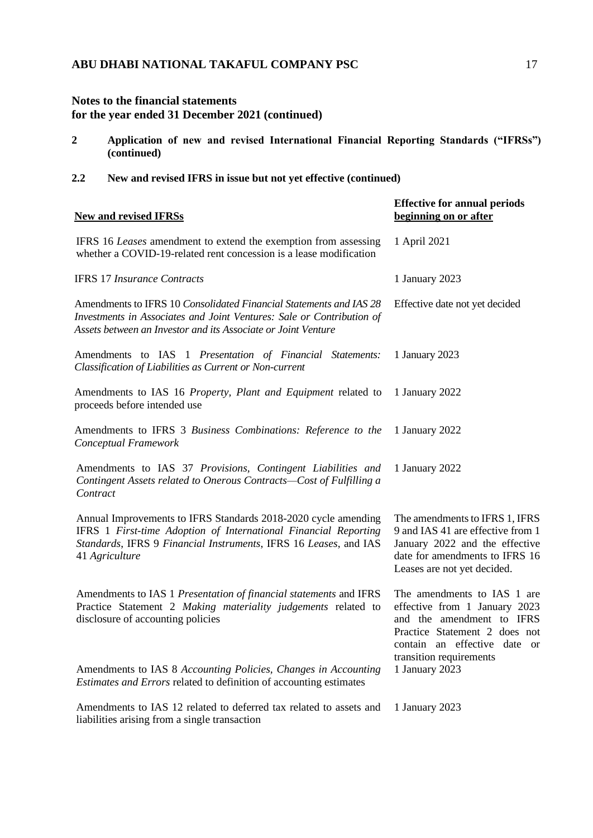## **Notes to the financial statements for the year ended 31 December 2021 (continued)**

- **2 Application of new and revised International Financial Reporting Standards ("IFRSs") (continued)**
- **2.2 New and revised IFRS in issue but not yet effective (continued)**

| <b>New and revised IFRSs</b>                                                                                                                                                                                            | <b>Effective for annual periods</b><br>beginning on or after                                                                                                                                           |
|-------------------------------------------------------------------------------------------------------------------------------------------------------------------------------------------------------------------------|--------------------------------------------------------------------------------------------------------------------------------------------------------------------------------------------------------|
| IFRS 16 Leases amendment to extend the exemption from assessing<br>whether a COVID-19-related rent concession is a lease modification                                                                                   | 1 April 2021                                                                                                                                                                                           |
| <b>IFRS 17 Insurance Contracts</b>                                                                                                                                                                                      | 1 January 2023                                                                                                                                                                                         |
| Amendments to IFRS 10 Consolidated Financial Statements and IAS 28<br>Investments in Associates and Joint Ventures: Sale or Contribution of<br>Assets between an Investor and its Associate or Joint Venture            | Effective date not yet decided                                                                                                                                                                         |
| Amendments to IAS 1 Presentation of Financial Statements:<br>Classification of Liabilities as Current or Non-current                                                                                                    | 1 January 2023                                                                                                                                                                                         |
| Amendments to IAS 16 Property, Plant and Equipment related to<br>proceeds before intended use                                                                                                                           | 1 January 2022                                                                                                                                                                                         |
| Amendments to IFRS 3 Business Combinations: Reference to the<br>Conceptual Framework                                                                                                                                    | 1 January 2022                                                                                                                                                                                         |
| Amendments to IAS 37 Provisions, Contingent Liabilities and<br>Contingent Assets related to Onerous Contracts-Cost of Fulfilling a<br>Contract                                                                          | 1 January 2022                                                                                                                                                                                         |
| Annual Improvements to IFRS Standards 2018-2020 cycle amending<br>IFRS 1 First-time Adoption of International Financial Reporting<br>Standards, IFRS 9 Financial Instruments, IFRS 16 Leases, and IAS<br>41 Agriculture | The amendments to IFRS 1, IFRS<br>9 and IAS 41 are effective from 1<br>January 2022 and the effective<br>date for amendments to IFRS 16<br>Leases are not yet decided.                                 |
| Amendments to IAS 1 Presentation of financial statements and IFRS<br>Practice Statement 2 Making materiality judgements related to<br>disclosure of accounting policies                                                 | The amendments to IAS 1 are<br>effective from 1 January 2023<br>and the amendment to IFRS<br>Practice Statement 2 does not<br>contain an effective<br>date<br><sub>or</sub><br>transition requirements |
| Amendments to IAS 8 Accounting Policies, Changes in Accounting<br>Estimates and Errors related to definition of accounting estimates                                                                                    | 1 January 2023                                                                                                                                                                                         |
| Amendments to IAS 12 related to deferred tax related to assets and<br>liabilities arising from a single transaction                                                                                                     | 1 January 2023                                                                                                                                                                                         |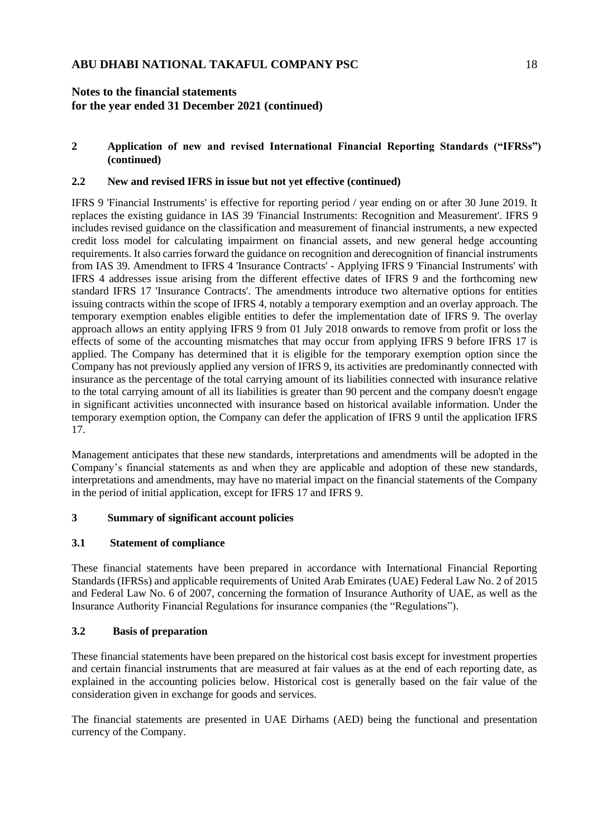# **Notes to the financial statements for the year ended 31 December 2021 (continued)**

## **2 Application of new and revised International Financial Reporting Standards ("IFRSs") (continued)**

#### **2.2 New and revised IFRS in issue but not yet effective (continued)**

IFRS 9 'Financial Instruments' is effective for reporting period / year ending on or after 30 June 2019. It replaces the existing guidance in IAS 39 'Financial Instruments: Recognition and Measurement'. IFRS 9 includes revised guidance on the classification and measurement of financial instruments, a new expected credit loss model for calculating impairment on financial assets, and new general hedge accounting requirements. It also carries forward the guidance on recognition and derecognition of financial instruments from IAS 39. Amendment to IFRS 4 'Insurance Contracts' - Applying IFRS 9 'Financial Instruments' with IFRS 4 addresses issue arising from the different effective dates of IFRS 9 and the forthcoming new standard IFRS 17 'Insurance Contracts'. The amendments introduce two alternative options for entities issuing contracts within the scope of IFRS 4, notably a temporary exemption and an overlay approach. The temporary exemption enables eligible entities to defer the implementation date of IFRS 9. The overlay approach allows an entity applying IFRS 9 from 01 July 2018 onwards to remove from profit or loss the effects of some of the accounting mismatches that may occur from applying IFRS 9 before IFRS 17 is applied. The Company has determined that it is eligible for the temporary exemption option since the Company has not previously applied any version of IFRS 9, its activities are predominantly connected with insurance as the percentage of the total carrying amount of its liabilities connected with insurance relative to the total carrying amount of all its liabilities is greater than 90 percent and the company doesn't engage in significant activities unconnected with insurance based on historical available information. Under the temporary exemption option, the Company can defer the application of IFRS 9 until the application IFRS 17.

Management anticipates that these new standards, interpretations and amendments will be adopted in the Company's financial statements as and when they are applicable and adoption of these new standards, interpretations and amendments, may have no material impact on the financial statements of the Company in the period of initial application, except for IFRS 17 and IFRS 9.

## **3 Summary of significant account policies**

## **3.1 Statement of compliance**

These financial statements have been prepared in accordance with International Financial Reporting Standards (IFRSs) and applicable requirements of United Arab Emirates (UAE) Federal Law No. 2 of 2015 and Federal Law No. 6 of 2007, concerning the formation of Insurance Authority of UAE, as well as the Insurance Authority Financial Regulations for insurance companies (the "Regulations").

#### **3.2 Basis of preparation**

These financial statements have been prepared on the historical cost basis except for investment properties and certain financial instruments that are measured at fair values as at the end of each reporting date, as explained in the accounting policies below. Historical cost is generally based on the fair value of the consideration given in exchange for goods and services.

The financial statements are presented in UAE Dirhams (AED) being the functional and presentation currency of the Company.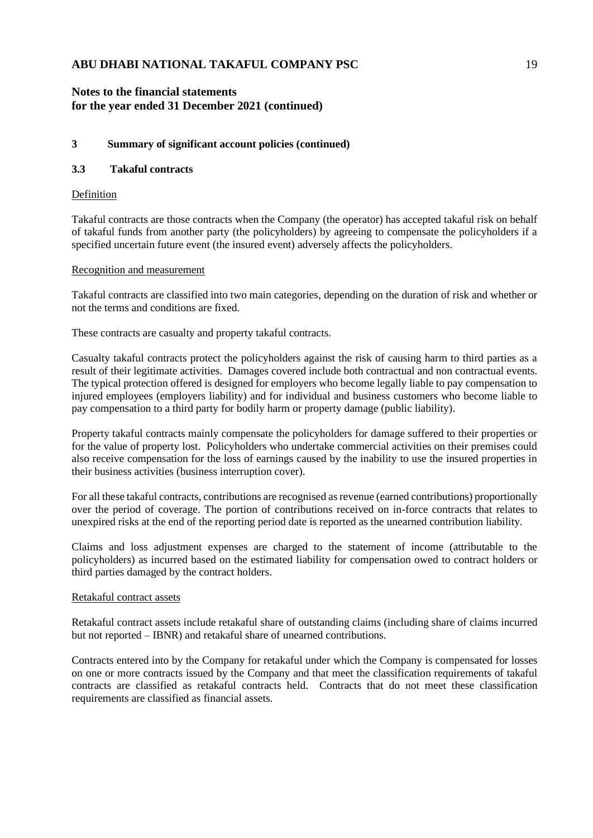## **Notes to the financial statements for the year ended 31 December 2021 (continued)**

#### **3 Summary of significant account policies (continued)**

#### **3.3 Takaful contracts**

#### Definition

Takaful contracts are those contracts when the Company (the operator) has accepted takaful risk on behalf of takaful funds from another party (the policyholders) by agreeing to compensate the policyholders if a specified uncertain future event (the insured event) adversely affects the policyholders.

#### Recognition and measurement

Takaful contracts are classified into two main categories, depending on the duration of risk and whether or not the terms and conditions are fixed.

These contracts are casualty and property takaful contracts.

Casualty takaful contracts protect the policyholders against the risk of causing harm to third parties as a result of their legitimate activities. Damages covered include both contractual and non contractual events. The typical protection offered is designed for employers who become legally liable to pay compensation to injured employees (employers liability) and for individual and business customers who become liable to pay compensation to a third party for bodily harm or property damage (public liability).

Property takaful contracts mainly compensate the policyholders for damage suffered to their properties or for the value of property lost. Policyholders who undertake commercial activities on their premises could also receive compensation for the loss of earnings caused by the inability to use the insured properties in their business activities (business interruption cover).

For all these takaful contracts, contributions are recognised as revenue (earned contributions) proportionally over the period of coverage. The portion of contributions received on in-force contracts that relates to unexpired risks at the end of the reporting period date is reported as the unearned contribution liability.

Claims and loss adjustment expenses are charged to the statement of income (attributable to the policyholders) as incurred based on the estimated liability for compensation owed to contract holders or third parties damaged by the contract holders.

#### Retakaful contract assets

Retakaful contract assets include retakaful share of outstanding claims (including share of claims incurred but not reported – IBNR) and retakaful share of unearned contributions.

Contracts entered into by the Company for retakaful under which the Company is compensated for losses on one or more contracts issued by the Company and that meet the classification requirements of takaful contracts are classified as retakaful contracts held. Contracts that do not meet these classification requirements are classified as financial assets.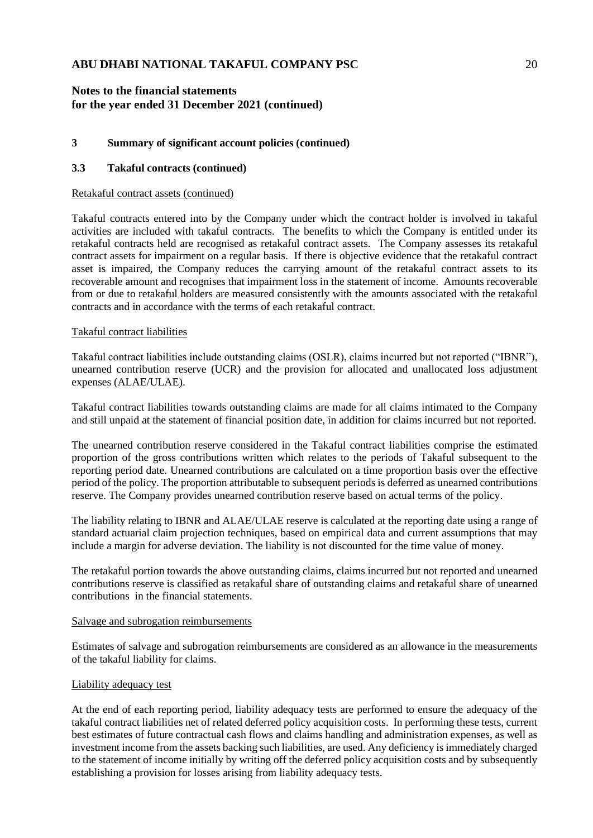# **Notes to the financial statements for the year ended 31 December 2021 (continued)**

#### **3 Summary of significant account policies (continued)**

#### **3.3 Takaful contracts (continued)**

#### Retakaful contract assets (continued)

Takaful contracts entered into by the Company under which the contract holder is involved in takaful activities are included with takaful contracts. The benefits to which the Company is entitled under its retakaful contracts held are recognised as retakaful contract assets. The Company assesses its retakaful contract assets for impairment on a regular basis. If there is objective evidence that the retakaful contract asset is impaired, the Company reduces the carrying amount of the retakaful contract assets to its recoverable amount and recognises that impairment loss in the statement of income. Amounts recoverable from or due to retakaful holders are measured consistently with the amounts associated with the retakaful contracts and in accordance with the terms of each retakaful contract.

#### Takaful contract liabilities

Takaful contract liabilities include outstanding claims (OSLR), claims incurred but not reported ("IBNR"), unearned contribution reserve (UCR) and the provision for allocated and unallocated loss adjustment expenses (ALAE/ULAE).

Takaful contract liabilities towards outstanding claims are made for all claims intimated to the Company and still unpaid at the statement of financial position date, in addition for claims incurred but not reported.

The unearned contribution reserve considered in the Takaful contract liabilities comprise the estimated proportion of the gross contributions written which relates to the periods of Takaful subsequent to the reporting period date. Unearned contributions are calculated on a time proportion basis over the effective period of the policy. The proportion attributable to subsequent periods is deferred as unearned contributions reserve. The Company provides unearned contribution reserve based on actual terms of the policy.

The liability relating to IBNR and ALAE/ULAE reserve is calculated at the reporting date using a range of standard actuarial claim projection techniques, based on empirical data and current assumptions that may include a margin for adverse deviation. The liability is not discounted for the time value of money.

The retakaful portion towards the above outstanding claims, claims incurred but not reported and unearned contributions reserve is classified as retakaful share of outstanding claims and retakaful share of unearned contributions in the financial statements.

#### Salvage and subrogation reimbursements

Estimates of salvage and subrogation reimbursements are considered as an allowance in the measurements of the takaful liability for claims.

#### Liability adequacy test

At the end of each reporting period, liability adequacy tests are performed to ensure the adequacy of the takaful contract liabilities net of related deferred policy acquisition costs. In performing these tests, current best estimates of future contractual cash flows and claims handling and administration expenses, as well as investment income from the assets backing such liabilities, are used. Any deficiency is immediately charged to the statement of income initially by writing off the deferred policy acquisition costs and by subsequently establishing a provision for losses arising from liability adequacy tests.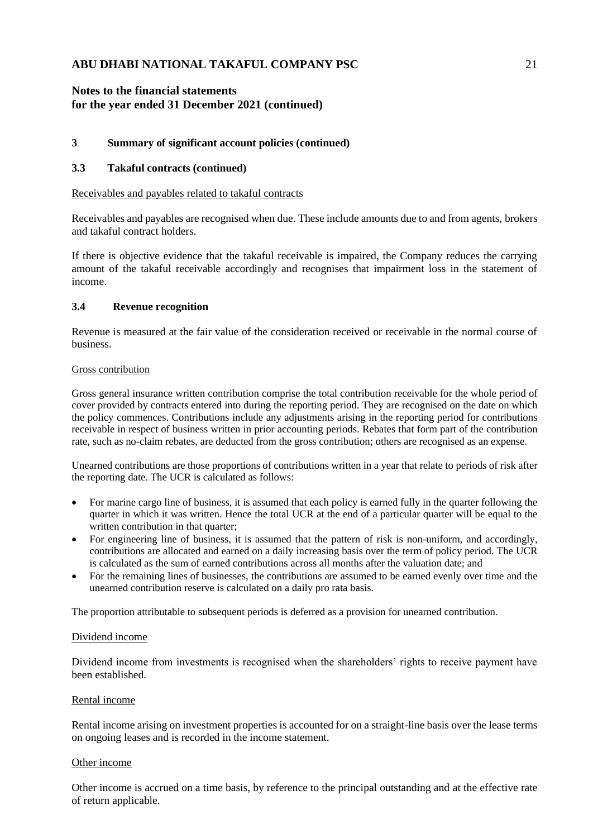# **Notes to the financial statements for the year ended 31 December 2021 (continued)**

## **3 Summary of significant account policies (continued)**

#### **3.3 Takaful contracts (continued)**

#### Receivables and payables related to takaful contracts

Receivables and payables are recognised when due. These include amounts due to and from agents, brokers and takaful contract holders.

If there is objective evidence that the takaful receivable is impaired, the Company reduces the carrying amount of the takaful receivable accordingly and recognises that impairment loss in the statement of income.

#### **3.4 Revenue recognition**

Revenue is measured at the fair value of the consideration received or receivable in the normal course of business.

#### Gross contribution

Gross general insurance written contribution comprise the total contribution receivable for the whole period of cover provided by contracts entered into during the reporting period. They are recognised on the date on which the policy commences. Contributions include any adjustments arising in the reporting period for contributions receivable in respect of business written in prior accounting periods. Rebates that form part of the contribution rate, such as no-claim rebates, are deducted from the gross contribution; others are recognised as an expense.

Unearned contributions are those proportions of contributions written in a year that relate to periods of risk after the reporting date. The UCR is calculated as follows:

- For marine cargo line of business, it is assumed that each policy is earned fully in the quarter following the quarter in which it was written. Hence the total UCR at the end of a particular quarter will be equal to the written contribution in that quarter;
- For engineering line of business, it is assumed that the pattern of risk is non-uniform, and accordingly, contributions are allocated and earned on a daily increasing basis over the term of policy period. The UCR is calculated as the sum of earned contributions across all months after the valuation date; and
- For the remaining lines of businesses, the contributions are assumed to be earned evenly over time and the unearned contribution reserve is calculated on a daily pro rata basis.

The proportion attributable to subsequent periods is deferred as a provision for unearned contribution.

#### Dividend income

Dividend income from investments is recognised when the shareholders' rights to receive payment have been established.

#### Rental income

Rental income arising on investment properties is accounted for on a straight-line basis over the lease terms on ongoing leases and is recorded in the income statement.

#### Other income

Other income is accrued on a time basis, by reference to the principal outstanding and at the effective rate of return applicable.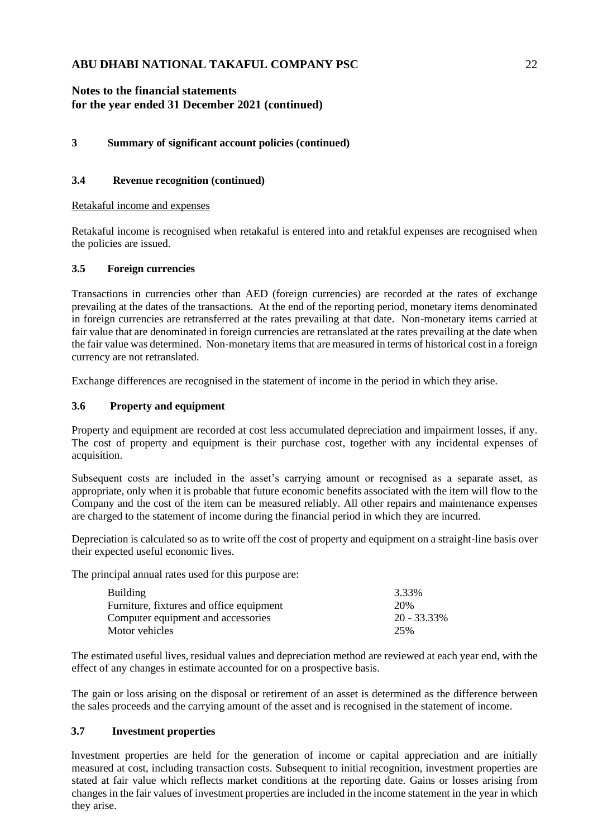# **Notes to the financial statements for the year ended 31 December 2021 (continued)**

## **3 Summary of significant account policies (continued)**

#### **3.4 Revenue recognition (continued)**

#### Retakaful income and expenses

Retakaful income is recognised when retakaful is entered into and retakful expenses are recognised when the policies are issued.

#### **3.5 Foreign currencies**

Transactions in currencies other than AED (foreign currencies) are recorded at the rates of exchange prevailing at the dates of the transactions. At the end of the reporting period, monetary items denominated in foreign currencies are retransferred at the rates prevailing at that date. Non-monetary items carried at fair value that are denominated in foreign currencies are retranslated at the rates prevailing at the date when the fair value was determined. Non-monetary items that are measured in terms of historical cost in a foreign currency are not retranslated.

Exchange differences are recognised in the statement of income in the period in which they arise.

#### **3.6 Property and equipment**

Property and equipment are recorded at cost less accumulated depreciation and impairment losses, if any. The cost of property and equipment is their purchase cost, together with any incidental expenses of acquisition.

Subsequent costs are included in the asset's carrying amount or recognised as a separate asset, as appropriate, only when it is probable that future economic benefits associated with the item will flow to the Company and the cost of the item can be measured reliably. All other repairs and maintenance expenses are charged to the statement of income during the financial period in which they are incurred.

Depreciation is calculated so as to write off the cost of property and equipment on a straight-line basis over their expected useful economic lives.

The principal annual rates used for this purpose are:

| Building                                 | 3.33%          |
|------------------------------------------|----------------|
| Furniture, fixtures and office equipment | 20%            |
| Computer equipment and accessories       | $20 - 33.33\%$ |
| Motor vehicles                           | 25%            |

The estimated useful lives, residual values and depreciation method are reviewed at each year end, with the effect of any changes in estimate accounted for on a prospective basis.

The gain or loss arising on the disposal or retirement of an asset is determined as the difference between the sales proceeds and the carrying amount of the asset and is recognised in the statement of income.

#### **3.7 Investment properties**

Investment properties are held for the generation of income or capital appreciation and are initially measured at cost, including transaction costs. Subsequent to initial recognition, investment properties are stated at fair value which reflects market conditions at the reporting date. Gains or losses arising from changes in the fair values of investment properties are included in the income statement in the year in which they arise.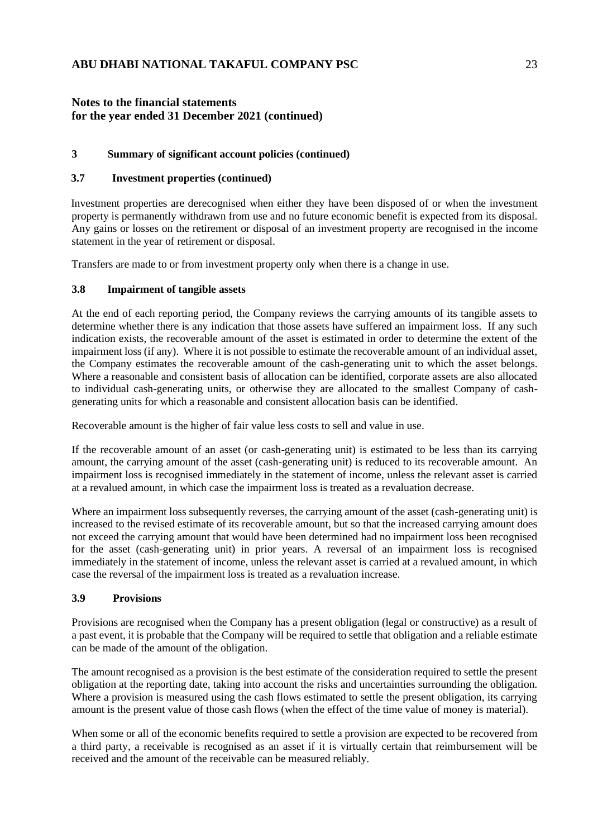# **Notes to the financial statements for the year ended 31 December 2021 (continued)**

## **3 Summary of significant account policies (continued)**

#### **3.7 Investment properties (continued)**

Investment properties are derecognised when either they have been disposed of or when the investment property is permanently withdrawn from use and no future economic benefit is expected from its disposal. Any gains or losses on the retirement or disposal of an investment property are recognised in the income statement in the year of retirement or disposal.

Transfers are made to or from investment property only when there is a change in use.

## **3.8 Impairment of tangible assets**

At the end of each reporting period, the Company reviews the carrying amounts of its tangible assets to determine whether there is any indication that those assets have suffered an impairment loss. If any such indication exists, the recoverable amount of the asset is estimated in order to determine the extent of the impairment loss (if any). Where it is not possible to estimate the recoverable amount of an individual asset, the Company estimates the recoverable amount of the cash-generating unit to which the asset belongs. Where a reasonable and consistent basis of allocation can be identified, corporate assets are also allocated to individual cash-generating units, or otherwise they are allocated to the smallest Company of cashgenerating units for which a reasonable and consistent allocation basis can be identified.

Recoverable amount is the higher of fair value less costs to sell and value in use.

If the recoverable amount of an asset (or cash-generating unit) is estimated to be less than its carrying amount, the carrying amount of the asset (cash-generating unit) is reduced to its recoverable amount. An impairment loss is recognised immediately in the statement of income, unless the relevant asset is carried at a revalued amount, in which case the impairment loss is treated as a revaluation decrease.

Where an impairment loss subsequently reverses, the carrying amount of the asset (cash-generating unit) is increased to the revised estimate of its recoverable amount, but so that the increased carrying amount does not exceed the carrying amount that would have been determined had no impairment loss been recognised for the asset (cash-generating unit) in prior years. A reversal of an impairment loss is recognised immediately in the statement of income, unless the relevant asset is carried at a revalued amount, in which case the reversal of the impairment loss is treated as a revaluation increase.

#### **3.9 Provisions**

Provisions are recognised when the Company has a present obligation (legal or constructive) as a result of a past event, it is probable that the Company will be required to settle that obligation and a reliable estimate can be made of the amount of the obligation.

The amount recognised as a provision is the best estimate of the consideration required to settle the present obligation at the reporting date, taking into account the risks and uncertainties surrounding the obligation. Where a provision is measured using the cash flows estimated to settle the present obligation, its carrying amount is the present value of those cash flows (when the effect of the time value of money is material).

When some or all of the economic benefits required to settle a provision are expected to be recovered from a third party, a receivable is recognised as an asset if it is virtually certain that reimbursement will be received and the amount of the receivable can be measured reliably.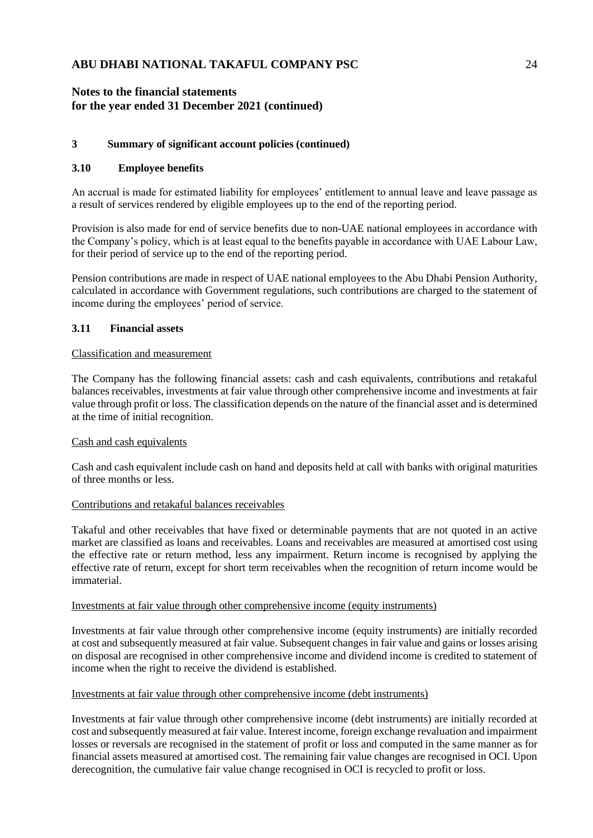# **Notes to the financial statements for the year ended 31 December 2021 (continued)**

## **3 Summary of significant account policies (continued)**

#### **3.10 Employee benefits**

An accrual is made for estimated liability for employees' entitlement to annual leave and leave passage as a result of services rendered by eligible employees up to the end of the reporting period.

Provision is also made for end of service benefits due to non-UAE national employees in accordance with the Company's policy, which is at least equal to the benefits payable in accordance with UAE Labour Law, for their period of service up to the end of the reporting period.

Pension contributions are made in respect of UAE national employees to the Abu Dhabi Pension Authority, calculated in accordance with Government regulations, such contributions are charged to the statement of income during the employees' period of service.

## **3.11 Financial assets**

#### Classification and measurement

The Company has the following financial assets: cash and cash equivalents, contributions and retakaful balances receivables, investments at fair value through other comprehensive income and investments at fair value through profit or loss. The classification depends on the nature of the financial asset and is determined at the time of initial recognition.

#### Cash and cash equivalents

Cash and cash equivalent include cash on hand and deposits held at call with banks with original maturities of three months or less.

#### Contributions and retakaful balances receivables

Takaful and other receivables that have fixed or determinable payments that are not quoted in an active market are classified as loans and receivables. Loans and receivables are measured at amortised cost using the effective rate or return method, less any impairment. Return income is recognised by applying the effective rate of return, except for short term receivables when the recognition of return income would be immaterial.

#### Investments at fair value through other comprehensive income (equity instruments)

Investments at fair value through other comprehensive income (equity instruments) are initially recorded at cost and subsequently measured at fair value. Subsequent changes in fair value and gains or losses arising on disposal are recognised in other comprehensive income and dividend income is credited to statement of income when the right to receive the dividend is established.

#### Investments at fair value through other comprehensive income (debt instruments)

Investments at fair value through other comprehensive income (debt instruments) are initially recorded at cost and subsequently measured at fair value. Interest income, foreign exchange revaluation and impairment losses or reversals are recognised in the statement of profit or loss and computed in the same manner as for financial assets measured at amortised cost. The remaining fair value changes are recognised in OCI. Upon derecognition, the cumulative fair value change recognised in OCI is recycled to profit or loss.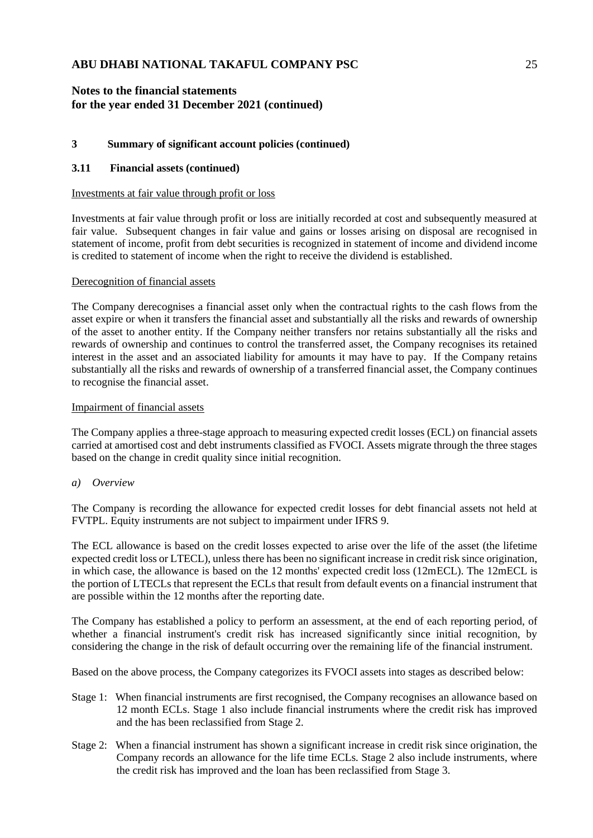# **Notes to the financial statements for the year ended 31 December 2021 (continued)**

## **3 Summary of significant account policies (continued)**

#### **3.11 Financial assets (continued)**

#### Investments at fair value through profit or loss

Investments at fair value through profit or loss are initially recorded at cost and subsequently measured at fair value. Subsequent changes in fair value and gains or losses arising on disposal are recognised in statement of income, profit from debt securities is recognized in statement of income and dividend income is credited to statement of income when the right to receive the dividend is established.

#### Derecognition of financial assets

The Company derecognises a financial asset only when the contractual rights to the cash flows from the asset expire or when it transfers the financial asset and substantially all the risks and rewards of ownership of the asset to another entity. If the Company neither transfers nor retains substantially all the risks and rewards of ownership and continues to control the transferred asset, the Company recognises its retained interest in the asset and an associated liability for amounts it may have to pay. If the Company retains substantially all the risks and rewards of ownership of a transferred financial asset, the Company continues to recognise the financial asset.

## Impairment of financial assets

The Company applies a three-stage approach to measuring expected credit losses (ECL) on financial assets carried at amortised cost and debt instruments classified as FVOCI. Assets migrate through the three stages based on the change in credit quality since initial recognition.

#### *a) Overview*

The Company is recording the allowance for expected credit losses for debt financial assets not held at FVTPL. Equity instruments are not subject to impairment under IFRS 9.

The ECL allowance is based on the credit losses expected to arise over the life of the asset (the lifetime expected credit loss or LTECL), unless there has been no significant increase in credit risk since origination, in which case, the allowance is based on the 12 months' expected credit loss (12mECL). The 12mECL is the portion of LTECLs that represent the ECLs that result from default events on a financial instrument that are possible within the 12 months after the reporting date.

The Company has established a policy to perform an assessment, at the end of each reporting period, of whether a financial instrument's credit risk has increased significantly since initial recognition, by considering the change in the risk of default occurring over the remaining life of the financial instrument.

Based on the above process, the Company categorizes its FVOCI assets into stages as described below:

- Stage 1: When financial instruments are first recognised, the Company recognises an allowance based on 12 month ECLs. Stage 1 also include financial instruments where the credit risk has improved and the has been reclassified from Stage 2.
- Stage 2: When a financial instrument has shown a significant increase in credit risk since origination, the Company records an allowance for the life time ECLs. Stage 2 also include instruments, where the credit risk has improved and the loan has been reclassified from Stage 3.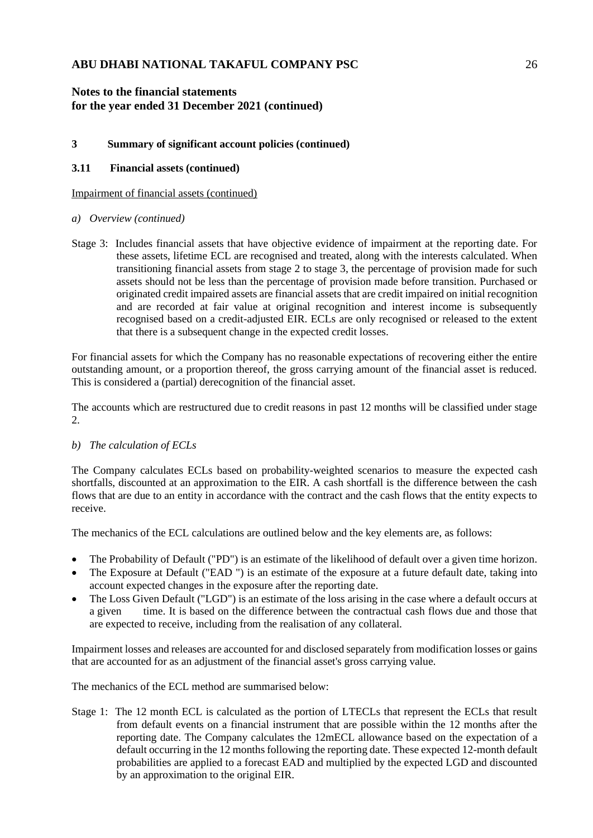# **Notes to the financial statements for the year ended 31 December 2021 (continued)**

## **3 Summary of significant account policies (continued)**

#### **3.11 Financial assets (continued)**

#### Impairment of financial assets (continued)

#### *a) Overview (continued)*

Stage 3: Includes financial assets that have objective evidence of impairment at the reporting date. For these assets, lifetime ECL are recognised and treated, along with the interests calculated. When transitioning financial assets from stage 2 to stage 3, the percentage of provision made for such assets should not be less than the percentage of provision made before transition. Purchased or originated credit impaired assets are financial assets that are credit impaired on initial recognition and are recorded at fair value at original recognition and interest income is subsequently recognised based on a credit-adjusted EIR. ECLs are only recognised or released to the extent that there is a subsequent change in the expected credit losses.

For financial assets for which the Company has no reasonable expectations of recovering either the entire outstanding amount, or a proportion thereof, the gross carrying amount of the financial asset is reduced. This is considered a (partial) derecognition of the financial asset.

The accounts which are restructured due to credit reasons in past 12 months will be classified under stage 2.

#### *b) The calculation of ECLs*

The Company calculates ECLs based on probability-weighted scenarios to measure the expected cash shortfalls, discounted at an approximation to the EIR. A cash shortfall is the difference between the cash flows that are due to an entity in accordance with the contract and the cash flows that the entity expects to receive.

The mechanics of the ECL calculations are outlined below and the key elements are, as follows:

- The Probability of Default ("PD") is an estimate of the likelihood of default over a given time horizon.
- The Exposure at Default ("EAD ") is an estimate of the exposure at a future default date, taking into account expected changes in the exposure after the reporting date.
- The Loss Given Default ("LGD") is an estimate of the loss arising in the case where a default occurs at a given time. It is based on the difference between the contractual cash flows due and those that are expected to receive, including from the realisation of any collateral.

Impairment losses and releases are accounted for and disclosed separately from modification losses or gains that are accounted for as an adjustment of the financial asset's gross carrying value.

The mechanics of the ECL method are summarised below:

Stage 1: The 12 month ECL is calculated as the portion of LTECLs that represent the ECLs that result from default events on a financial instrument that are possible within the 12 months after the reporting date. The Company calculates the 12mECL allowance based on the expectation of a default occurring in the 12 months following the reporting date. These expected 12-month default probabilities are applied to a forecast EAD and multiplied by the expected LGD and discounted by an approximation to the original EIR.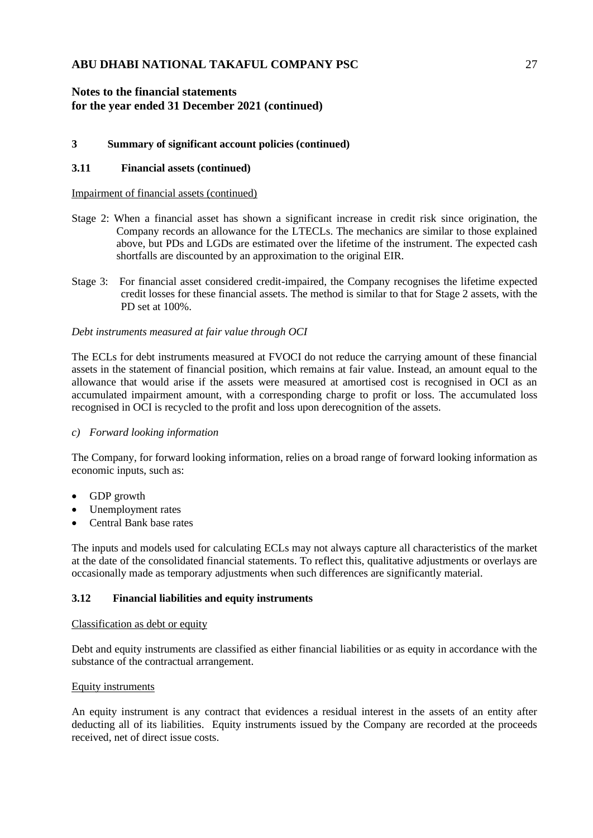# **Notes to the financial statements for the year ended 31 December 2021 (continued)**

## **3 Summary of significant account policies (continued)**

#### **3.11 Financial assets (continued)**

#### Impairment of financial assets (continued)

- Stage 2: When a financial asset has shown a significant increase in credit risk since origination, the Company records an allowance for the LTECLs. The mechanics are similar to those explained above, but PDs and LGDs are estimated over the lifetime of the instrument. The expected cash shortfalls are discounted by an approximation to the original EIR.
- Stage 3: For financial asset considered credit-impaired, the Company recognises the lifetime expected credit losses for these financial assets. The method is similar to that for Stage 2 assets, with the PD set at 100%.

#### *Debt instruments measured at fair value through OCI*

The ECLs for debt instruments measured at FVOCI do not reduce the carrying amount of these financial assets in the statement of financial position, which remains at fair value. Instead, an amount equal to the allowance that would arise if the assets were measured at amortised cost is recognised in OCI as an accumulated impairment amount, with a corresponding charge to profit or loss. The accumulated loss recognised in OCI is recycled to the profit and loss upon derecognition of the assets.

#### *c) Forward looking information*

The Company, for forward looking information, relies on a broad range of forward looking information as economic inputs, such as:

- GDP growth
- Unemployment rates
- Central Bank base rates

The inputs and models used for calculating ECLs may not always capture all characteristics of the market at the date of the consolidated financial statements. To reflect this, qualitative adjustments or overlays are occasionally made as temporary adjustments when such differences are significantly material.

#### **3.12 Financial liabilities and equity instruments**

#### Classification as debt or equity

Debt and equity instruments are classified as either financial liabilities or as equity in accordance with the substance of the contractual arrangement.

#### Equity instruments

An equity instrument is any contract that evidences a residual interest in the assets of an entity after deducting all of its liabilities. Equity instruments issued by the Company are recorded at the proceeds received, net of direct issue costs.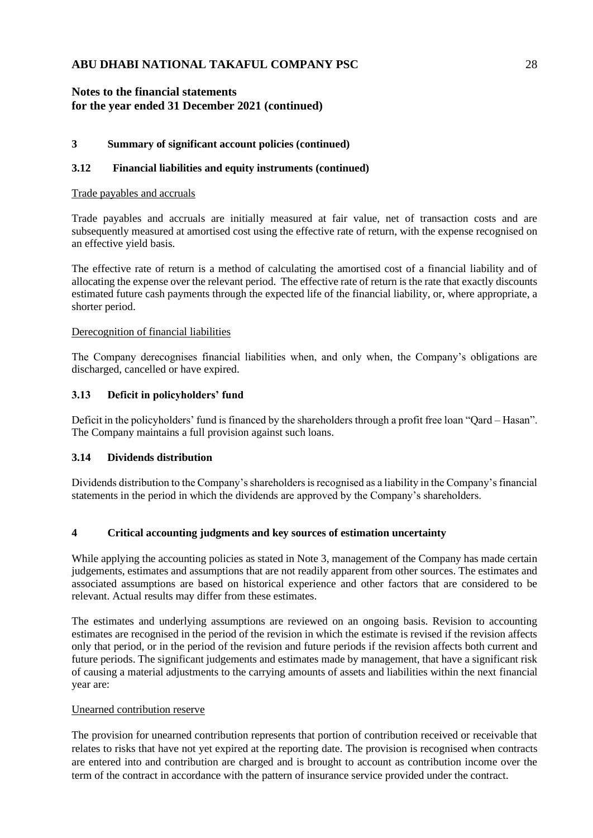# **Notes to the financial statements for the year ended 31 December 2021 (continued)**

## **3 Summary of significant account policies (continued)**

#### **3.12 Financial liabilities and equity instruments (continued)**

#### Trade payables and accruals

Trade payables and accruals are initially measured at fair value, net of transaction costs and are subsequently measured at amortised cost using the effective rate of return, with the expense recognised on an effective yield basis.

The effective rate of return is a method of calculating the amortised cost of a financial liability and of allocating the expense over the relevant period. The effective rate of return is the rate that exactly discounts estimated future cash payments through the expected life of the financial liability, or, where appropriate, a shorter period.

#### Derecognition of financial liabilities

The Company derecognises financial liabilities when, and only when, the Company's obligations are discharged, cancelled or have expired.

#### **3.13 Deficit in policyholders' fund**

Deficit in the policyholders' fund is financed by the shareholders through a profit free loan "Qard – Hasan". The Company maintains a full provision against such loans.

#### **3.14 Dividends distribution**

Dividends distribution to the Company's shareholders is recognised as a liability in the Company's financial statements in the period in which the dividends are approved by the Company's shareholders.

#### **4 Critical accounting judgments and key sources of estimation uncertainty**

While applying the accounting policies as stated in Note 3, management of the Company has made certain judgements, estimates and assumptions that are not readily apparent from other sources. The estimates and associated assumptions are based on historical experience and other factors that are considered to be relevant. Actual results may differ from these estimates.

The estimates and underlying assumptions are reviewed on an ongoing basis. Revision to accounting estimates are recognised in the period of the revision in which the estimate is revised if the revision affects only that period, or in the period of the revision and future periods if the revision affects both current and future periods. The significant judgements and estimates made by management, that have a significant risk of causing a material adjustments to the carrying amounts of assets and liabilities within the next financial year are:

#### Unearned contribution reserve

The provision for unearned contribution represents that portion of contribution received or receivable that relates to risks that have not yet expired at the reporting date. The provision is recognised when contracts are entered into and contribution are charged and is brought to account as contribution income over the term of the contract in accordance with the pattern of insurance service provided under the contract.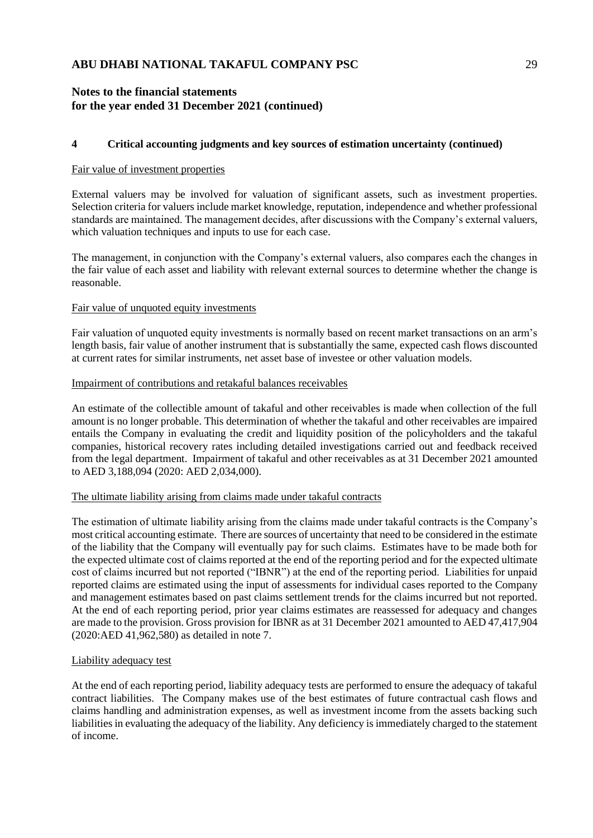## **Notes to the financial statements for the year ended 31 December 2021 (continued)**

#### **4 Critical accounting judgments and key sources of estimation uncertainty (continued)**

#### Fair value of investment properties

External valuers may be involved for valuation of significant assets, such as investment properties. Selection criteria for valuers include market knowledge, reputation, independence and whether professional standards are maintained. The management decides, after discussions with the Company's external valuers, which valuation techniques and inputs to use for each case.

The management, in conjunction with the Company's external valuers, also compares each the changes in the fair value of each asset and liability with relevant external sources to determine whether the change is reasonable.

#### Fair value of unquoted equity investments

Fair valuation of unquoted equity investments is normally based on recent market transactions on an arm's length basis, fair value of another instrument that is substantially the same, expected cash flows discounted at current rates for similar instruments, net asset base of investee or other valuation models.

#### Impairment of contributions and retakaful balances receivables

An estimate of the collectible amount of takaful and other receivables is made when collection of the full amount is no longer probable. This determination of whether the takaful and other receivables are impaired entails the Company in evaluating the credit and liquidity position of the policyholders and the takaful companies, historical recovery rates including detailed investigations carried out and feedback received from the legal department. Impairment of takaful and other receivables as at 31 December 2021 amounted to AED 3,188,094 (2020: AED 2,034,000).

#### The ultimate liability arising from claims made under takaful contracts

The estimation of ultimate liability arising from the claims made under takaful contracts is the Company's most critical accounting estimate. There are sources of uncertainty that need to be considered in the estimate of the liability that the Company will eventually pay for such claims. Estimates have to be made both for the expected ultimate cost of claims reported at the end of the reporting period and for the expected ultimate cost of claims incurred but not reported ("IBNR") at the end of the reporting period. Liabilities for unpaid reported claims are estimated using the input of assessments for individual cases reported to the Company and management estimates based on past claims settlement trends for the claims incurred but not reported. At the end of each reporting period, prior year claims estimates are reassessed for adequacy and changes are made to the provision. Gross provision for IBNR as at 31 December 2021 amounted to AED 47,417,904 (2020:AED 41,962,580) as detailed in note 7.

#### Liability adequacy test

At the end of each reporting period, liability adequacy tests are performed to ensure the adequacy of takaful contract liabilities. The Company makes use of the best estimates of future contractual cash flows and claims handling and administration expenses, as well as investment income from the assets backing such liabilities in evaluating the adequacy of the liability. Any deficiency is immediately charged to the statement of income.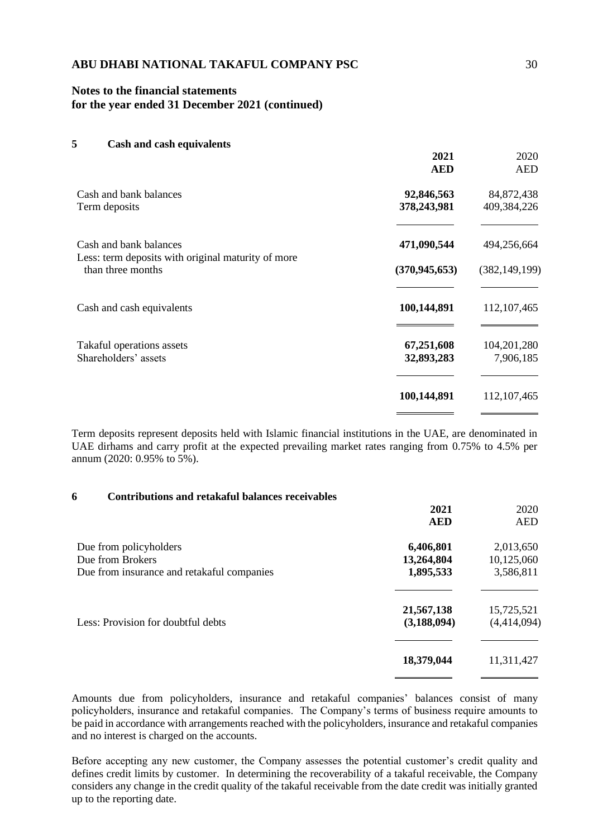## **Notes to the financial statements for the year ended 31 December 2021 (continued)**

| 5<br>Cash and cash equivalents                                               |                 |                 |
|------------------------------------------------------------------------------|-----------------|-----------------|
|                                                                              | 2021            | 2020            |
|                                                                              | <b>AED</b>      | <b>AED</b>      |
| Cash and bank balances                                                       | 92,846,563      | 84,872,438      |
| Term deposits                                                                | 378,243,981     | 409,384,226     |
| Cash and bank balances<br>Less: term deposits with original maturity of more | 471,090,544     | 494,256,664     |
| than three months                                                            | (370, 945, 653) | (382, 149, 199) |
| Cash and cash equivalents                                                    | 100,144,891     | 112, 107, 465   |
| Takaful operations assets                                                    | 67,251,608      | 104,201,280     |
| Shareholders' assets                                                         | 32,893,283      | 7,906,185       |
|                                                                              | 100,144,891     | 112, 107, 465   |
|                                                                              |                 |                 |

Term deposits represent deposits held with Islamic financial institutions in the UAE, are denominated in UAE dirhams and carry profit at the expected prevailing market rates ranging from 0.75% to 4.5% per annum (2020: 0.95% to 5%).

#### **6 Contributions and retakaful balances receivables**

| 2021        | 2020        |
|-------------|-------------|
| <b>AED</b>  | <b>AED</b>  |
| 6,406,801   | 2,013,650   |
| 13,264,804  | 10,125,060  |
| 1,895,533   | 3,586,811   |
| 21,567,138  | 15,725,521  |
| (3,188,094) | (4,414,094) |
| 18,379,044  | 11,311,427  |
|             |             |

Amounts due from policyholders, insurance and retakaful companies' balances consist of many policyholders, insurance and retakaful companies. The Company's terms of business require amounts to be paid in accordance with arrangements reached with the policyholders, insurance and retakaful companies and no interest is charged on the accounts.

Before accepting any new customer, the Company assesses the potential customer's credit quality and defines credit limits by customer. In determining the recoverability of a takaful receivable, the Company considers any change in the credit quality of the takaful receivable from the date credit was initially granted up to the reporting date.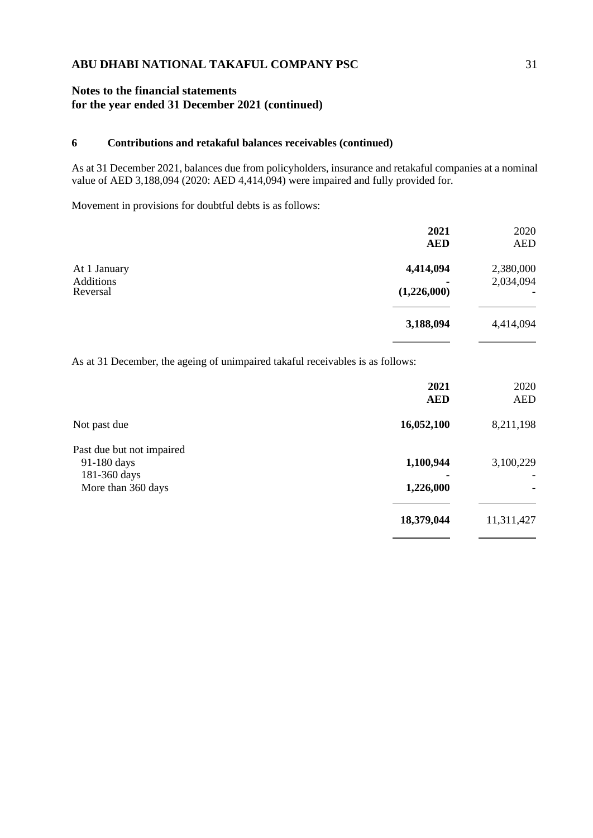## **Notes to the financial statements for the year ended 31 December 2021 (continued)**

# **6 Contributions and retakaful balances receivables (continued)**

As at 31 December 2021, balances due from policyholders, insurance and retakaful companies at a nominal value of AED 3,188,094 (2020: AED 4,414,094) were impaired and fully provided for.

Movement in provisions for doubtful debts is as follows:

| 2021<br><b>AED</b>                                                             | 2020<br><b>AED</b> |
|--------------------------------------------------------------------------------|--------------------|
| 4,414,094                                                                      | 2,380,000          |
| (1,226,000)                                                                    | 2,034,094          |
| 3,188,094                                                                      | 4,414,094          |
| As at 31 December, the ageing of unimpaired takaful receivables is as follows: |                    |
| 2021                                                                           | 2020               |
| <b>AED</b>                                                                     | <b>AED</b>         |
| 16,052,100                                                                     | 8,211,198          |
|                                                                                |                    |
| 1,100,944                                                                      | 3,100,229          |
| 1,226,000                                                                      |                    |
| 18,379,044                                                                     | 11,311,427         |
|                                                                                |                    |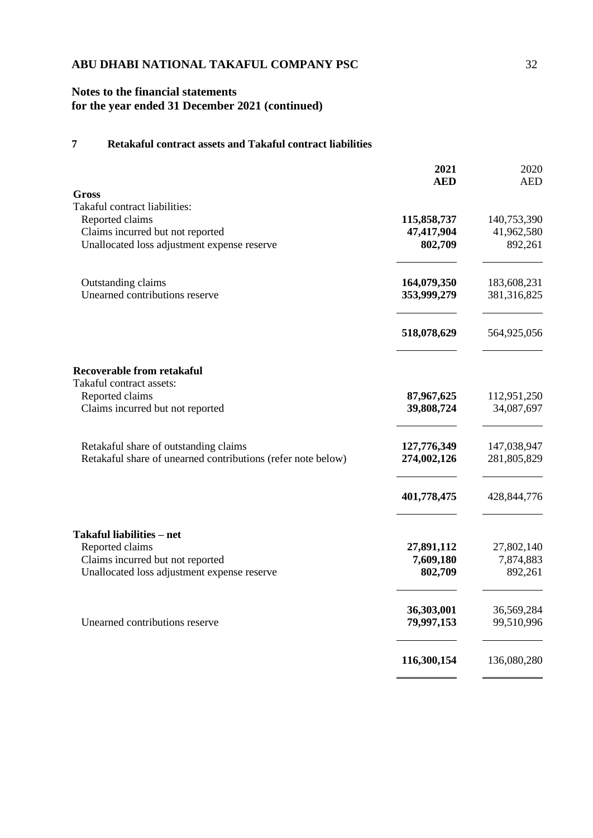# **Notes to the financial statements for the year ended 31 December 2021 (continued)**

## **7 Retakaful contract assets and Takaful contract liabilities**

|                                                              | 2021        | 2020        |
|--------------------------------------------------------------|-------------|-------------|
|                                                              | <b>AED</b>  | <b>AED</b>  |
| Gross<br>Takaful contract liabilities:                       |             |             |
| Reported claims                                              | 115,858,737 | 140,753,390 |
|                                                              | 47,417,904  | 41,962,580  |
| Claims incurred but not reported                             | 802,709     | 892,261     |
| Unallocated loss adjustment expense reserve                  |             |             |
| Outstanding claims                                           | 164,079,350 | 183,608,231 |
| Unearned contributions reserve                               | 353,999,279 | 381,316,825 |
|                                                              |             |             |
|                                                              | 518,078,629 | 564,925,056 |
| <b>Recoverable from retakaful</b>                            |             |             |
| Takaful contract assets:                                     |             |             |
| Reported claims                                              | 87,967,625  | 112,951,250 |
| Claims incurred but not reported                             | 39,808,724  | 34,087,697  |
| Retakaful share of outstanding claims                        | 127,776,349 | 147,038,947 |
| Retakaful share of unearned contributions (refer note below) | 274,002,126 | 281,805,829 |
|                                                              | 401,778,475 | 428,844,776 |
| <b>Takaful liabilities - net</b>                             |             |             |
| Reported claims                                              | 27,891,112  | 27,802,140  |
| Claims incurred but not reported                             | 7,609,180   | 7,874,883   |
| Unallocated loss adjustment expense reserve                  | 802,709     | 892,261     |
|                                                              | 36,303,001  | 36,569,284  |
| Unearned contributions reserve                               | 79,997,153  | 99,510,996  |
|                                                              |             |             |
|                                                              | 116,300,154 | 136,080,280 |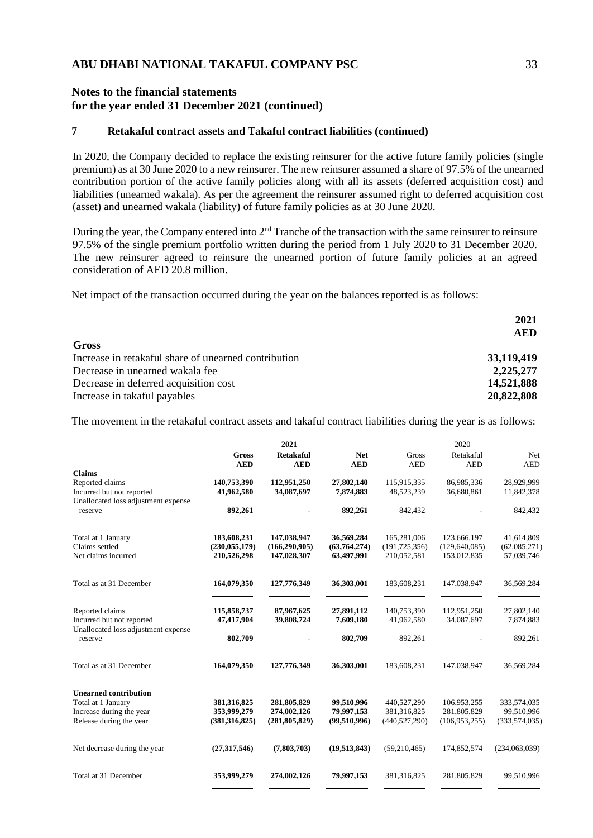#### **Notes to the financial statements for the year ended 31 December 2021 (continued)**

#### **7 Retakaful contract assets and Takaful contract liabilities (continued)**

In 2020, the Company decided to replace the existing reinsurer for the active future family policies (single premium) as at 30 June 2020 to a new reinsurer. The new reinsurer assumed a share of 97.5% of the unearned contribution portion of the active family policies along with all its assets (deferred acquisition cost) and liabilities (unearned wakala). As per the agreement the reinsurer assumed right to deferred acquisition cost (asset) and unearned wakala (liability) of future family policies as at 30 June 2020.

During the year, the Company entered into 2<sup>nd</sup> Tranche of the transaction with the same reinsurer to reinsure 97.5% of the single premium portfolio written during the period from 1 July 2020 to 31 December 2020. The new reinsurer agreed to reinsure the unearned portion of future family policies at an agreed consideration of AED 20.8 million.

Net impact of the transaction occurred during the year on the balances reported is as follows:

|                                                      | 2021       |
|------------------------------------------------------|------------|
|                                                      | <b>AED</b> |
| Gross                                                |            |
| Increase in retakaful share of unearned contribution | 33,119,419 |
| Decrease in unearned wakala fee                      | 2,225,277  |
| Decrease in deferred acquisition cost                | 14,521,888 |
| Increase in takaful payables                         | 20,822,808 |

The movement in the retakaful contract assets and takaful contract liabilities during the year is as follows:

|                                                                  |                            | 2021                           |                          |                     | 2020                    |                   |
|------------------------------------------------------------------|----------------------------|--------------------------------|--------------------------|---------------------|-------------------------|-------------------|
|                                                                  | <b>Gross</b><br><b>AED</b> | <b>Retakaful</b><br><b>AED</b> | <b>Net</b><br><b>AED</b> | Gross<br><b>AED</b> | Retakaful<br><b>AED</b> | Net<br><b>AED</b> |
| <b>Claims</b>                                                    |                            |                                |                          |                     |                         |                   |
| Reported claims                                                  | 140,753,390                | 112,951,250                    | 27,802,140               | 115,915,335         | 86,985,336              | 28,929,999        |
| Incurred but not reported<br>Unallocated loss adjustment expense | 41,962,580                 | 34,087,697                     | 7,874,883                | 48,523,239          | 36,680,861              | 11,842,378        |
| reserve                                                          | 892,261                    |                                | 892,261                  | 842,432             |                         | 842,432           |
| Total at 1 January                                               | 183,608,231                | 147,038,947                    | 36,569,284               | 165,281,006         | 123,666,197             | 41,614,809        |
| Claims settled                                                   | (230, 055, 179)            | (166, 290, 905)                | (63,764,274)             | (191, 725, 356)     | (129, 640, 085)         | (62,085,271)      |
| Net claims incurred                                              | 210,526,298                | 147,028,307                    | 63,497,991               | 210,052,581         | 153,012,835             | 57,039,746        |
| Total as at 31 December                                          | 164,079,350                | 127,776,349                    | 36,303,001               | 183,608,231         | 147,038,947             | 36,569,284        |
| Reported claims                                                  | 115,858,737                | 87,967,625                     | 27,891,112               | 140,753,390         | 112,951,250             | 27,802,140        |
| Incurred but not reported                                        | 47,417,904                 | 39,808,724                     | 7,609,180                | 41,962,580          | 34,087,697              | 7,874,883         |
| Unallocated loss adjustment expense                              |                            |                                |                          |                     |                         |                   |
| reserve                                                          | 802,709                    |                                | 802,709                  | 892,261             |                         | 892,261           |
| Total as at 31 December                                          | 164,079,350                | 127,776,349                    | 36,303,001               | 183,608,231         | 147,038,947             | 36,569,284        |
| <b>Unearned contribution</b>                                     |                            |                                |                          |                     |                         |                   |
| Total at 1 January                                               | 381,316,825                | 281,805,829                    | 99,510,996               | 440,527,290         | 106,953,255             | 333,574,035       |
| Increase during the year                                         | 353,999,279                | 274,002,126                    | 79,997,153               | 381,316,825         | 281,805,829             | 99,510,996        |
| Release during the year                                          | (381, 316, 825)            | (281, 805, 829)                | (99,510,996)             | (440, 527, 290)     | (106, 953, 255)         | (333,574,035)     |
| Net decrease during the year                                     | (27,317,546)               | (7,803,703)                    | (19,513,843)             | (59,210,465)        | 174,852,574             | (234,063,039)     |
| Total at 31 December                                             | 353,999,279                | 274,002,126                    | 79,997,153               | 381,316,825         | 281,805,829             | 99,510,996        |
|                                                                  |                            |                                |                          |                     |                         |                   |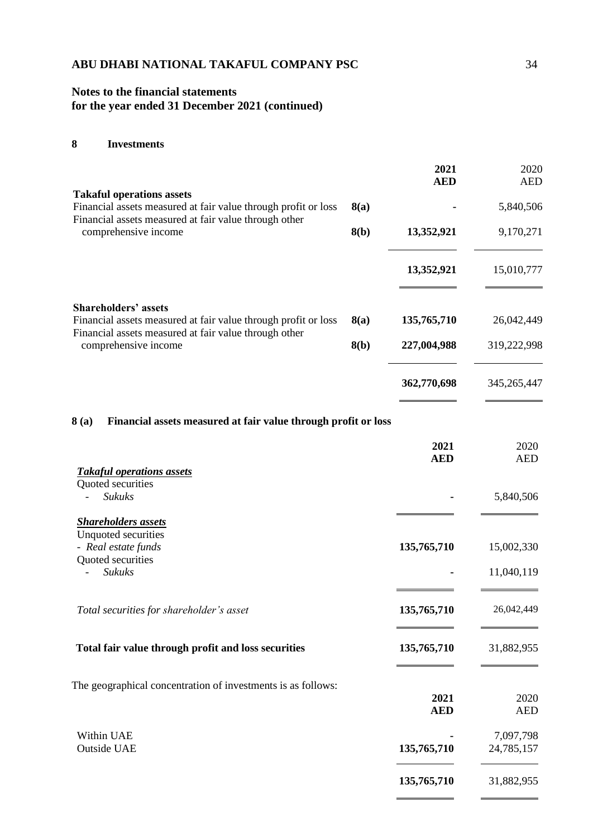## **Notes to the financial statements for the year ended 31 December 2021 (continued)**

#### **8 Investments**

|                                                                                                                                                             |      | 2021<br><b>AED</b> | 2020<br><b>AED</b> |
|-------------------------------------------------------------------------------------------------------------------------------------------------------------|------|--------------------|--------------------|
| <b>Takaful operations assets</b><br>Financial assets measured at fair value through profit or loss<br>Financial assets measured at fair value through other | 8(a) |                    | 5,840,506          |
| comprehensive income                                                                                                                                        | 8(b) | 13,352,921         | 9,170,271          |
|                                                                                                                                                             |      | 13,352,921         | 15,010,777         |
| <b>Shareholders' assets</b><br>Financial assets measured at fair value through profit or loss                                                               | 8(a) | 135,765,710        | 26,042,449         |
| Financial assets measured at fair value through other<br>comprehensive income                                                                               | 8(b) | 227,004,988        | 319,222,998        |
|                                                                                                                                                             |      |                    |                    |
|                                                                                                                                                             |      | 362,770,698        | 345, 265, 447      |
| 8(a)<br>Financial assets measured at fair value through profit or loss                                                                                      |      |                    |                    |
|                                                                                                                                                             |      | 2021<br><b>AED</b> | 2020<br><b>AED</b> |
| <b>Takaful operations assets</b><br>Quoted securities                                                                                                       |      |                    |                    |
| <b>Sukuks</b>                                                                                                                                               |      |                    | 5,840,506          |

#### *Shareholders assets* Unquoted securities

| <b>Unquoted Securities</b><br>- Real estate funds            | 135,765,710 | 15,002,330 |
|--------------------------------------------------------------|-------------|------------|
| Quoted securities<br><i>Sukuks</i>                           |             | 11,040,119 |
| Total securities for shareholder's asset                     | 135,765,710 | 26,042,449 |
| Total fair value through profit and loss securities          | 135,765,710 | 31,882,955 |
| The geographical concentration of investments is as follows: | 2021        | 2020       |

|                           | <i>E</i> vel<br><b>AED</b> | 2020<br>AED             |
|---------------------------|----------------------------|-------------------------|
| Within UAE<br>Outside UAE | ۰<br>135,765,710           | 7,097,798<br>24,785,157 |
|                           | 135,765,710                | 31,882,955              |

 $\overline{a}$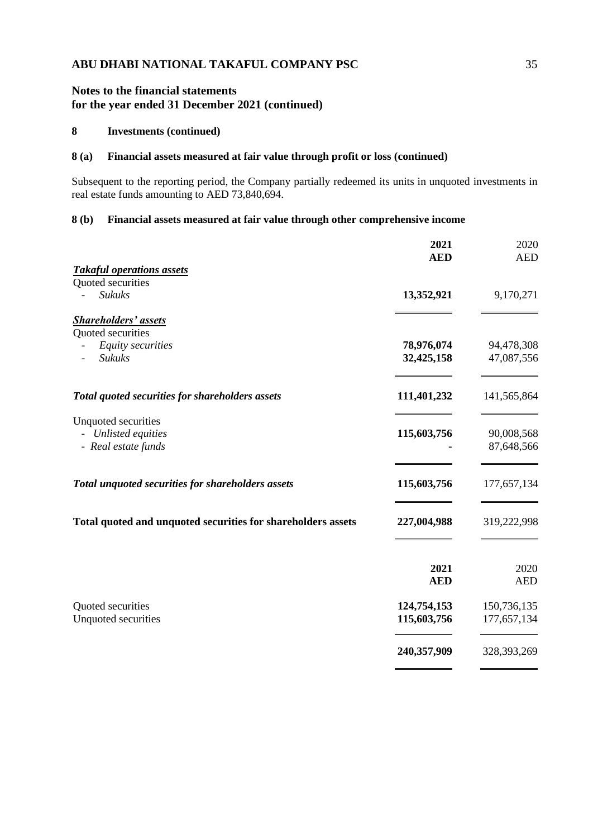## **Notes to the financial statements for the year ended 31 December 2021 (continued)**

# **8 Investments (continued)**

#### **8 (a) Financial assets measured at fair value through profit or loss (continued)**

Subsequent to the reporting period, the Company partially redeemed its units in unquoted investments in real estate funds amounting to AED 73,840,694.

## **8 (b) Financial assets measured at fair value through other comprehensive income**

|                                                              | 2021<br><b>AED</b> | 2020<br><b>AED</b> |
|--------------------------------------------------------------|--------------------|--------------------|
| <b>Takaful operations assets</b>                             |                    |                    |
| Quoted securities                                            |                    |                    |
| <b>Sukuks</b>                                                | 13,352,921         | 9,170,271          |
| <b>Shareholders' assets</b>                                  |                    |                    |
| Quoted securities                                            |                    |                    |
| Equity securities                                            | 78,976,074         | 94,478,308         |
| <b>Sukuks</b>                                                | 32,425,158         | 47,087,556         |
|                                                              |                    |                    |
| Total quoted securities for shareholders assets              | 111,401,232        | 141,565,864        |
| Unquoted securities                                          |                    |                    |
| Unlisted equities                                            | 115,603,756        | 90,008,568         |
| - Real estate funds                                          |                    | 87,648,566         |
| Total unquoted securities for shareholders assets            | 115,603,756        | 177,657,134        |
| Total quoted and unquoted securities for shareholders assets | 227,004,988        | 319,222,998        |
|                                                              | 2021               | 2020               |
|                                                              | <b>AED</b>         | <b>AED</b>         |
| Quoted securities                                            | 124,754,153        | 150,736,135        |
| Unquoted securities                                          | 115,603,756        | 177,657,134        |
|                                                              | 240,357,909        | 328, 393, 269      |
|                                                              |                    |                    |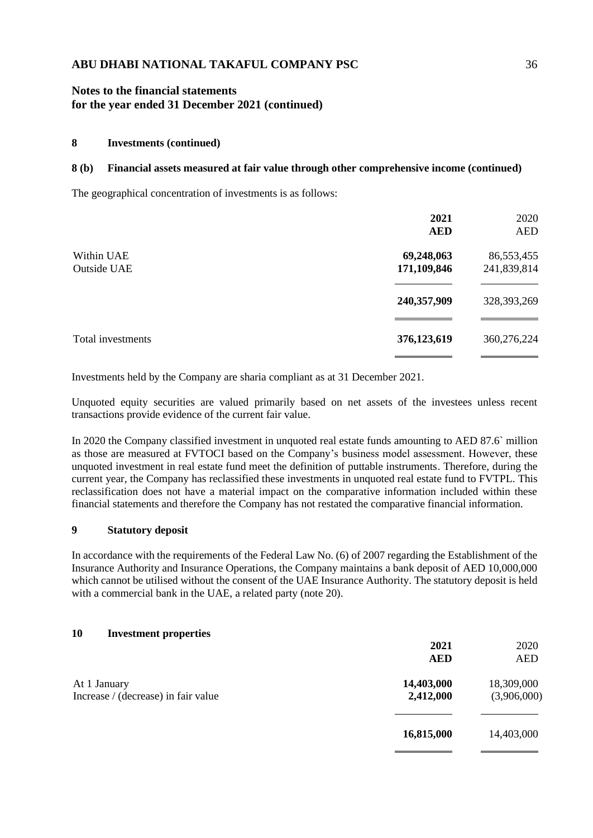## **Notes to the financial statements for the year ended 31 December 2021 (continued)**

#### **8 Investments (continued)**

#### **8 (b) Financial assets measured at fair value through other comprehensive income (continued)**

The geographical concentration of investments is as follows:

|                    | 2021<br><b>AED</b> | 2020<br><b>AED</b> |
|--------------------|--------------------|--------------------|
| Within UAE         | 69,248,063         | 86,553,455         |
| <b>Outside UAE</b> | 171,109,846        | 241,839,814        |
|                    | 240,357,909        | 328,393,269        |
| Total investments  | 376,123,619        | 360,276,224        |

Investments held by the Company are sharia compliant as at 31 December 2021.

Unquoted equity securities are valued primarily based on net assets of the investees unless recent transactions provide evidence of the current fair value.

In 2020 the Company classified investment in unquoted real estate funds amounting to AED 87.6` million as those are measured at FVTOCI based on the Company's business model assessment. However, these unquoted investment in real estate fund meet the definition of puttable instruments. Therefore, during the current year, the Company has reclassified these investments in unquoted real estate fund to FVTPL. This reclassification does not have a material impact on the comparative information included within these financial statements and therefore the Company has not restated the comparative financial information.

## **9 Statutory deposit**

In accordance with the requirements of the Federal Law No. (6) of 2007 regarding the Establishment of the Insurance Authority and Insurance Operations, the Company maintains a bank deposit of AED 10,000,000 which cannot be utilised without the consent of the UAE Insurance Authority. The statutory deposit is held with a commercial bank in the UAE, a related party (note 20).

#### **10 Investment properties**

|                                                     | 2021<br><b>AED</b>      | 2020<br><b>AED</b>        |
|-----------------------------------------------------|-------------------------|---------------------------|
| At 1 January<br>Increase / (decrease) in fair value | 14,403,000<br>2,412,000 | 18,309,000<br>(3,906,000) |
|                                                     | 16,815,000              | 14,403,000                |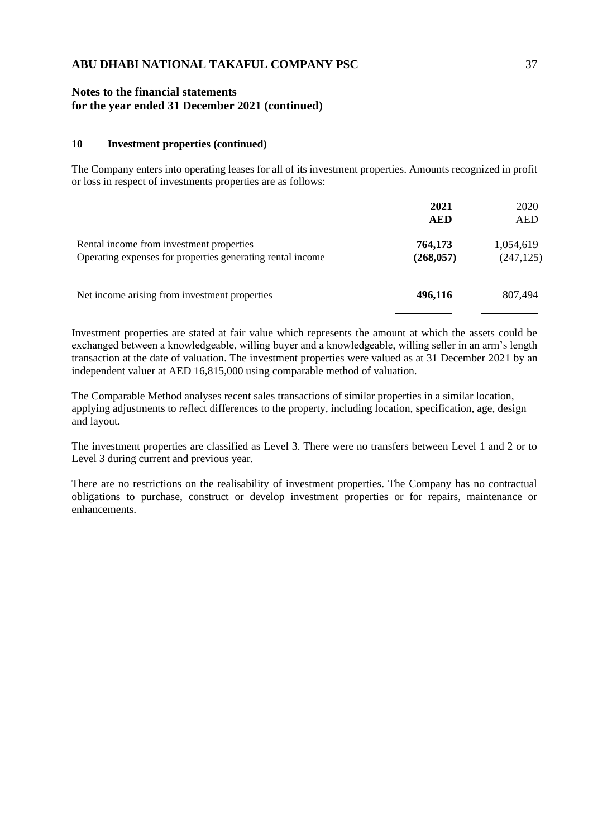## **Notes to the financial statements for the year ended 31 December 2021 (continued)**

#### **10 Investment properties (continued)**

The Company enters into operating leases for all of its investment properties. Amounts recognized in profit or loss in respect of investments properties are as follows:

|                                                            | 2021<br><b>AED</b> | 2020<br><b>AED</b> |
|------------------------------------------------------------|--------------------|--------------------|
| Rental income from investment properties                   | 764,173            | 1,054,619          |
| Operating expenses for properties generating rental income | (268, 057)         | (247, 125)         |
| Net income arising from investment properties              | 496,116            | 807,494            |
|                                                            |                    |                    |

Investment properties are stated at fair value which represents the amount at which the assets could be exchanged between a knowledgeable, willing buyer and a knowledgeable, willing seller in an arm's length transaction at the date of valuation. The investment properties were valued as at 31 December 2021 by an independent valuer at AED 16,815,000 using comparable method of valuation.

The Comparable Method analyses recent sales transactions of similar properties in a similar location, applying adjustments to reflect differences to the property, including location, specification, age, design and layout.

The investment properties are classified as Level 3. There were no transfers between Level 1 and 2 or to Level 3 during current and previous year.

There are no restrictions on the realisability of investment properties. The Company has no contractual obligations to purchase, construct or develop investment properties or for repairs, maintenance or enhancements.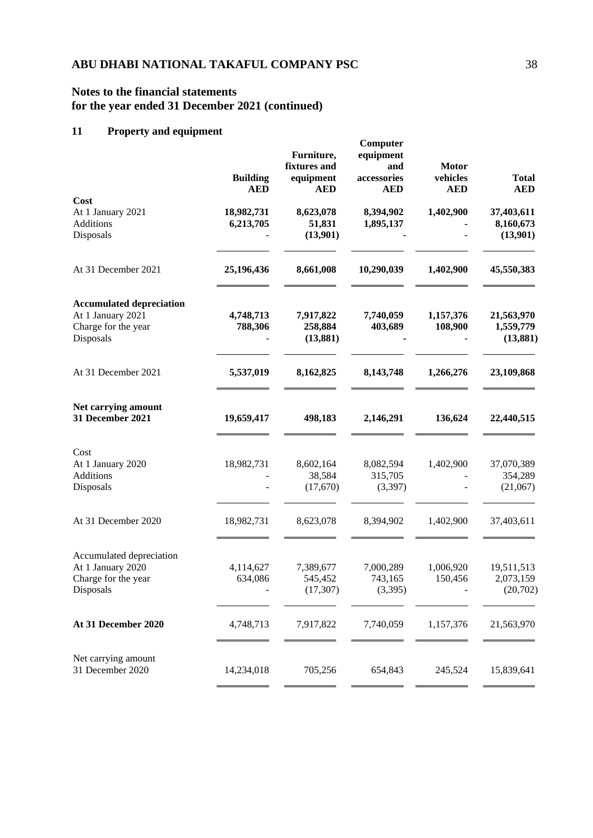# **Notes to the financial statements for the year ended 31 December 2021 (continued)**

# **11 Property and equipment**

| <b>Building</b> | Furniture,<br>fixtures and<br>equipment                         | Computer<br>equipment<br>and<br>accessories                 | <b>Motor</b><br>vehicles                                       | <b>Total</b><br><b>AED</b>                        |
|-----------------|-----------------------------------------------------------------|-------------------------------------------------------------|----------------------------------------------------------------|---------------------------------------------------|
| 18,982,731      | 8,623,078                                                       | 8,394,902                                                   | 1,402,900                                                      | 37,403,611                                        |
|                 | (13,901)                                                        |                                                             |                                                                | 8,160,673<br>(13,901)                             |
| 25,196,436      | 8,661,008                                                       | 10,290,039                                                  | 1,402,900                                                      | 45,550,383                                        |
|                 |                                                                 |                                                             |                                                                | 21,563,970                                        |
| 788,306         | 258,884<br>(13, 881)                                            | 403,689                                                     | 108,900                                                        | 1,559,779<br>(13, 881)                            |
| 5,537,019       | 8,162,825                                                       | 8,143,748                                                   | 1,266,276                                                      | 23,109,868                                        |
| 19,659,417      | 498,183                                                         | 2,146,291                                                   | 136,624                                                        | 22,440,515                                        |
|                 |                                                                 |                                                             |                                                                | 37,070,389                                        |
|                 | 38,584<br>(17,670)                                              | 315,705<br>(3, 397)                                         |                                                                | 354,289<br>(21,067)                               |
| 18,982,731      | 8,623,078                                                       | 8,394,902                                                   | 1,402,900                                                      | 37,403,611                                        |
|                 |                                                                 |                                                             |                                                                |                                                   |
| 634,086         | 545,452<br>(17, 307)                                            | 743,165<br>(3,395)                                          | 150,456                                                        | 19,511,513<br>2,073,159<br>(20, 702)              |
| 4,748,713       | 7,917,822                                                       | 7,740,059                                                   | 1,157,376                                                      | 21,563,970                                        |
| 14,234,018      | 705,256                                                         | 654,843                                                     | 245,524                                                        | 15,839,641                                        |
|                 | <b>AED</b><br>6,213,705<br>4,748,713<br>18,982,731<br>4,114,627 | <b>AED</b><br>51,831<br>7,917,822<br>8,602,164<br>7,389,677 | <b>AED</b><br>1,895,137<br>7,740,059<br>8,082,594<br>7,000,289 | <b>AED</b><br>1,157,376<br>1,402,900<br>1,006,920 |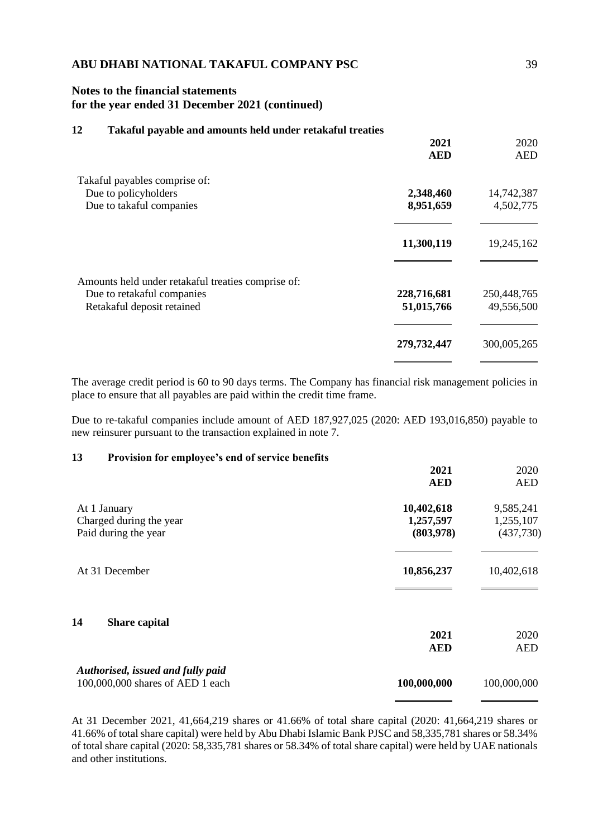## **Notes to the financial statements for the year ended 31 December 2021 (continued)**

#### **12 Takaful payable and amounts held under retakaful treaties**

|                                                    | 2021        | 2020        |
|----------------------------------------------------|-------------|-------------|
|                                                    | <b>AED</b>  | <b>AED</b>  |
| Takaful payables comprise of:                      |             |             |
| Due to policyholders                               | 2,348,460   | 14,742,387  |
| Due to takaful companies                           | 8,951,659   | 4,502,775   |
|                                                    | 11,300,119  | 19,245,162  |
|                                                    |             |             |
| Amounts held under retakaful treaties comprise of: |             |             |
| Due to retakaful companies                         | 228,716,681 | 250,448,765 |
| Retakaful deposit retained                         | 51,015,766  | 49,556,500  |
|                                                    | 279,732,447 | 300,005,265 |
|                                                    |             |             |

The average credit period is 60 to 90 days terms. The Company has financial risk management policies in place to ensure that all payables are paid within the credit time frame.

Due to re-takaful companies include amount of AED 187,927,025 (2020: AED 193,016,850) payable to new reinsurer pursuant to the transaction explained in note 7.

#### **13 Provision for employee's end of service benefits**

| 2021                                            | 2020        |
|-------------------------------------------------|-------------|
| <b>AED</b>                                      | <b>AED</b>  |
| 10,402,618<br>At 1 January                      | 9,585,241   |
| Charged during the year<br>1,257,597            | 1,255,107   |
| Paid during the year<br>(803,978)               | (437,730)   |
| 10,856,237<br>At 31 December                    | 10,402,618  |
| 14<br><b>Share capital</b><br>2021              | 2020        |
| <b>AED</b>                                      | <b>AED</b>  |
| Authorised, issued and fully paid               |             |
| 100,000,000<br>100,000,000 shares of AED 1 each | 100,000,000 |

At 31 December 2021, 41,664,219 shares or 41.66% of total share capital (2020: 41,664,219 shares or 41.66% of total share capital) were held by Abu Dhabi Islamic Bank PJSC and 58,335,781 shares or 58.34% of total share capital (2020: 58,335,781 shares or 58.34% of total share capital) were held by UAE nationals and other institutions.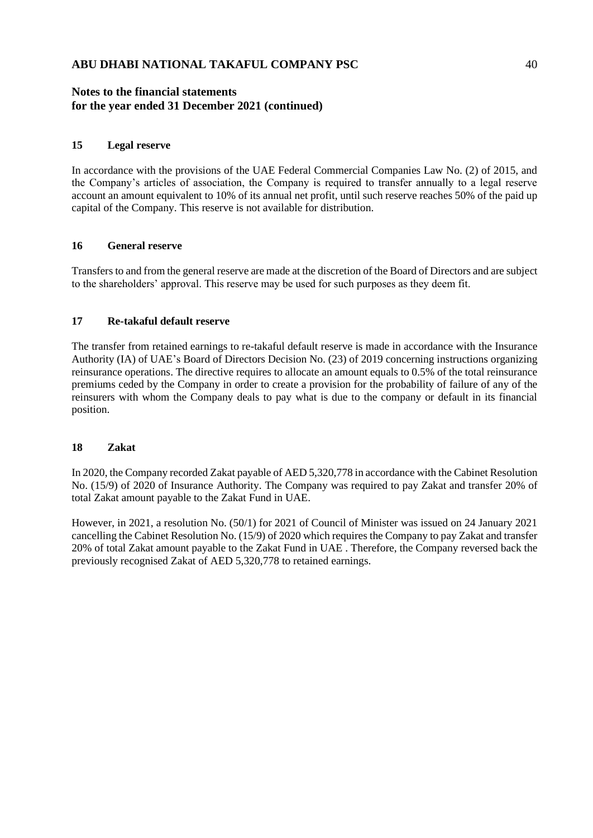## **Notes to the financial statements for the year ended 31 December 2021 (continued)**

#### **15 Legal reserve**

In accordance with the provisions of the UAE Federal Commercial Companies Law No. (2) of 2015, and the Company's articles of association, the Company is required to transfer annually to a legal reserve account an amount equivalent to 10% of its annual net profit, until such reserve reaches 50% of the paid up capital of the Company. This reserve is not available for distribution.

#### **16 General reserve**

Transfers to and from the general reserve are made at the discretion of the Board of Directors and are subject to the shareholders' approval. This reserve may be used for such purposes as they deem fit.

## **17 Re-takaful default reserve**

The transfer from retained earnings to re-takaful default reserve is made in accordance with the Insurance Authority (IA) of UAE's Board of Directors Decision No. (23) of 2019 concerning instructions organizing reinsurance operations. The directive requires to allocate an amount equals to 0.5% of the total reinsurance premiums ceded by the Company in order to create a provision for the probability of failure of any of the reinsurers with whom the Company deals to pay what is due to the company or default in its financial position.

#### **18 Zakat**

In 2020, the Company recorded Zakat payable of AED 5,320,778 in accordance with the Cabinet Resolution No. (15/9) of 2020 of Insurance Authority. The Company was required to pay Zakat and transfer 20% of total Zakat amount payable to the Zakat Fund in UAE.

However, in 2021, a resolution No. (50/1) for 2021 of Council of Minister was issued on 24 January 2021 cancelling the Cabinet Resolution No. (15/9) of 2020 which requires the Company to pay Zakat and transfer 20% of total Zakat amount payable to the Zakat Fund in UAE . Therefore, the Company reversed back the previously recognised Zakat of AED 5,320,778 to retained earnings.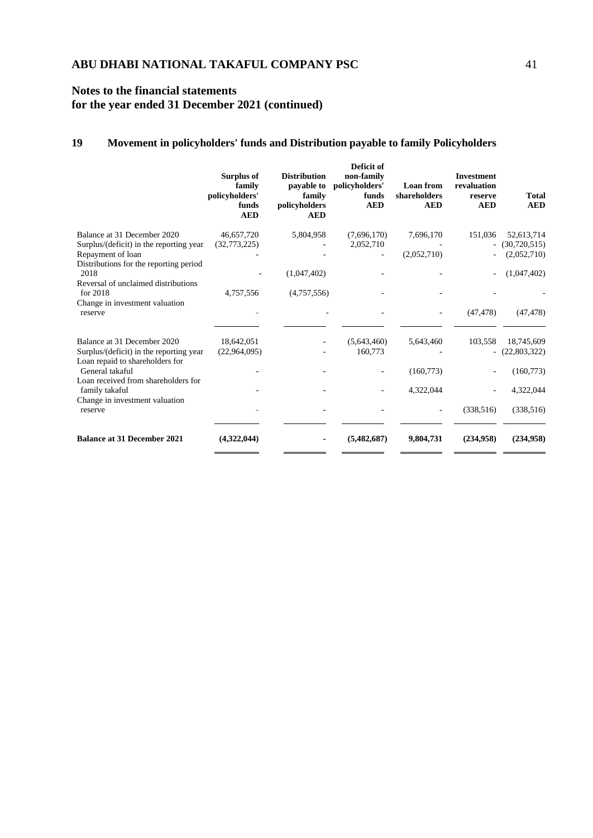## **Notes to the financial statements for the year ended 31 December 2021 (continued)**

# **19 Movement in policyholders' funds and Distribution payable to family Policyholders**

|                                                                            | Surplus of<br>family<br>policyholders'<br>funds<br><b>AED</b> | <b>Distribution</b><br>payable to<br>family<br>policyholders<br><b>AED</b> | Deficit of<br>non-family<br>policyholders'<br>funds<br><b>AED</b> | Loan from<br>shareholders<br><b>AED</b> | <b>Investment</b><br>revaluation<br>reserve<br><b>AED</b> | <b>Total</b><br><b>AED</b> |
|----------------------------------------------------------------------------|---------------------------------------------------------------|----------------------------------------------------------------------------|-------------------------------------------------------------------|-----------------------------------------|-----------------------------------------------------------|----------------------------|
| Balance at 31 December 2020                                                | 46,657,720                                                    | 5,804,958                                                                  | (7,696,170)                                                       | 7,696,170                               | 151,036                                                   | 52,613,714                 |
| Surplus/(deficit) in the reporting year                                    | (32,773,225)                                                  |                                                                            | 2,052,710                                                         |                                         | $\overline{a}$                                            | (30, 720, 515)             |
| Repayment of loan<br>Distributions for the reporting period                |                                                               |                                                                            |                                                                   | (2,052,710)                             |                                                           | (2,052,710)                |
| 2018<br>Reversal of unclaimed distributions                                |                                                               | (1,047,402)                                                                |                                                                   |                                         | ÷,                                                        | (1,047,402)                |
| for 2018                                                                   | 4,757,556                                                     | (4,757,556)                                                                |                                                                   |                                         |                                                           |                            |
| Change in investment valuation<br>reserve                                  |                                                               |                                                                            |                                                                   |                                         | (47, 478)                                                 | (47, 478)                  |
| Balance at 31 December 2020                                                | 18,642,051                                                    |                                                                            | (5,643,460)                                                       | 5,643,460                               | 103,558                                                   | 18,745,609                 |
| Surplus/(deficit) in the reporting year<br>Loan repaid to shareholders for | (22,964,095)                                                  |                                                                            | 160,773                                                           |                                         |                                                           | (22,803,322)               |
| General takaful                                                            |                                                               |                                                                            |                                                                   | (160,773)                               |                                                           | (160, 773)                 |
| Loan received from shareholders for<br>family takaful                      |                                                               |                                                                            |                                                                   | 4,322,044                               |                                                           | 4,322,044                  |
| Change in investment valuation<br>reserve                                  |                                                               |                                                                            |                                                                   |                                         | (338,516)                                                 | (338, 516)                 |
| <b>Balance at 31 December 2021</b>                                         | (4,322,044)                                                   |                                                                            | (5,482,687)                                                       | 9,804,731                               | (234,958)                                                 | (234,958)                  |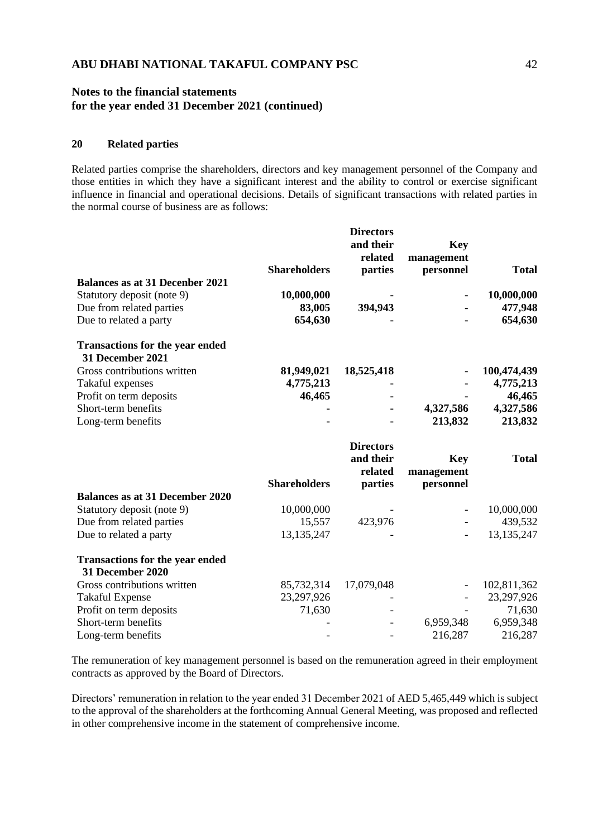## **Notes to the financial statements for the year ended 31 December 2021 (continued)**

#### **20 Related parties**

Related parties comprise the shareholders, directors and key management personnel of the Company and those entities in which they have a significant interest and the ability to control or exercise significant influence in financial and operational decisions. Details of significant transactions with related parties in the normal course of business are as follows:

|                                                        |                     | <b>Directors</b><br>and their | <b>Key</b> |              |
|--------------------------------------------------------|---------------------|-------------------------------|------------|--------------|
|                                                        |                     | related                       | management |              |
|                                                        | <b>Shareholders</b> | parties                       | personnel  | <b>Total</b> |
| <b>Balances as at 31 December 2021</b>                 |                     |                               |            |              |
| Statutory deposit (note 9)                             | 10,000,000          |                               |            | 10,000,000   |
| Due from related parties                               | 83,005              | 394,943                       |            | 477,948      |
| Due to related a party                                 | 654,630             |                               |            | 654,630      |
| <b>Transactions for the year ended</b>                 |                     |                               |            |              |
| <b>31 December 2021</b><br>Gross contributions written | 81,949,021          | 18,525,418                    |            | 100,474,439  |
| Takaful expenses                                       | 4,775,213           |                               |            | 4,775,213    |
| Profit on term deposits                                | 46,465              |                               |            | 46,465       |
| Short-term benefits                                    |                     |                               | 4,327,586  | 4,327,586    |
| Long-term benefits                                     |                     |                               | 213,832    | 213,832      |
|                                                        |                     | <b>Directors</b>              |            |              |
|                                                        |                     | and their                     | <b>Key</b> | <b>Total</b> |
|                                                        |                     | related                       | management |              |
|                                                        | <b>Shareholders</b> | parties                       | personnel  |              |
| <b>Balances as at 31 December 2020</b>                 |                     |                               |            |              |
| Statutory deposit (note 9)                             | 10,000,000          |                               |            | 10,000,000   |
| Due from related parties                               | 15,557              | 423,976                       |            | 439,532      |
| Due to related a party                                 | 13, 135, 247        |                               |            | 13, 135, 247 |
| <b>Transactions for the year ended</b>                 |                     |                               |            |              |
| <b>31 December 2020</b>                                |                     |                               |            |              |
| Gross contributions written                            | 85,732,314          | 17,079,048                    |            | 102,811,362  |
| <b>Takaful Expense</b>                                 | 23,297,926          |                               |            | 23,297,926   |
| Profit on term deposits                                | 71,630              |                               |            | 71,630       |
| Short-term benefits                                    |                     |                               | 6,959,348  | 6,959,348    |
| Long-term benefits                                     |                     |                               | 216,287    | 216,287      |

The remuneration of key management personnel is based on the remuneration agreed in their employment contracts as approved by the Board of Directors.

Directors' remuneration in relation to the year ended 31 December 2021 of AED 5,465,449 which is subject to the approval of the shareholders at the forthcoming Annual General Meeting, was proposed and reflected in other comprehensive income in the statement of comprehensive income.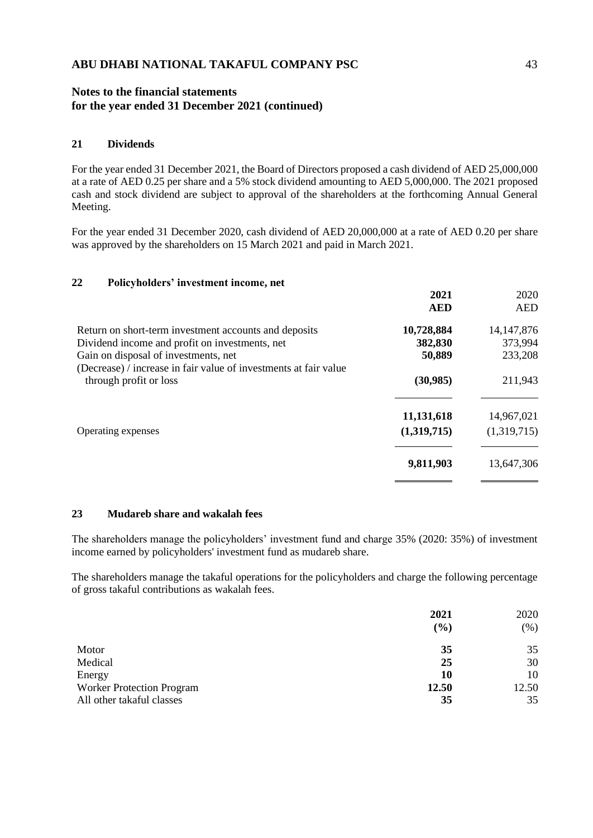## **Notes to the financial statements for the year ended 31 December 2021 (continued)**

#### **21 Dividends**

For the year ended 31 December 2021, the Board of Directors proposed a cash dividend of AED 25,000,000 at a rate of AED 0.25 per share and a 5% stock dividend amounting to AED 5,000,000. The 2021 proposed cash and stock dividend are subject to approval of the shareholders at the forthcoming Annual General Meeting.

For the year ended 31 December 2020, cash dividend of AED 20,000,000 at a rate of AED 0.20 per share was approved by the shareholders on 15 March 2021 and paid in March 2021.

# **22 Policyholders' investment income, net**

|                                                                                            | <b>AED</b>  | AED          |
|--------------------------------------------------------------------------------------------|-------------|--------------|
| Return on short-term investment accounts and deposits                                      | 10,728,884  | 14, 147, 876 |
| Dividend income and profit on investments, net                                             | 382,830     | 373,994      |
| Gain on disposal of investments, net                                                       | 50,889      | 233,208      |
| (Decrease) / increase in fair value of investments at fair value<br>through profit or loss | (30, 985)   | 211,943      |
|                                                                                            | 11,131,618  | 14,967,021   |
| Operating expenses                                                                         | (1,319,715) | (1,319,715)  |
|                                                                                            | 9,811,903   | 13,647,306   |

#### **23 Mudareb share and wakalah fees**

The shareholders manage the policyholders' investment fund and charge 35% (2020: 35%) of investment income earned by policyholders' investment fund as mudareb share.

The shareholders manage the takaful operations for the policyholders and charge the following percentage of gross takaful contributions as wakalah fees.

|                                  | 2021  | 2020   |
|----------------------------------|-------|--------|
|                                  | (9/0) | $(\%)$ |
| Motor                            | 35    | 35     |
| Medical                          | 25    | 30     |
| Energy                           | 10    | 10     |
| <b>Worker Protection Program</b> | 12.50 | 12.50  |
| All other takaful classes        | 35    | 35     |

**2021** 2020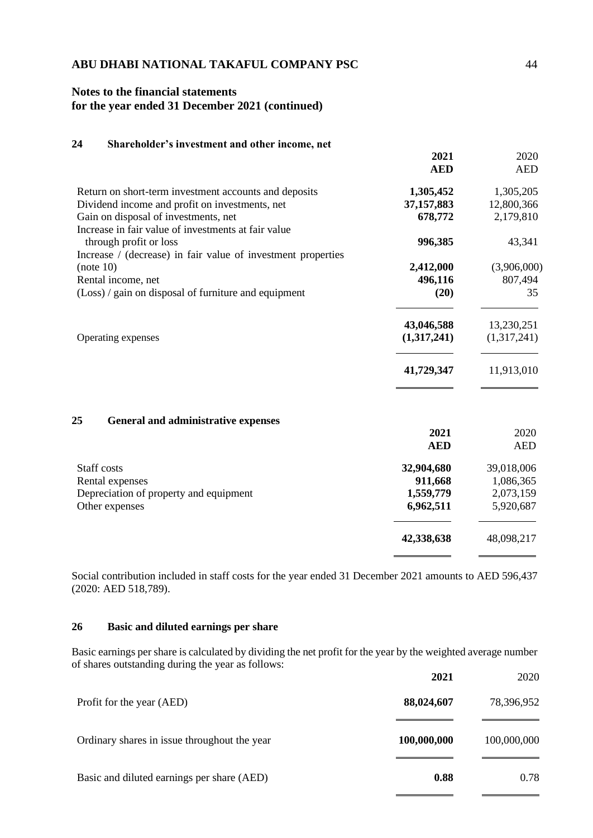## **Notes to the financial statements for the year ended 31 December 2021 (continued)**

## **24 Shareholder's investment and other income, net**

|                                                              | 2021         | 2020        |
|--------------------------------------------------------------|--------------|-------------|
|                                                              | <b>AED</b>   | <b>AED</b>  |
| Return on short-term investment accounts and deposits        | 1,305,452    | 1,305,205   |
| Dividend income and profit on investments, net               | 37, 157, 883 | 12,800,366  |
| Gain on disposal of investments, net                         | 678,772      | 2,179,810   |
| Increase in fair value of investments at fair value          |              |             |
| through profit or loss                                       | 996,385      | 43,341      |
| Increase / (decrease) in fair value of investment properties |              |             |
| (note 10)                                                    | 2,412,000    | (3,906,000) |
| Rental income, net                                           | 496,116      | 807,494     |
| (Loss) / gain on disposal of furniture and equipment         | (20)         | 35          |
|                                                              | 43,046,588   | 13,230,251  |
| Operating expenses                                           | (1,317,241)  | (1,317,241) |
|                                                              | 41,729,347   | 11,913,010  |
| 25<br><b>General and administrative expenses</b>             |              |             |
|                                                              | 2021         | 2020        |
|                                                              | <b>AED</b>   | <b>AED</b>  |
| Staff costs                                                  | 32,904,680   | 39,018,006  |
| Rental expenses                                              | 911,668      | 1,086,365   |
| Depreciation of property and equipment                       | 1,559,779    | 2,073,159   |
| Other expenses                                               | 6,962,511    | 5,920,687   |
|                                                              | 42,338,638   | 48,098,217  |
|                                                              |              |             |

Social contribution included in staff costs for the year ended 31 December 2021 amounts to AED 596,437 (2020: AED 518,789).

## **26 Basic and diluted earnings per share**

Basic earnings per share is calculated by dividing the net profit for the year by the weighted average number of shares outstanding during the year as follows: **2021** 2020

|                                              | 2021        | <b>2020</b> |
|----------------------------------------------|-------------|-------------|
| Profit for the year (AED)                    | 88,024,607  | 78,396,952  |
| Ordinary shares in issue throughout the year | 100,000,000 | 100,000,000 |
| Basic and diluted earnings per share (AED)   | 0.88        | 0.78        |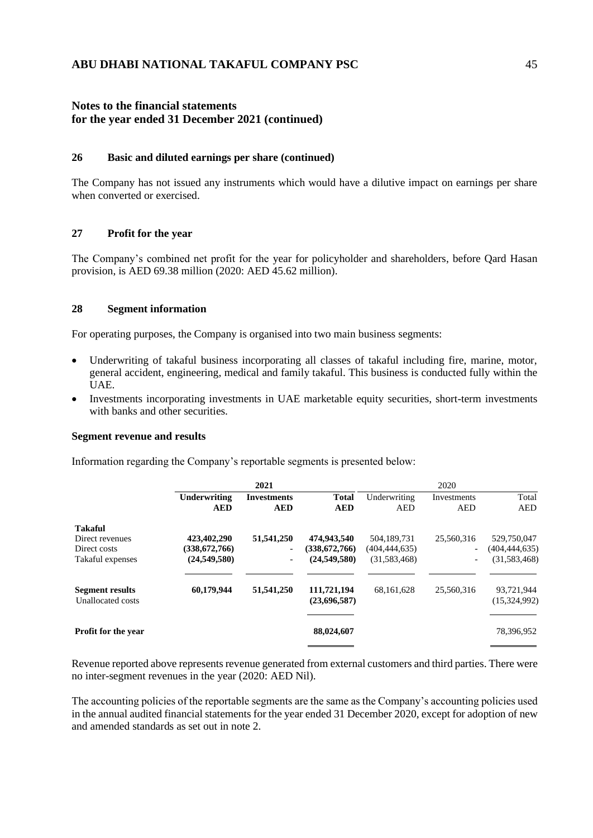# **Notes to the financial statements for the year ended 31 December 2021 (continued)**

#### **26 Basic and diluted earnings per share (continued)**

The Company has not issued any instruments which would have a dilutive impact on earnings per share when converted or exercised.

#### **27 Profit for the year**

The Company's combined net profit for the year for policyholder and shareholders, before Qard Hasan provision, is AED 69.38 million (2020: AED 45.62 million).

#### **28 Segment information**

For operating purposes, the Company is organised into two main business segments:

- Underwriting of takaful business incorporating all classes of takaful including fire, marine, motor, general accident, engineering, medical and family takaful. This business is conducted fully within the UAE.
- Investments incorporating investments in UAE marketable equity securities, short-term investments with banks and other securities.

#### **Segment revenue and results**

Information regarding the Company's reportable segments is presented below:

|                                             |                            | 2021                             |                             |                            | 2020                      |                            |  |  |
|---------------------------------------------|----------------------------|----------------------------------|-----------------------------|----------------------------|---------------------------|----------------------------|--|--|
|                                             | Underwriting<br><b>AED</b> | <b>Investments</b><br><b>AED</b> | <b>Total</b><br><b>AED</b>  | Underwriting<br><b>AED</b> | Investments<br><b>AED</b> | Total<br><b>AED</b>        |  |  |
| <b>Takaful</b>                              |                            |                                  |                             |                            |                           |                            |  |  |
| Direct revenues                             | 423,402,290                | 51,541,250                       | 474,943,540                 | 504,189,731                | 25,560,316                | 529,750,047                |  |  |
| Direct costs                                | (338,672,766)              |                                  | (338,672,766)               | (404, 444, 635)            | $\overline{\phantom{a}}$  | (404, 444, 635)            |  |  |
| Takaful expenses                            | (24, 549, 580)             |                                  | (24, 549, 580)              | (31,583,468)               | $\overline{\phantom{a}}$  | (31,583,468)               |  |  |
| <b>Segment results</b><br>Unallocated costs | 60,179,944                 | 51,541,250                       | 111,721,194<br>(23,696,587) | 68,161,628                 | 25,560,316                | 93,721,944<br>(15,324,992) |  |  |
| <b>Profit for the year</b>                  |                            |                                  | 88,024,607                  |                            |                           | 78,396,952                 |  |  |

Revenue reported above represents revenue generated from external customers and third parties. There were no inter-segment revenues in the year (2020: AED Nil).

The accounting policies of the reportable segments are the same as the Company's accounting policies used in the annual audited financial statements for the year ended 31 December 2020, except for adoption of new and amended standards as set out in note 2.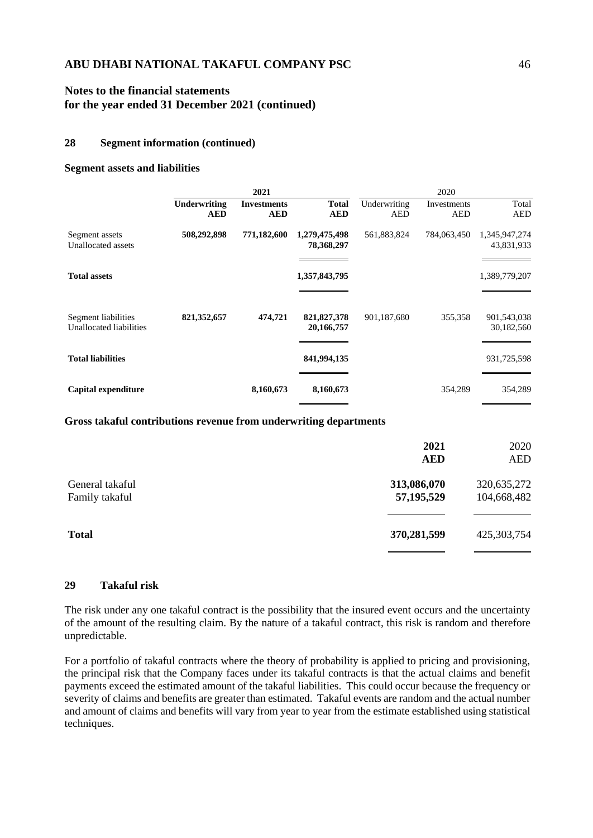# **Notes to the financial statements for the year ended 31 December 2021 (continued)**

#### **28 Segment information (continued)**

#### **Segment assets and liabilities**

|                                                | 2021         |                    |                             |              |             |                             |
|------------------------------------------------|--------------|--------------------|-----------------------------|--------------|-------------|-----------------------------|
|                                                | Underwriting | <b>Investments</b> | <b>Total</b>                | Underwriting | Investments | Total                       |
|                                                | <b>AED</b>   | <b>AED</b>         | <b>AED</b>                  | <b>AED</b>   | <b>AED</b>  | <b>AED</b>                  |
| Segment assets<br>Unallocated assets           | 508,292,898  | 771,182,600        | 1,279,475,498<br>78,368,297 | 561,883,824  | 784,063,450 | 1,345,947,274<br>43,831,933 |
| <b>Total assets</b>                            |              |                    | 1,357,843,795               |              |             | 1,389,779,207               |
| Segment liabilities<br>Unallocated liabilities | 821,352,657  | 474,721            | 821,827,378<br>20,166,757   | 901,187,680  | 355,358     | 901,543,038<br>30,182,560   |
| <b>Total liabilities</b>                       |              |                    | 841,994,135                 |              |             | 931,725,598                 |
| Capital expenditure                            |              | 8,160,673          | 8,160,673                   |              | 354,289     | 354,289                     |

#### **Gross takaful contributions revenue from underwriting departments**

|                                   | 2021<br><b>AED</b>          | 2020<br><b>AED</b>           |
|-----------------------------------|-----------------------------|------------------------------|
| General takaful<br>Family takaful | 313,086,070<br>57, 195, 529 | 320, 635, 272<br>104,668,482 |
| <b>Total</b>                      | 370,281,599                 | 425, 303, 754                |

## **29 Takaful risk**

The risk under any one takaful contract is the possibility that the insured event occurs and the uncertainty of the amount of the resulting claim. By the nature of a takaful contract, this risk is random and therefore unpredictable.

For a portfolio of takaful contracts where the theory of probability is applied to pricing and provisioning, the principal risk that the Company faces under its takaful contracts is that the actual claims and benefit payments exceed the estimated amount of the takaful liabilities. This could occur because the frequency or severity of claims and benefits are greater than estimated. Takaful events are random and the actual number and amount of claims and benefits will vary from year to year from the estimate established using statistical techniques.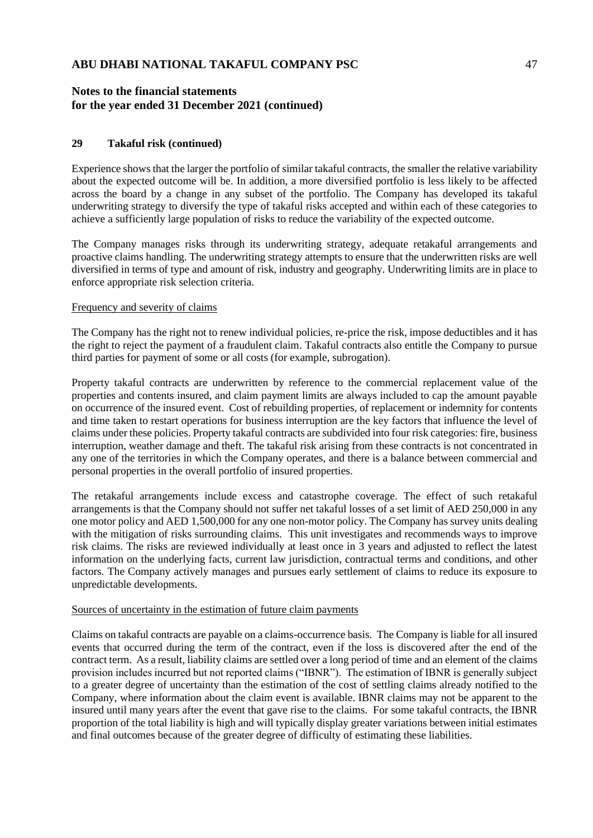## **Notes to the financial statements for the year ended 31 December 2021 (continued)**

#### **29 Takaful risk (continued)**

Experience shows that the larger the portfolio of similar takaful contracts, the smaller the relative variability about the expected outcome will be. In addition, a more diversified portfolio is less likely to be affected across the board by a change in any subset of the portfolio. The Company has developed its takaful underwriting strategy to diversify the type of takaful risks accepted and within each of these categories to achieve a sufficiently large population of risks to reduce the variability of the expected outcome.

The Company manages risks through its underwriting strategy, adequate retakaful arrangements and proactive claims handling. The underwriting strategy attempts to ensure that the underwritten risks are well diversified in terms of type and amount of risk, industry and geography. Underwriting limits are in place to enforce appropriate risk selection criteria.

#### Frequency and severity of claims

The Company has the right not to renew individual policies, re-price the risk, impose deductibles and it has the right to reject the payment of a fraudulent claim. Takaful contracts also entitle the Company to pursue third parties for payment of some or all costs (for example, subrogation).

Property takaful contracts are underwritten by reference to the commercial replacement value of the properties and contents insured, and claim payment limits are always included to cap the amount payable on occurrence of the insured event. Cost of rebuilding properties, of replacement or indemnity for contents and time taken to restart operations for business interruption are the key factors that influence the level of claims under these policies. Property takaful contracts are subdivided into four risk categories: fire, business interruption, weather damage and theft. The takaful risk arising from these contracts is not concentrated in any one of the territories in which the Company operates, and there is a balance between commercial and personal properties in the overall portfolio of insured properties.

The retakaful arrangements include excess and catastrophe coverage. The effect of such retakaful arrangements is that the Company should not suffer net takaful losses of a set limit of AED 250,000 in any one motor policy and AED 1,500,000 for any one non-motor policy. The Company has survey units dealing with the mitigation of risks surrounding claims. This unit investigates and recommends ways to improve risk claims. The risks are reviewed individually at least once in 3 years and adjusted to reflect the latest information on the underlying facts, current law jurisdiction, contractual terms and conditions, and other factors. The Company actively manages and pursues early settlement of claims to reduce its exposure to unpredictable developments.

#### Sources of uncertainty in the estimation of future claim payments

Claims on takaful contracts are payable on a claims-occurrence basis. The Company is liable for all insured events that occurred during the term of the contract, even if the loss is discovered after the end of the contract term. As a result, liability claims are settled over a long period of time and an element of the claims provision includes incurred but not reported claims ("IBNR"). The estimation of IBNR is generally subject to a greater degree of uncertainty than the estimation of the cost of settling claims already notified to the Company, where information about the claim event is available. IBNR claims may not be apparent to the insured until many years after the event that gave rise to the claims. For some takaful contracts, the IBNR proportion of the total liability is high and will typically display greater variations between initial estimates and final outcomes because of the greater degree of difficulty of estimating these liabilities.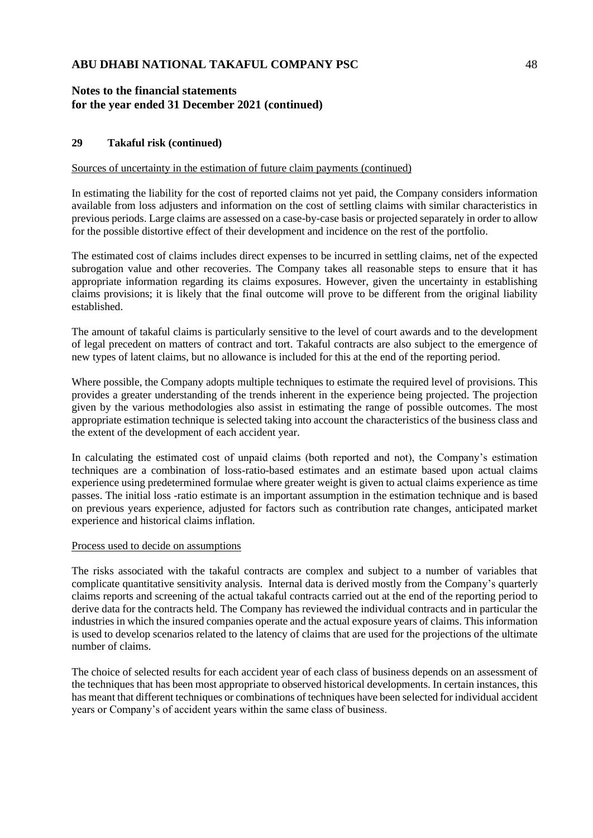## **Notes to the financial statements for the year ended 31 December 2021 (continued)**

#### **29 Takaful risk (continued)**

#### Sources of uncertainty in the estimation of future claim payments (continued)

In estimating the liability for the cost of reported claims not yet paid, the Company considers information available from loss adjusters and information on the cost of settling claims with similar characteristics in previous periods. Large claims are assessed on a case-by-case basis or projected separately in order to allow for the possible distortive effect of their development and incidence on the rest of the portfolio.

The estimated cost of claims includes direct expenses to be incurred in settling claims, net of the expected subrogation value and other recoveries. The Company takes all reasonable steps to ensure that it has appropriate information regarding its claims exposures. However, given the uncertainty in establishing claims provisions; it is likely that the final outcome will prove to be different from the original liability established.

The amount of takaful claims is particularly sensitive to the level of court awards and to the development of legal precedent on matters of contract and tort. Takaful contracts are also subject to the emergence of new types of latent claims, but no allowance is included for this at the end of the reporting period.

Where possible, the Company adopts multiple techniques to estimate the required level of provisions. This provides a greater understanding of the trends inherent in the experience being projected. The projection given by the various methodologies also assist in estimating the range of possible outcomes. The most appropriate estimation technique is selected taking into account the characteristics of the business class and the extent of the development of each accident year.

In calculating the estimated cost of unpaid claims (both reported and not), the Company's estimation techniques are a combination of loss-ratio-based estimates and an estimate based upon actual claims experience using predetermined formulae where greater weight is given to actual claims experience as time passes. The initial loss -ratio estimate is an important assumption in the estimation technique and is based on previous years experience, adjusted for factors such as contribution rate changes, anticipated market experience and historical claims inflation.

#### Process used to decide on assumptions

The risks associated with the takaful contracts are complex and subject to a number of variables that complicate quantitative sensitivity analysis. Internal data is derived mostly from the Company's quarterly claims reports and screening of the actual takaful contracts carried out at the end of the reporting period to derive data for the contracts held. The Company has reviewed the individual contracts and in particular the industries in which the insured companies operate and the actual exposure years of claims. This information is used to develop scenarios related to the latency of claims that are used for the projections of the ultimate number of claims.

The choice of selected results for each accident year of each class of business depends on an assessment of the techniques that has been most appropriate to observed historical developments. In certain instances, this has meant that different techniques or combinations of techniques have been selected for individual accident years or Company's of accident years within the same class of business.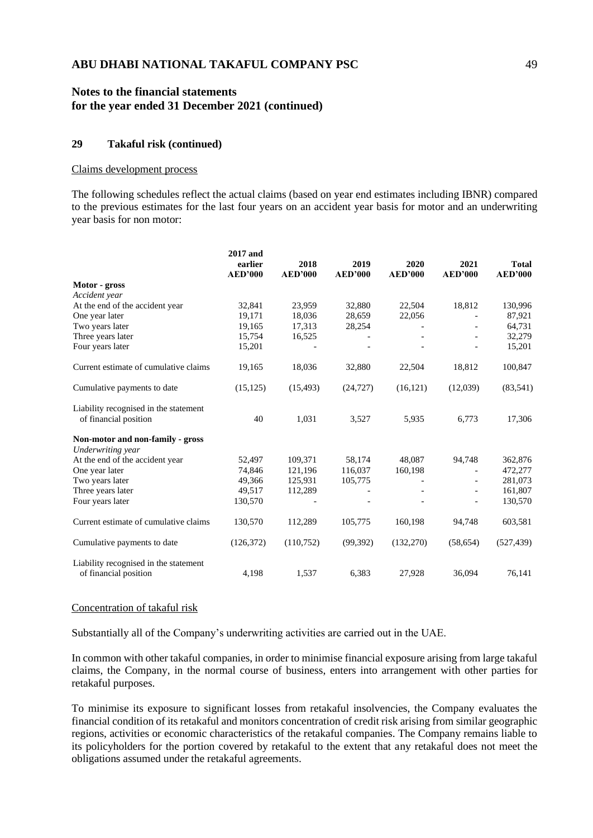## **Notes to the financial statements for the year ended 31 December 2021 (continued)**

#### **29 Takaful risk (continued)**

#### Claims development process

The following schedules reflect the actual claims (based on year end estimates including IBNR) compared to the previous estimates for the last four years on an accident year basis for motor and an underwriting year basis for non motor:

|                                                                | 2017 and                  |                        |                        |                        |                        |                                |
|----------------------------------------------------------------|---------------------------|------------------------|------------------------|------------------------|------------------------|--------------------------------|
|                                                                | earlier<br><b>AED'000</b> | 2018<br><b>AED'000</b> | 2019<br><b>AED'000</b> | 2020<br><b>AED'000</b> | 2021<br><b>AED'000</b> | <b>Total</b><br><b>AED'000</b> |
| Motor - gross                                                  |                           |                        |                        |                        |                        |                                |
| Accident year                                                  |                           |                        |                        |                        |                        |                                |
| At the end of the accident year                                | 32,841                    | 23,959                 | 32,880                 | 22,504                 | 18,812                 | 130,996                        |
| One year later                                                 | 19,171                    | 18,036                 | 28,659                 | 22,056                 |                        | 87,921                         |
| Two years later                                                | 19,165                    | 17,313                 | 28,254                 |                        |                        | 64,731                         |
| Three years later                                              | 15,754                    | 16,525                 |                        |                        |                        | 32,279                         |
| Four years later                                               | 15,201                    |                        |                        |                        |                        | 15,201                         |
| Current estimate of cumulative claims                          | 19,165                    | 18,036                 | 32,880                 | 22,504                 | 18,812                 | 100,847                        |
| Cumulative payments to date                                    | (15, 125)                 | (15, 493)              | (24, 727)              | (16, 121)              | (12,039)               | (83,541)                       |
| Liability recognised in the statement                          |                           |                        |                        |                        |                        |                                |
| of financial position                                          | 40                        | 1,031                  | 3,527                  | 5,935                  | 6,773                  | 17,306                         |
| Non-motor and non-family - gross                               |                           |                        |                        |                        |                        |                                |
| Underwriting year                                              |                           |                        |                        |                        |                        |                                |
| At the end of the accident year                                | 52,497                    | 109,371                | 58,174                 | 48,087                 | 94,748                 | 362,876                        |
| One year later                                                 | 74,846                    | 121,196                | 116,037                | 160,198                |                        | 472,277                        |
| Two years later                                                | 49,366                    | 125,931                | 105,775                |                        |                        | 281,073                        |
| Three years later                                              | 49,517                    | 112,289                |                        |                        |                        | 161,807                        |
| Four years later                                               | 130,570                   |                        |                        |                        |                        | 130,570                        |
| Current estimate of cumulative claims                          | 130,570                   | 112,289                | 105,775                | 160,198                | 94,748                 | 603,581                        |
| Cumulative payments to date                                    | (126,372)                 | (110, 752)             | (99, 392)              | (132,270)              | (58, 654)              | (527, 439)                     |
| Liability recognised in the statement<br>of financial position | 4,198                     | 1,537                  | 6,383                  | 27,928                 | 36,094                 | 76,141                         |

#### Concentration of takaful risk

Substantially all of the Company's underwriting activities are carried out in the UAE.

In common with other takaful companies, in order to minimise financial exposure arising from large takaful claims, the Company, in the normal course of business, enters into arrangement with other parties for retakaful purposes.

To minimise its exposure to significant losses from retakaful insolvencies, the Company evaluates the financial condition of its retakaful and monitors concentration of credit risk arising from similar geographic regions, activities or economic characteristics of the retakaful companies. The Company remains liable to its policyholders for the portion covered by retakaful to the extent that any retakaful does not meet the obligations assumed under the retakaful agreements.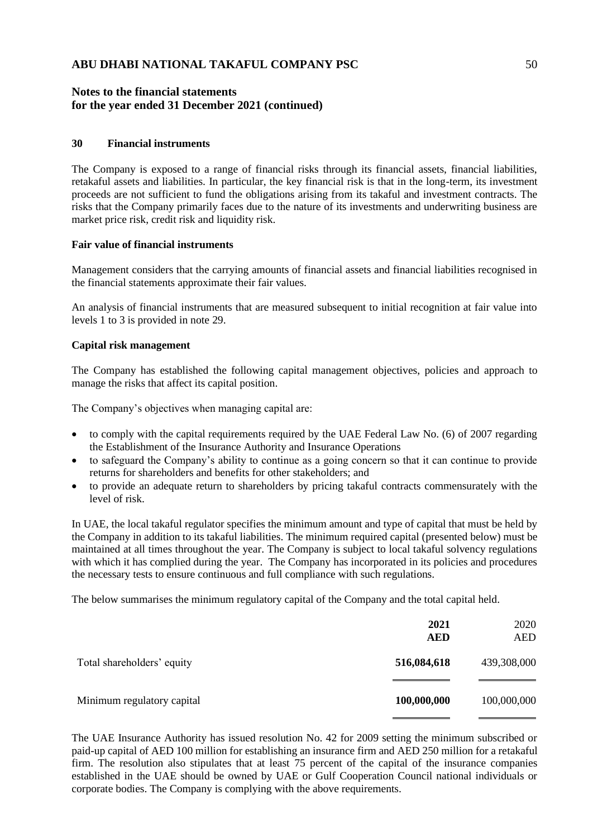# **Notes to the financial statements for the year ended 31 December 2021 (continued)**

## **30 Financial instruments**

The Company is exposed to a range of financial risks through its financial assets, financial liabilities, retakaful assets and liabilities. In particular, the key financial risk is that in the long-term, its investment proceeds are not sufficient to fund the obligations arising from its takaful and investment contracts. The risks that the Company primarily faces due to the nature of its investments and underwriting business are market price risk, credit risk and liquidity risk.

## **Fair value of financial instruments**

Management considers that the carrying amounts of financial assets and financial liabilities recognised in the financial statements approximate their fair values.

An analysis of financial instruments that are measured subsequent to initial recognition at fair value into levels 1 to 3 is provided in note 29.

#### **Capital risk management**

The Company has established the following capital management objectives, policies and approach to manage the risks that affect its capital position.

The Company's objectives when managing capital are:

- to comply with the capital requirements required by the UAE Federal Law No. (6) of 2007 regarding the Establishment of the Insurance Authority and Insurance Operations
- to safeguard the Company's ability to continue as a going concern so that it can continue to provide returns for shareholders and benefits for other stakeholders; and
- to provide an adequate return to shareholders by pricing takaful contracts commensurately with the level of risk.

In UAE, the local takaful regulator specifies the minimum amount and type of capital that must be held by the Company in addition to its takaful liabilities. The minimum required capital (presented below) must be maintained at all times throughout the year. The Company is subject to local takaful solvency regulations with which it has complied during the year. The Company has incorporated in its policies and procedures the necessary tests to ensure continuous and full compliance with such regulations.

The below summarises the minimum regulatory capital of the Company and the total capital held.

|                            | 2021<br><b>AED</b> | 2020<br><b>AED</b> |
|----------------------------|--------------------|--------------------|
| Total shareholders' equity | 516,084,618        | 439,308,000        |
| Minimum regulatory capital | 100,000,000        | 100,000,000        |

The UAE Insurance Authority has issued resolution No. 42 for 2009 setting the minimum subscribed or paid-up capital of AED 100 million for establishing an insurance firm and AED 250 million for a retakaful firm. The resolution also stipulates that at least 75 percent of the capital of the insurance companies established in the UAE should be owned by UAE or Gulf Cooperation Council national individuals or corporate bodies. The Company is complying with the above requirements.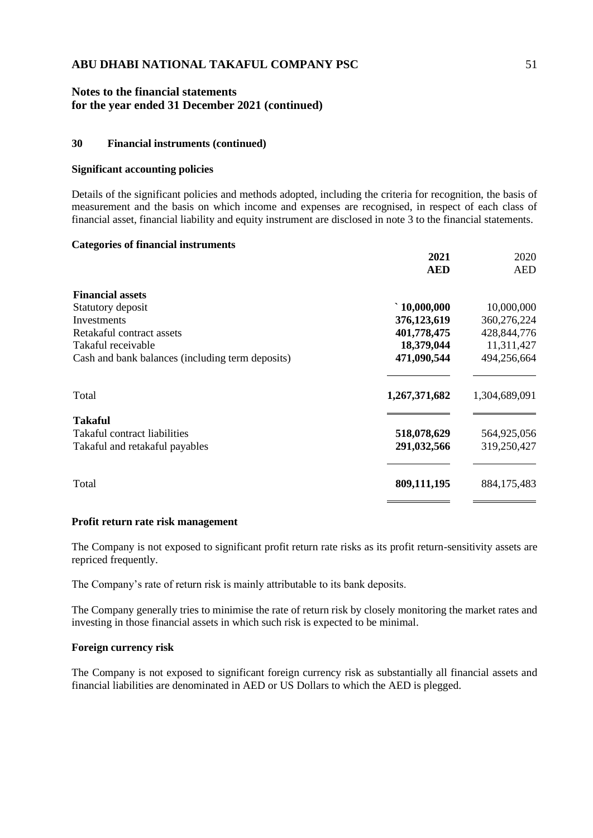# **Notes to the financial statements for the year ended 31 December 2021 (continued)**

#### **30 Financial instruments (continued)**

#### **Significant accounting policies**

Details of the significant policies and methods adopted, including the criteria for recognition, the basis of measurement and the basis on which income and expenses are recognised, in respect of each class of financial asset, financial liability and equity instrument are disclosed in note 3 to the financial statements.

#### **Categories of financial instruments**

|                                                  | 2021                 | 2020          |
|--------------------------------------------------|----------------------|---------------|
|                                                  | <b>AED</b>           | <b>AED</b>    |
| <b>Financial assets</b>                          |                      |               |
| Statutory deposit                                | $\degree$ 10,000,000 | 10,000,000    |
| Investments                                      | 376,123,619          | 360,276,224   |
| Retakaful contract assets                        | 401,778,475          | 428, 844, 776 |
| Takaful receivable                               | 18,379,044           | 11,311,427    |
| Cash and bank balances (including term deposits) | 471,090,544          | 494,256,664   |
| Total                                            | 1,267,371,682        | 1,304,689,091 |
| <b>Takaful</b>                                   |                      |               |
| Takaful contract liabilities                     | 518,078,629          | 564,925,056   |
| Takaful and retakaful payables                   | 291,032,566          | 319,250,427   |
| Total                                            | 809,111,195          | 884, 175, 483 |
|                                                  |                      |               |

#### **Profit return rate risk management**

The Company is not exposed to significant profit return rate risks as its profit return-sensitivity assets are repriced frequently.

The Company's rate of return risk is mainly attributable to its bank deposits.

The Company generally tries to minimise the rate of return risk by closely monitoring the market rates and investing in those financial assets in which such risk is expected to be minimal.

#### **Foreign currency risk**

The Company is not exposed to significant foreign currency risk as substantially all financial assets and financial liabilities are denominated in AED or US Dollars to which the AED is plegged.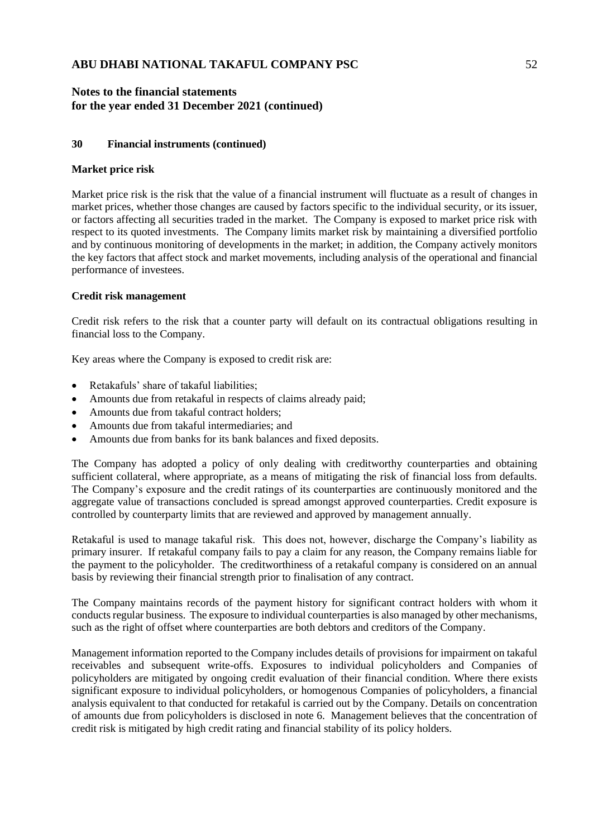## **Notes to the financial statements for the year ended 31 December 2021 (continued)**

#### **30 Financial instruments (continued)**

#### **Market price risk**

Market price risk is the risk that the value of a financial instrument will fluctuate as a result of changes in market prices, whether those changes are caused by factors specific to the individual security, or its issuer, or factors affecting all securities traded in the market. The Company is exposed to market price risk with respect to its quoted investments. The Company limits market risk by maintaining a diversified portfolio and by continuous monitoring of developments in the market; in addition, the Company actively monitors the key factors that affect stock and market movements, including analysis of the operational and financial performance of investees.

#### **Credit risk management**

Credit risk refers to the risk that a counter party will default on its contractual obligations resulting in financial loss to the Company.

Key areas where the Company is exposed to credit risk are:

- Retakafuls' share of takaful liabilities;
- Amounts due from retakaful in respects of claims already paid;
- Amounts due from takaful contract holders;
- Amounts due from takaful intermediaries; and
- Amounts due from banks for its bank balances and fixed deposits.

The Company has adopted a policy of only dealing with creditworthy counterparties and obtaining sufficient collateral, where appropriate, as a means of mitigating the risk of financial loss from defaults. The Company's exposure and the credit ratings of its counterparties are continuously monitored and the aggregate value of transactions concluded is spread amongst approved counterparties. Credit exposure is controlled by counterparty limits that are reviewed and approved by management annually.

Retakaful is used to manage takaful risk. This does not, however, discharge the Company's liability as primary insurer. If retakaful company fails to pay a claim for any reason, the Company remains liable for the payment to the policyholder. The creditworthiness of a retakaful company is considered on an annual basis by reviewing their financial strength prior to finalisation of any contract.

The Company maintains records of the payment history for significant contract holders with whom it conducts regular business. The exposure to individual counterparties is also managed by other mechanisms, such as the right of offset where counterparties are both debtors and creditors of the Company.

Management information reported to the Company includes details of provisions for impairment on takaful receivables and subsequent write-offs. Exposures to individual policyholders and Companies of policyholders are mitigated by ongoing credit evaluation of their financial condition. Where there exists significant exposure to individual policyholders, or homogenous Companies of policyholders, a financial analysis equivalent to that conducted for retakaful is carried out by the Company. Details on concentration of amounts due from policyholders is disclosed in note 6. Management believes that the concentration of credit risk is mitigated by high credit rating and financial stability of its policy holders.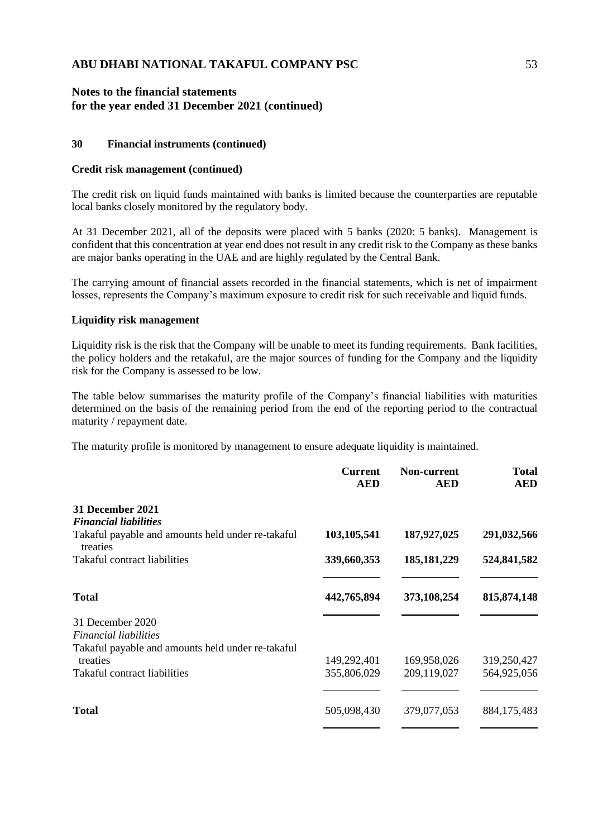## **Notes to the financial statements for the year ended 31 December 2021 (continued)**

#### **30 Financial instruments (continued)**

#### **Credit risk management (continued)**

The credit risk on liquid funds maintained with banks is limited because the counterparties are reputable local banks closely monitored by the regulatory body.

At 31 December 2021, all of the deposits were placed with 5 banks (2020: 5 banks). Management is confident that this concentration at year end does not result in any credit risk to the Company as these banks are major banks operating in the UAE and are highly regulated by the Central Bank.

The carrying amount of financial assets recorded in the financial statements, which is net of impairment losses, represents the Company's maximum exposure to credit risk for such receivable and liquid funds.

#### **Liquidity risk management**

Liquidity risk is the risk that the Company will be unable to meet its funding requirements. Bank facilities, the policy holders and the retakaful, are the major sources of funding for the Company and the liquidity risk for the Company is assessed to be low.

The table below summarises the maturity profile of the Company's financial liabilities with maturities determined on the basis of the remaining period from the end of the reporting period to the contractual maturity / repayment date.

The maturity profile is monitored by management to ensure adequate liquidity is maintained.

|                                                                                               | <b>Current</b><br><b>AED</b> | <b>Non-current</b><br><b>AED</b> | <b>Total</b><br><b>AED</b> |
|-----------------------------------------------------------------------------------------------|------------------------------|----------------------------------|----------------------------|
| <b>31 December 2021</b>                                                                       |                              |                                  |                            |
| <b>Financial liabilities</b><br>Takaful payable and amounts held under re-takaful<br>treaties | 103,105,541                  | 187,927,025                      | 291,032,566                |
| Takaful contract liabilities                                                                  | 339,660,353                  | 185, 181, 229                    | 524,841,582                |
| Total                                                                                         | 442,765,894                  | 373,108,254                      | 815,874,148                |
| 31 December 2020                                                                              |                              |                                  |                            |
| <i>Financial liabilities</i><br>Takaful payable and amounts held under re-takaful             |                              |                                  |                            |
| treaties                                                                                      | 149,292,401                  | 169,958,026                      | 319,250,427                |
| Takaful contract liabilities                                                                  | 355,806,029                  | 209,119,027                      | 564,925,056                |
| Total                                                                                         | 505,098,430                  | 379,077,053                      | 884, 175, 483              |
|                                                                                               |                              |                                  |                            |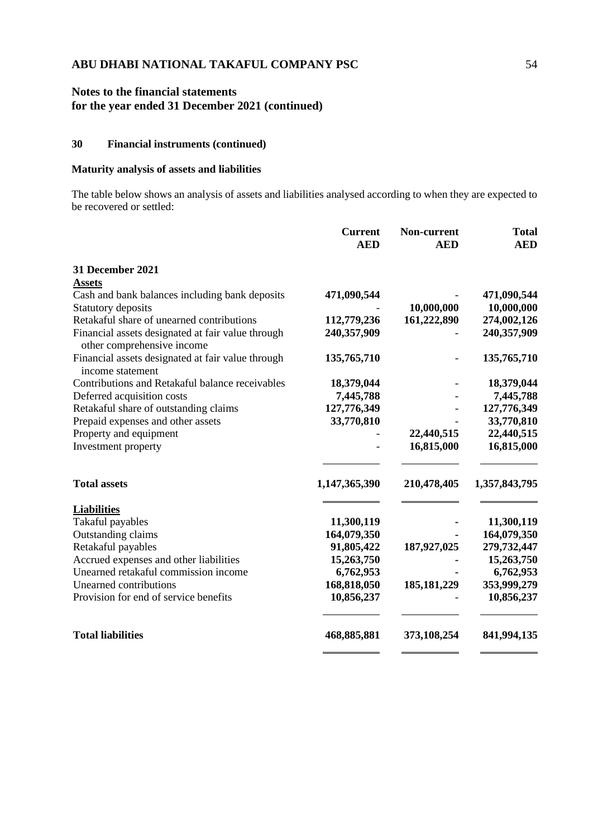## **Notes to the financial statements for the year ended 31 December 2021 (continued)**

## **30 Financial instruments (continued)**

# **Maturity analysis of assets and liabilities**

The table below shows an analysis of assets and liabilities analysed according to when they are expected to be recovered or settled:

|                                                                                 | <b>Current</b><br><b>AED</b> | Non-current<br><b>AED</b> | <b>Total</b><br><b>AED</b> |
|---------------------------------------------------------------------------------|------------------------------|---------------------------|----------------------------|
| 31 December 2021                                                                |                              |                           |                            |
| <b>Assets</b>                                                                   |                              |                           |                            |
| Cash and bank balances including bank deposits                                  | 471,090,544                  |                           | 471,090,544                |
| Statutory deposits                                                              |                              | 10,000,000                | 10,000,000                 |
| Retakaful share of unearned contributions                                       | 112,779,236                  | 161,222,890               | 274,002,126                |
| Financial assets designated at fair value through<br>other comprehensive income | 240,357,909                  |                           | 240,357,909                |
| Financial assets designated at fair value through<br>income statement           | 135,765,710                  |                           | 135,765,710                |
| Contributions and Retakaful balance receivables                                 | 18,379,044                   |                           | 18,379,044                 |
| Deferred acquisition costs                                                      | 7,445,788                    |                           | 7,445,788                  |
| Retakaful share of outstanding claims                                           | 127,776,349                  |                           | 127,776,349                |
| Prepaid expenses and other assets                                               | 33,770,810                   |                           | 33,770,810                 |
| Property and equipment                                                          |                              | 22,440,515                | 22,440,515                 |
| Investment property                                                             |                              | 16,815,000                | 16,815,000                 |
| <b>Total assets</b>                                                             | 1,147,365,390                | 210,478,405               | 1,357,843,795              |
| <b>Liabilities</b>                                                              |                              |                           |                            |
| Takaful payables                                                                | 11,300,119                   |                           | 11,300,119                 |
| Outstanding claims                                                              | 164,079,350                  |                           | 164,079,350                |
| Retakaful payables                                                              | 91,805,422                   | 187,927,025               | 279,732,447                |
| Accrued expenses and other liabilities                                          | 15,263,750                   |                           | 15,263,750                 |
| Unearned retakaful commission income                                            | 6,762,953                    |                           | 6,762,953                  |
| Unearned contributions                                                          | 168,818,050                  | 185, 181, 229             | 353,999,279                |
| Provision for end of service benefits                                           | 10,856,237                   |                           | 10,856,237                 |
| <b>Total liabilities</b>                                                        | 468,885,881                  | 373,108,254               | 841,994,135                |
|                                                                                 |                              |                           |                            |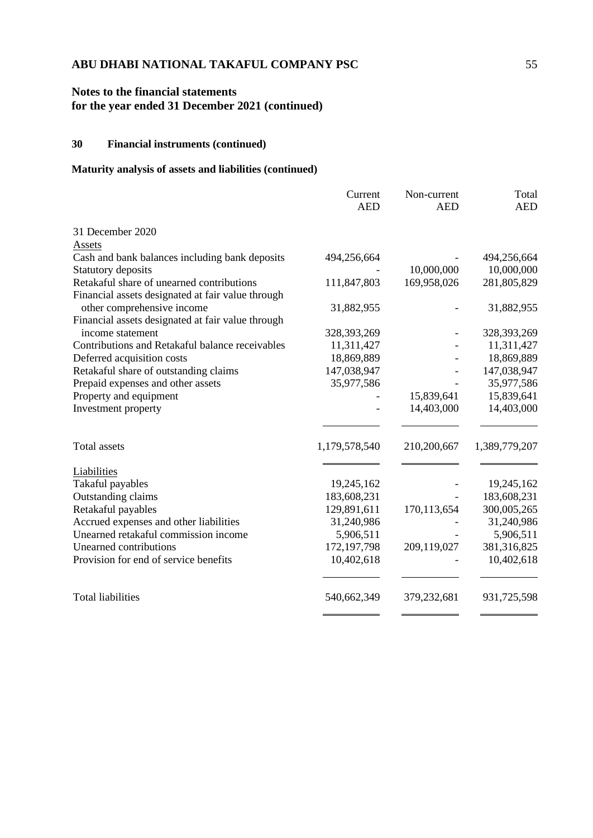## **Notes to the financial statements for the year ended 31 December 2021 (continued)**

## **30 Financial instruments (continued)**

# **Maturity analysis of assets and liabilities (continued)**

|                                                   | Current<br><b>AED</b> | Non-current<br><b>AED</b> | Total<br><b>AED</b> |
|---------------------------------------------------|-----------------------|---------------------------|---------------------|
| 31 December 2020                                  |                       |                           |                     |
| <b>Assets</b>                                     |                       |                           |                     |
| Cash and bank balances including bank deposits    | 494,256,664           |                           | 494,256,664         |
| Statutory deposits                                |                       | 10,000,000                | 10,000,000          |
| Retakaful share of unearned contributions         | 111,847,803           | 169,958,026               | 281,805,829         |
| Financial assets designated at fair value through |                       |                           |                     |
| other comprehensive income                        | 31,882,955            |                           | 31,882,955          |
| Financial assets designated at fair value through |                       |                           |                     |
| income statement                                  | 328,393,269           |                           | 328,393,269         |
| Contributions and Retakaful balance receivables   | 11,311,427            |                           | 11,311,427          |
| Deferred acquisition costs                        | 18,869,889            |                           | 18,869,889          |
| Retakaful share of outstanding claims             | 147,038,947           |                           | 147,038,947         |
| Prepaid expenses and other assets                 | 35,977,586            |                           | 35,977,586          |
| Property and equipment                            |                       | 15,839,641                | 15,839,641          |
| Investment property                               |                       | 14,403,000                | 14,403,000          |
| <b>Total</b> assets                               | 1,179,578,540         | 210,200,667               | 1,389,779,207       |
| Liabilities                                       |                       |                           |                     |
| Takaful payables                                  | 19,245,162            |                           | 19,245,162          |
| Outstanding claims                                | 183,608,231           |                           | 183,608,231         |
| Retakaful payables                                | 129,891,611           | 170,113,654               | 300,005,265         |
| Accrued expenses and other liabilities            | 31,240,986            |                           | 31,240,986          |
| Unearned retakaful commission income              | 5,906,511             |                           | 5,906,511           |
| Unearned contributions                            | 172, 197, 798         | 209,119,027               | 381,316,825         |
| Provision for end of service benefits             | 10,402,618            |                           | 10,402,618          |
| <b>Total liabilities</b>                          | 540,662,349           | 379,232,681               | 931,725,598         |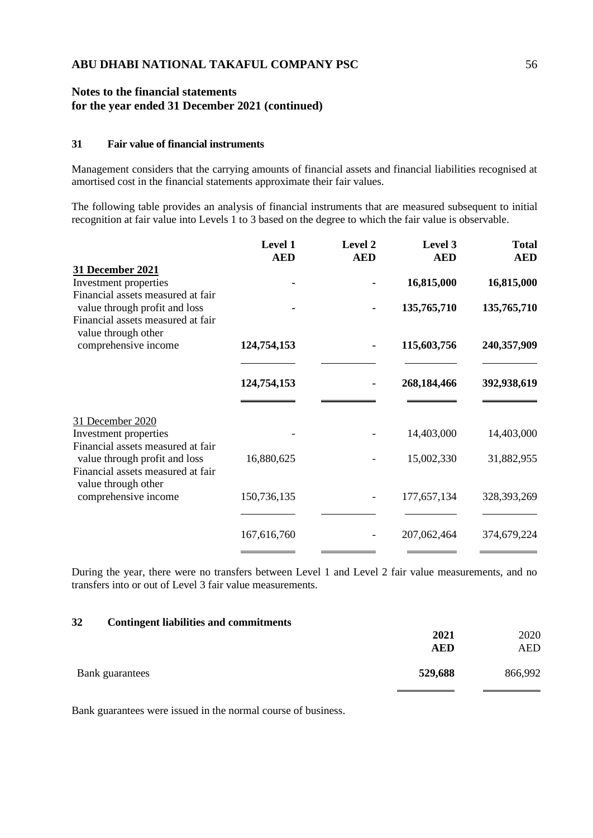## **Notes to the financial statements for the year ended 31 December 2021 (continued)**

#### **31 Fair value of financial instruments**

Management considers that the carrying amounts of financial assets and financial liabilities recognised at amortised cost in the financial statements approximate their fair values.

The following table provides an analysis of financial instruments that are measured subsequent to initial recognition at fair value into Levels 1 to 3 based on the degree to which the fair value is observable.

|                                                          | <b>Level 1</b> | Level 2    | Level 3     | <b>Total</b>  |
|----------------------------------------------------------|----------------|------------|-------------|---------------|
|                                                          | <b>AED</b>     | <b>AED</b> | <b>AED</b>  | <b>AED</b>    |
| 31 December 2021                                         |                |            |             |               |
| Investment properties                                    |                |            | 16,815,000  | 16,815,000    |
| Financial assets measured at fair                        |                |            |             |               |
| value through profit and loss                            |                |            | 135,765,710 | 135,765,710   |
| Financial assets measured at fair<br>value through other |                |            |             |               |
| comprehensive income                                     | 124,754,153    |            | 115,603,756 | 240,357,909   |
|                                                          |                |            |             |               |
|                                                          | 124,754,153    |            | 268,184,466 | 392,938,619   |
|                                                          |                |            |             |               |
| 31 December 2020                                         |                |            |             |               |
| Investment properties                                    |                |            | 14,403,000  | 14,403,000    |
| Financial assets measured at fair                        |                |            |             |               |
| value through profit and loss                            | 16,880,625     |            | 15,002,330  | 31,882,955    |
| Financial assets measured at fair<br>value through other |                |            |             |               |
| comprehensive income                                     | 150,736,135    |            | 177,657,134 | 328, 393, 269 |
|                                                          |                |            |             |               |
|                                                          | 167,616,760    |            | 207,062,464 | 374,679,224   |
|                                                          |                |            |             |               |

During the year, there were no transfers between Level 1 and Level 2 fair value measurements, and no transfers into or out of Level 3 fair value measurements.

#### **32 Contingent liabilities and commitments**

|                        | 2021<br><b>AED</b> | 2020<br>AED |
|------------------------|--------------------|-------------|
| <b>Bank</b> guarantees | 529,688            | 866,992     |

Bank guarantees were issued in the normal course of business.